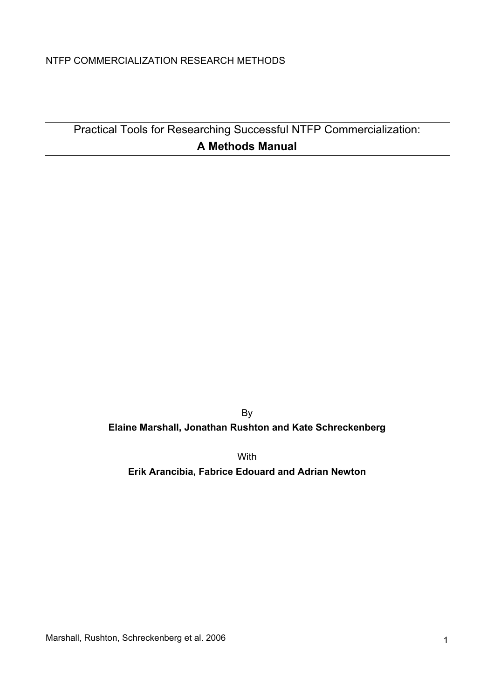Practical Tools for Researching Successful NTFP Commercialization: **A Methods Manual** 

By **Elaine Marshall, Jonathan Rushton and Kate Schreckenberg** 

With

**Erik Arancibia, Fabrice Edouard and Adrian Newton** 

Marshall, Rushton, Schreckenberg et al. 2006 1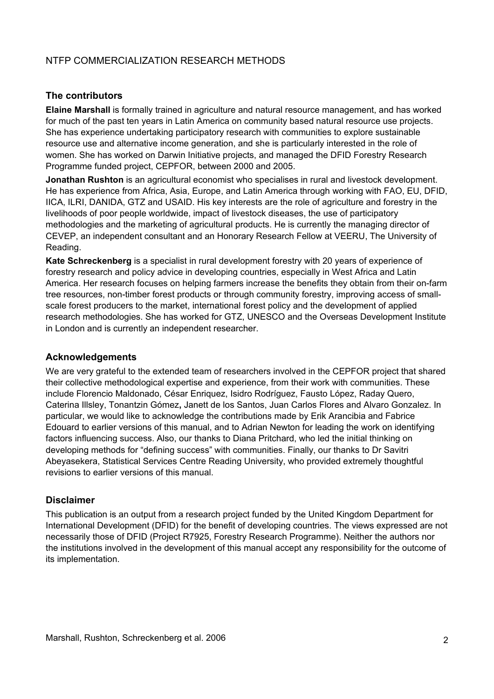### **The contributors**

**Elaine Marshall** is formally trained in agriculture and natural resource management, and has worked for much of the past ten years in Latin America on community based natural resource use projects. She has experience undertaking participatory research with communities to explore sustainable resource use and alternative income generation, and she is particularly interested in the role of women. She has worked on Darwin Initiative projects, and managed the DFID Forestry Research Programme funded project, CEPFOR, between 2000 and 2005.

**Jonathan Rushton** is an agricultural economist who specialises in rural and livestock development. He has experience from Africa, Asia, Europe, and Latin America through working with FAO, EU, DFID, IICA, ILRI, DANIDA, GTZ and USAID. His key interests are the role of agriculture and forestry in the livelihoods of poor people worldwide, impact of livestock diseases, the use of participatory methodologies and the marketing of agricultural products. He is currently the managing director of CEVEP, an independent consultant and an Honorary Research Fellow at VEERU, The University of Reading.

**Kate Schreckenberg** is a specialist in rural development forestry with 20 years of experience of forestry research and policy advice in developing countries, especially in West Africa and Latin America. Her research focuses on helping farmers increase the benefits they obtain from their on-farm tree resources, non-timber forest products or through community forestry, improving access of smallscale forest producers to the market, international forest policy and the development of applied research methodologies. She has worked for GTZ, UNESCO and the Overseas Development Institute in London and is currently an independent researcher.

#### **Acknowledgements**

We are very grateful to the extended team of researchers involved in the CEPFOR project that shared their collective methodological expertise and experience, from their work with communities. These include Florencio Maldonado, César Enriquez, Isidro Rodríguez, Fausto López, Raday Quero, Caterina Illsley, Tonantzin Gómez**,** Janett de los Santos, Juan Carlos Flores and Alvaro Gonzalez. In particular, we would like to acknowledge the contributions made by Erik Arancibia and Fabrice Edouard to earlier versions of this manual, and to Adrian Newton for leading the work on identifying factors influencing success. Also, our thanks to Diana Pritchard, who led the initial thinking on developing methods for "defining success" with communities. Finally, our thanks to Dr Savitri Abeyasekera, Statistical Services Centre Reading University, who provided extremely thoughtful revisions to earlier versions of this manual.

#### **Disclaimer**

This publication is an output from a research project funded by the United Kingdom Department for International Development (DFID) for the benefit of developing countries. The views expressed are not necessarily those of DFID (Project R7925, Forestry Research Programme). Neither the authors nor the institutions involved in the development of this manual accept any responsibility for the outcome of its implementation.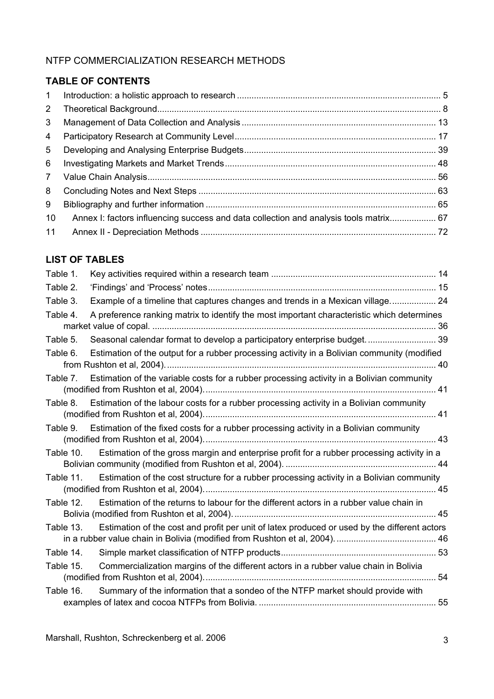# **TABLE OF CONTENTS**

| $\mathbf{1}$   |                                                                                       |  |
|----------------|---------------------------------------------------------------------------------------|--|
| $2^{\circ}$    |                                                                                       |  |
| 3              |                                                                                       |  |
| $\overline{4}$ |                                                                                       |  |
| 5              |                                                                                       |  |
| 6              |                                                                                       |  |
| 7 <sup>7</sup> |                                                                                       |  |
| 8              |                                                                                       |  |
| 9              |                                                                                       |  |
| 10             | Annex I: factors influencing success and data collection and analysis tools matrix 67 |  |
| 11             |                                                                                       |  |

# **LIST OF TABLES**

| Table 1.  |                                                                                                  |    |
|-----------|--------------------------------------------------------------------------------------------------|----|
| Table 2.  |                                                                                                  |    |
| Table 3.  | Example of a timeline that captures changes and trends in a Mexican village 24                   |    |
| Table 4.  | A preference ranking matrix to identify the most important characteristic which determines       |    |
|           |                                                                                                  |    |
| Table 5.  | Seasonal calendar format to develop a participatory enterprise budget 39                         |    |
| Table 6.  | Estimation of the output for a rubber processing activity in a Bolivian community (modified      |    |
| Table 7.  | Estimation of the variable costs for a rubber processing activity in a Bolivian community        |    |
|           | Table 8. Estimation of the labour costs for a rubber processing activity in a Bolivian community |    |
| Table 9.  | Estimation of the fixed costs for a rubber processing activity in a Bolivian community           |    |
| Table 10. | Estimation of the gross margin and enterprise profit for a rubber processing activity in a       |    |
| Table 11. | Estimation of the cost structure for a rubber processing activity in a Bolivian community        |    |
| Table 12. | Estimation of the returns to labour for the different actors in a rubber value chain in          |    |
| Table 13. | Estimation of the cost and profit per unit of latex produced or used by the different actors     |    |
| Table 14. |                                                                                                  |    |
| Table 15. | Commercialization margins of the different actors in a rubber value chain in Bolivia             | 54 |
| Table 16. | Summary of the information that a sondeo of the NTFP market should provide with                  |    |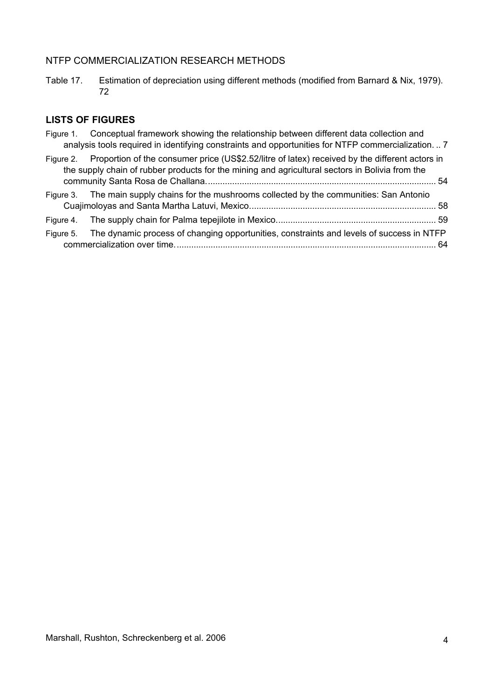Table 17. Estimation of depreciation using different methods (modified from Barnard & Nix, 1979). 72

# **LISTS OF FIGURES**

| analysis tools required in identifying constraints and opportunities for NTFP commercialization 7<br>Figure 2. Proportion of the consumer price (US\$2.52/litre of latex) received by the different actors in<br>the supply chain of rubber products for the mining and agricultural sectors in Bolivia from the<br>Figure 3. The main supply chains for the mushrooms collected by the communities: San Antonio<br>Figure 4.<br>Figure 5. The dynamic process of changing opportunities, constraints and levels of success in NTFP | Figure 1. Conceptual framework showing the relationship between different data collection and |  |
|-------------------------------------------------------------------------------------------------------------------------------------------------------------------------------------------------------------------------------------------------------------------------------------------------------------------------------------------------------------------------------------------------------------------------------------------------------------------------------------------------------------------------------------|-----------------------------------------------------------------------------------------------|--|
|                                                                                                                                                                                                                                                                                                                                                                                                                                                                                                                                     |                                                                                               |  |
|                                                                                                                                                                                                                                                                                                                                                                                                                                                                                                                                     |                                                                                               |  |
|                                                                                                                                                                                                                                                                                                                                                                                                                                                                                                                                     |                                                                                               |  |
|                                                                                                                                                                                                                                                                                                                                                                                                                                                                                                                                     |                                                                                               |  |
|                                                                                                                                                                                                                                                                                                                                                                                                                                                                                                                                     |                                                                                               |  |
|                                                                                                                                                                                                                                                                                                                                                                                                                                                                                                                                     |                                                                                               |  |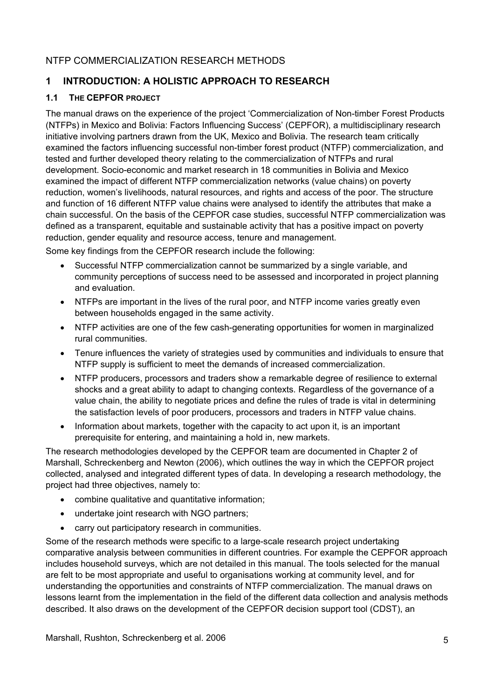## **1 INTRODUCTION: A HOLISTIC APPROACH TO RESEARCH**

#### **1.1 THE CEPFOR PROJECT**

The manual draws on the experience of the project 'Commercialization of Non-timber Forest Products (NTFPs) in Mexico and Bolivia: Factors Influencing Success' (CEPFOR), a multidisciplinary research initiative involving partners drawn from the UK, Mexico and Bolivia. The research team critically examined the factors influencing successful non-timber forest product (NTFP) commercialization, and tested and further developed theory relating to the commercialization of NTFPs and rural development. Socio-economic and market research in 18 communities in Bolivia and Mexico examined the impact of different NTFP commercialization networks (value chains) on poverty reduction, women's livelihoods, natural resources, and rights and access of the poor. The structure and function of 16 different NTFP value chains were analysed to identify the attributes that make a chain successful. On the basis of the CEPFOR case studies, successful NTFP commercialization was defined as a transparent, equitable and sustainable activity that has a positive impact on poverty reduction, gender equality and resource access, tenure and management.

Some key findings from the CEPFOR research include the following:

- Successful NTFP commercialization cannot be summarized by a single variable, and community perceptions of success need to be assessed and incorporated in project planning and evaluation.
- NTFPs are important in the lives of the rural poor, and NTFP income varies greatly even between households engaged in the same activity.
- NTFP activities are one of the few cash-generating opportunities for women in marginalized rural communities.
- Tenure influences the variety of strategies used by communities and individuals to ensure that NTFP supply is sufficient to meet the demands of increased commercialization.
- NTFP producers, processors and traders show a remarkable degree of resilience to external shocks and a great ability to adapt to changing contexts*.* Regardless of the governance of a value chain, the ability to negotiate prices and define the rules of trade is vital in determining the satisfaction levels of poor producers, processors and traders in NTFP value chains.
- Information about markets, together with the capacity to act upon it, is an important prerequisite for entering, and maintaining a hold in, new markets.

The research methodologies developed by the CEPFOR team are documented in Chapter 2 of Marshall, Schreckenberg and Newton (2006), which outlines the way in which the CEPFOR project collected, analysed and integrated different types of data. In developing a research methodology, the project had three objectives, namely to:

- combine qualitative and quantitative information;
- undertake joint research with NGO partners;
- carry out participatory research in communities.

Some of the research methods were specific to a large-scale research project undertaking comparative analysis between communities in different countries. For example the CEPFOR approach includes household surveys, which are not detailed in this manual. The tools selected for the manual are felt to be most appropriate and useful to organisations working at community level, and for understanding the opportunities and constraints of NTFP commercialization. The manual draws on lessons learnt from the implementation in the field of the different data collection and analysis methods described. It also draws on the development of the CEPFOR decision support tool (CDST), an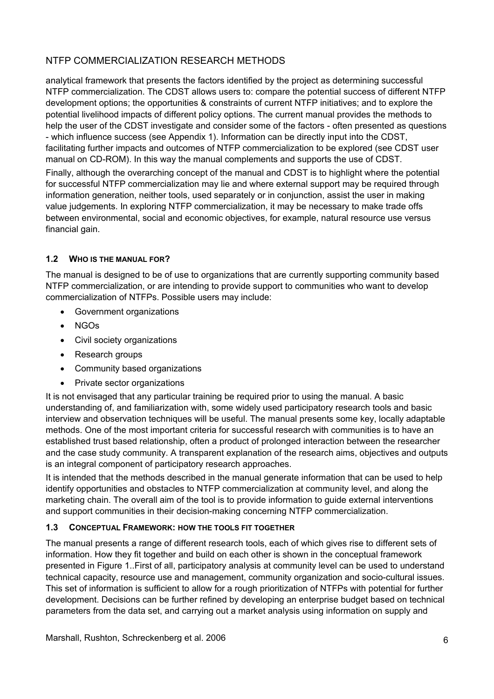analytical framework that presents the factors identified by the project as determining successful NTFP commercialization. The CDST allows users to: compare the potential success of different NTFP development options; the opportunities & constraints of current NTFP initiatives; and to explore the potential livelihood impacts of different policy options. The current manual provides the methods to help the user of the CDST investigate and consider some of the factors - often presented as questions - which influence success (see Appendix 1). Information can be directly input into the CDST, facilitating further impacts and outcomes of NTFP commercialization to be explored (see CDST user manual on CD-ROM). In this way the manual complements and supports the use of CDST.

Finally, although the overarching concept of the manual and CDST is to highlight where the potential for successful NTFP commercialization may lie and where external support may be required through information generation, neither tools, used separately or in conjunction, assist the user in making value judgements. In exploring NTFP commercialization, it may be necessary to make trade offs between environmental, social and economic objectives, for example, natural resource use versus financial gain.

## **1.2 WHO IS THE MANUAL FOR?**

The manual is designed to be of use to organizations that are currently supporting community based NTFP commercialization, or are intending to provide support to communities who want to develop commercialization of NTFPs. Possible users may include:

- Government organizations
- NGOs
- Civil society organizations
- Research groups
- Community based organizations
- Private sector organizations

It is not envisaged that any particular training be required prior to using the manual. A basic understanding of, and familiarization with, some widely used participatory research tools and basic interview and observation techniques will be useful. The manual presents some key, locally adaptable methods. One of the most important criteria for successful research with communities is to have an established trust based relationship, often a product of prolonged interaction between the researcher and the case study community. A transparent explanation of the research aims, objectives and outputs is an integral component of participatory research approaches.

It is intended that the methods described in the manual generate information that can be used to help identify opportunities and obstacles to NTFP commercialization at community level, and along the marketing chain. The overall aim of the tool is to provide information to guide external interventions and support communities in their decision-making concerning NTFP commercialization.

## **1.3 CONCEPTUAL FRAMEWORK: HOW THE TOOLS FIT TOGETHER**

The manual presents a range of different research tools, each of which gives rise to different sets of information. How they fit together and build on each other is shown in the conceptual framework presented in Figure 1..First of all, participatory analysis at community level can be used to understand technical capacity, resource use and management, community organization and socio-cultural issues. This set of information is sufficient to allow for a rough prioritization of NTFPs with potential for further development. Decisions can be further refined by developing an enterprise budget based on technical parameters from the data set, and carrying out a market analysis using information on supply and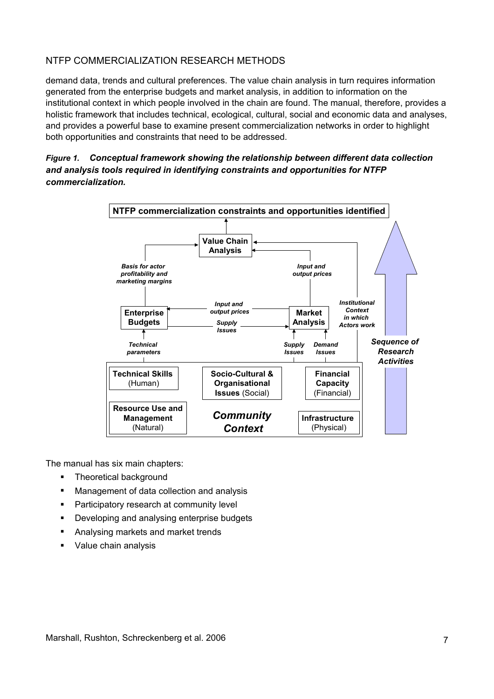demand data, trends and cultural preferences. The value chain analysis in turn requires information generated from the enterprise budgets and market analysis, in addition to information on the institutional context in which people involved in the chain are found. The manual, therefore, provides a holistic framework that includes technical, ecological, cultural, social and economic data and analyses, and provides a powerful base to examine present commercialization networks in order to highlight both opportunities and constraints that need to be addressed.

### *Figure 1. Conceptual framework showing the relationship between different data collection and analysis tools required in identifying constraints and opportunities for NTFP commercialization.*



The manual has six main chapters:

- Theoretical background
- Management of data collection and analysis
- **Participatory research at community level**
- **•** Developing and analysing enterprise budgets
- Analysing markets and market trends
- **Value chain analysis**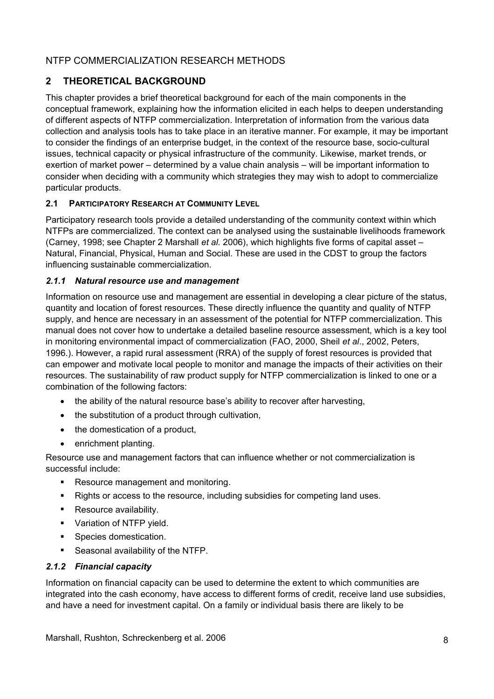# **2 THEORETICAL BACKGROUND**

This chapter provides a brief theoretical background for each of the main components in the conceptual framework, explaining how the information elicited in each helps to deepen understanding of different aspects of NTFP commercialization. Interpretation of information from the various data collection and analysis tools has to take place in an iterative manner. For example, it may be important to consider the findings of an enterprise budget, in the context of the resource base, socio-cultural issues, technical capacity or physical infrastructure of the community. Likewise, market trends, or exertion of market power – determined by a value chain analysis – will be important information to consider when deciding with a community which strategies they may wish to adopt to commercialize particular products.

### **2.1 PARTICIPATORY RESEARCH AT COMMUNITY LEVEL**

Participatory research tools provide a detailed understanding of the community context within which NTFPs are commercialized. The context can be analysed using the sustainable livelihoods framework (Carney, 1998; see Chapter 2 Marshall *et al.* 2006), which highlights five forms of capital asset – Natural, Financial, Physical, Human and Social. These are used in the CDST to group the factors influencing sustainable commercialization.

### *2.1.1 Natural resource use and management*

Information on resource use and management are essential in developing a clear picture of the status, quantity and location of forest resources. These directly influence the quantity and quality of NTFP supply, and hence are necessary in an assessment of the potential for NTFP commercialization. This manual does not cover how to undertake a detailed baseline resource assessment, which is a key tool in monitoring environmental impact of commercialization (FAO, 2000, Sheil *et al*., 2002, Peters, 1996.). However, a rapid rural assessment (RRA) of the supply of forest resources is provided that can empower and motivate local people to monitor and manage the impacts of their activities on their resources. The sustainability of raw product supply for NTFP commercialization is linked to one or a combination of the following factors:

- the ability of the natural resource base's ability to recover after harvesting,
- the substitution of a product through cultivation,
- the domestication of a product,
- enrichment planting.

Resource use and management factors that can influence whether or not commercialization is successful include:

- **Resource management and monitoring.**
- Rights or access to the resource, including subsidies for competing land uses.
- Resource availability.
- **•** Variation of NTFP yield.
- **Species domestication.**
- Seasonal availability of the NTFP.

### *2.1.2 Financial capacity*

Information on financial capacity can be used to determine the extent to which communities are integrated into the cash economy, have access to different forms of credit, receive land use subsidies, and have a need for investment capital. On a family or individual basis there are likely to be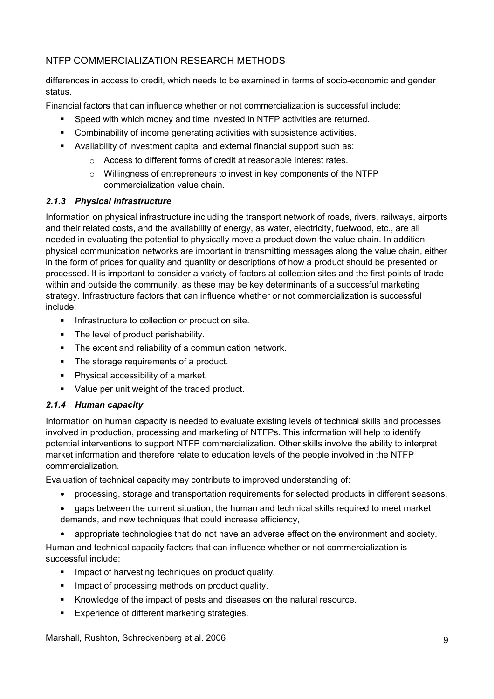differences in access to credit, which needs to be examined in terms of socio-economic and gender status.

Financial factors that can influence whether or not commercialization is successful include:

- Speed with which money and time invested in NTFP activities are returned.
- Combinability of income generating activities with subsistence activities.
- Availability of investment capital and external financial support such as:
	- o Access to different forms of credit at reasonable interest rates.
	- o Willingness of entrepreneurs to invest in key components of the NTFP commercialization value chain.

### *2.1.3 Physical infrastructure*

Information on physical infrastructure including the transport network of roads, rivers, railways, airports and their related costs, and the availability of energy, as water, electricity, fuelwood, etc., are all needed in evaluating the potential to physically move a product down the value chain. In addition physical communication networks are important in transmitting messages along the value chain, either in the form of prices for quality and quantity or descriptions of how a product should be presented or processed. It is important to consider a variety of factors at collection sites and the first points of trade within and outside the community, as these may be key determinants of a successful marketing strategy. Infrastructure factors that can influence whether or not commercialization is successful include:

- **Infrastructure to collection or production site.**
- The level of product perishability.
- The extent and reliability of a communication network.
- The storage requirements of a product.
- **Physical accessibility of a market.**
- Value per unit weight of the traded product.

### *2.1.4 Human capacity*

Information on human capacity is needed to evaluate existing levels of technical skills and processes involved in production, processing and marketing of NTFPs. This information will help to identify potential interventions to support NTFP commercialization. Other skills involve the ability to interpret market information and therefore relate to education levels of the people involved in the NTFP commercialization.

Evaluation of technical capacity may contribute to improved understanding of:

- processing, storage and transportation requirements for selected products in different seasons,
- gaps between the current situation, the human and technical skills required to meet market demands, and new techniques that could increase efficiency,
- appropriate technologies that do not have an adverse effect on the environment and society.

Human and technical capacity factors that can influence whether or not commercialization is successful include:

- **IMPACT OF harvesting techniques on product quality.**
- **IMPACT OF PROCESSING METHODS ON PRODUCT QUALITY.**
- Knowledge of the impact of pests and diseases on the natural resource.
- **Experience of different marketing strategies.**

Marshall, Rushton, Schreckenberg et al. 2006 **9** and the state of the state of the state of the state of the state of the state of the state of the state of the state of the state of the state of the state of the state of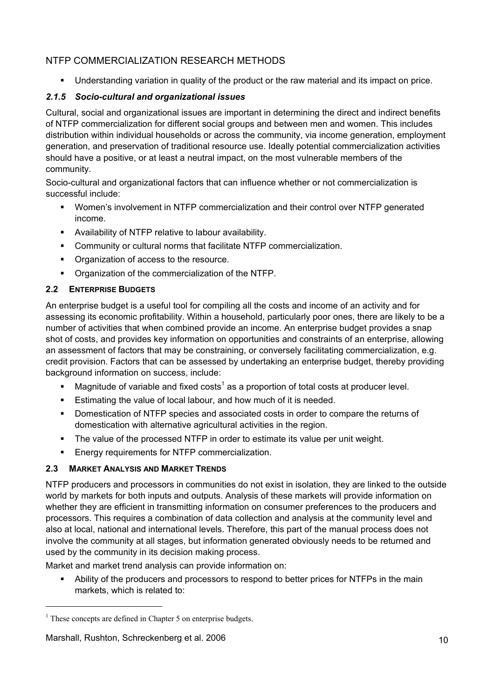Understanding variation in quality of the product or the raw material and its impact on price.

### *2.1.5 Socio-cultural and organizational issues*

Cultural, social and organizational issues are important in determining the direct and indirect benefits of NTFP commercialization for different social groups and between men and women. This includes distribution within individual households or across the community, via income generation, employment generation, and preservation of traditional resource use. Ideally potential commercialization activities should have a positive, or at least a neutral impact, on the most vulnerable members of the community.

Socio-cultural and organizational factors that can influence whether or not commercialization is successful include:

- Women's involvement in NTFP commercialization and their control over NTFP generated income.
- Availability of NTFP relative to labour availability.
- Community or cultural norms that facilitate NTFP commercialization.
- **•** Organization of access to the resource.
- Organization of the commercialization of the NTFP.

### **2.2 ENTERPRISE BUDGETS**

An enterprise budget is a useful tool for compiling all the costs and income of an activity and for assessing its economic profitability. Within a household, particularly poor ones, there are likely to be a number of activities that when combined provide an income. An enterprise budget provides a snap shot of costs, and provides key information on opportunities and constraints of an enterprise, allowing an assessment of factors that may be constraining, or conversely facilitating commercialization, e.g. credit provision. Factors that can be assessed by undertaking an enterprise budget, thereby providing background information on success, include:

- $\blacksquare$  Magnitude of variable and fixed costs<sup>1</sup> as a proportion of total costs at producer level.
- **Estimating the value of local labour, and how much of it is needed.**
- **•** Domestication of NTFP species and associated costs in order to compare the returns of domestication with alternative agricultural activities in the region.
- The value of the processed NTFP in order to estimate its value per unit weight.
- **Energy requirements for NTFP commercialization.**

### **2.3 MARKET ANALYSIS AND MARKET TRENDS**

NTFP producers and processors in communities do not exist in isolation, they are linked to the outside world by markets for both inputs and outputs. Analysis of these markets will provide information on whether they are efficient in transmitting information on consumer preferences to the producers and processors. This requires a combination of data collection and analysis at the community level and also at local, national and international levels. Therefore, this part of the manual process does not involve the community at all stages, but information generated obviously needs to be returned and used by the community in its decision making process.

Market and market trend analysis can provide information on:

 Ability of the producers and processors to respond to better prices for NTFPs in the main markets, which is related to:

l

 $<sup>1</sup>$  These concepts are defined in Chapter 5 on enterprise budgets.</sup>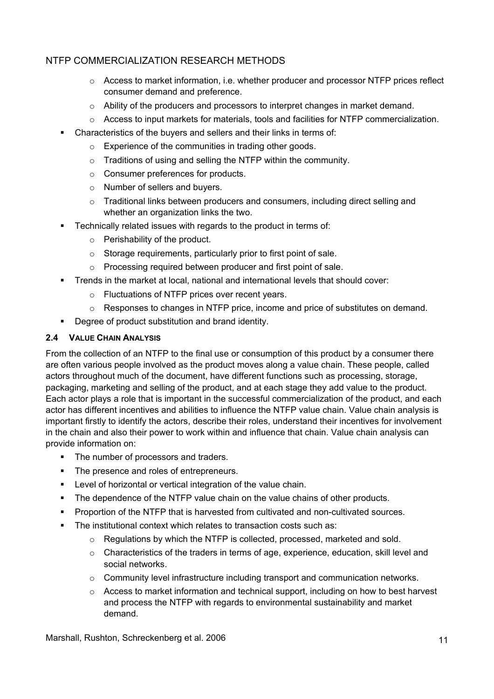- $\circ$  Access to market information, i.e. whether producer and processor NTFP prices reflect consumer demand and preference.
- $\circ$  Ability of the producers and processors to interpret changes in market demand.
- o Access to input markets for materials, tools and facilities for NTFP commercialization.
- Characteristics of the buyers and sellers and their links in terms of:
	- o Experience of the communities in trading other goods.
	- o Traditions of using and selling the NTFP within the community.
	- o Consumer preferences for products.
	- o Number of sellers and buyers.
	- $\circ$  Traditional links between producers and consumers, including direct selling and whether an organization links the two.
- Technically related issues with regards to the product in terms of:
	- o Perishability of the product.
	- o Storage requirements, particularly prior to first point of sale.
	- o Processing required between producer and first point of sale.
- Trends in the market at local, national and international levels that should cover:
	- o Fluctuations of NTFP prices over recent years.
	- o Responses to changes in NTFP price, income and price of substitutes on demand.
- **•** Degree of product substitution and brand identity.

### **2.4 VALUE CHAIN ANALYSIS**

From the collection of an NTFP to the final use or consumption of this product by a consumer there are often various people involved as the product moves along a value chain. These people, called actors throughout much of the document, have different functions such as processing, storage, packaging, marketing and selling of the product, and at each stage they add value to the product. Each actor plays a role that is important in the successful commercialization of the product, and each actor has different incentives and abilities to influence the NTFP value chain. Value chain analysis is important firstly to identify the actors, describe their roles, understand their incentives for involvement in the chain and also their power to work within and influence that chain. Value chain analysis can provide information on:

- The number of processors and traders.
- The presence and roles of entrepreneurs.
- **Level of horizontal or vertical integration of the value chain.**
- The dependence of the NTFP value chain on the value chains of other products.
- Proportion of the NTFP that is harvested from cultivated and non-cultivated sources.
- The institutional context which relates to transaction costs such as:
	- $\circ$  Regulations by which the NTFP is collected, processed, marketed and sold.
	- $\circ$  Characteristics of the traders in terms of age, experience, education, skill level and social networks.
	- $\circ$  Community level infrastructure including transport and communication networks.
	- $\circ$  Access to market information and technical support, including on how to best harvest and process the NTFP with regards to environmental sustainability and market demand.

Marshall, Rushton, Schreckenberg et al. 2006 11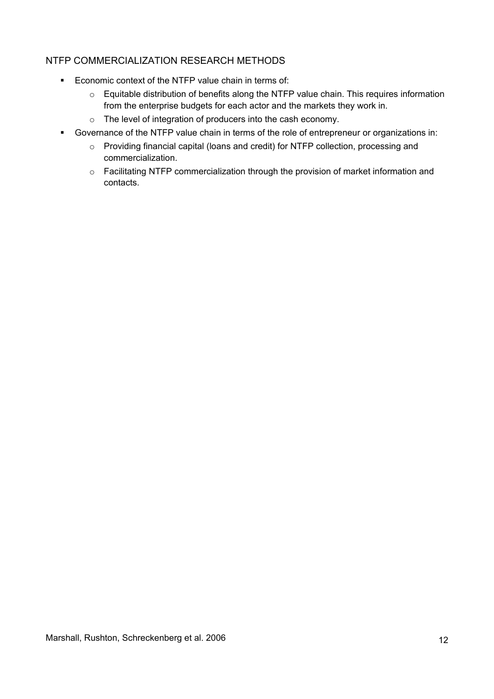- Economic context of the NTFP value chain in terms of:
	- o Equitable distribution of benefits along the NTFP value chain. This requires information from the enterprise budgets for each actor and the markets they work in.
	- o The level of integration of producers into the cash economy.
- Governance of the NTFP value chain in terms of the role of entrepreneur or organizations in:
	- o Providing financial capital (loans and credit) for NTFP collection, processing and commercialization.
	- o Facilitating NTFP commercialization through the provision of market information and contacts.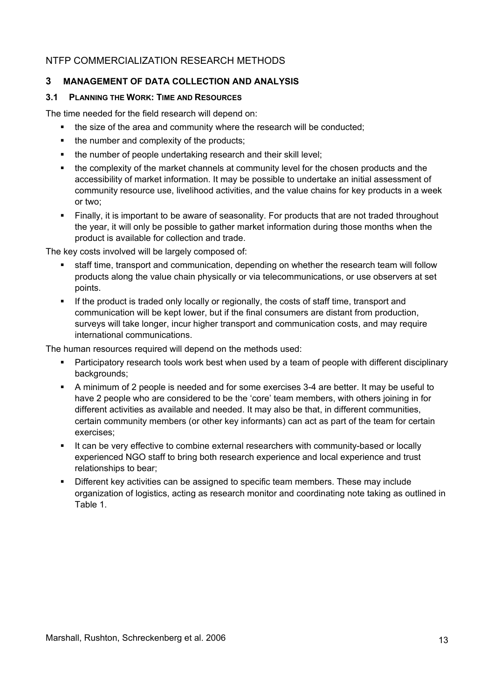### **3 MANAGEMENT OF DATA COLLECTION AND ANALYSIS**

#### **3.1 PLANNING THE WORK: TIME AND RESOURCES**

The time needed for the field research will depend on:

- the size of the area and community where the research will be conducted;
- the number and complexity of the products;
- the number of people undertaking research and their skill level;
- the complexity of the market channels at community level for the chosen products and the accessibility of market information. It may be possible to undertake an initial assessment of community resource use, livelihood activities, and the value chains for key products in a week or two;
- Finally, it is important to be aware of seasonality. For products that are not traded throughout the year, it will only be possible to gather market information during those months when the product is available for collection and trade.

The key costs involved will be largely composed of:

- staff time, transport and communication, depending on whether the research team will follow products along the value chain physically or via telecommunications, or use observers at set points.
- If the product is traded only locally or regionally, the costs of staff time, transport and communication will be kept lower, but if the final consumers are distant from production, surveys will take longer, incur higher transport and communication costs, and may require international communications.

The human resources required will depend on the methods used:

- Participatory research tools work best when used by a team of people with different disciplinary backgrounds;
- A minimum of 2 people is needed and for some exercises 3-4 are better. It may be useful to have 2 people who are considered to be the 'core' team members, with others joining in for different activities as available and needed. It may also be that, in different communities, certain community members (or other key informants) can act as part of the team for certain exercises;
- It can be very effective to combine external researchers with community-based or locally experienced NGO staff to bring both research experience and local experience and trust relationships to bear;
- **Different key activities can be assigned to specific team members. These may include** organization of logistics, acting as research monitor and coordinating note taking as outlined in Table 1.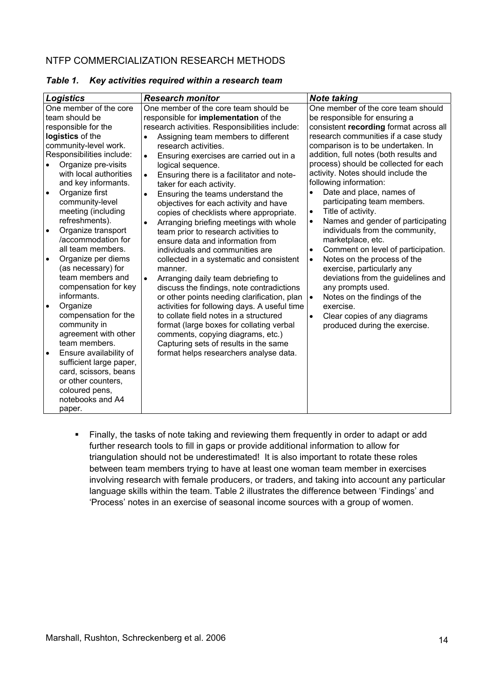| <b>Logistics</b>                            | <b>Research monitor</b>                                | <b>Note taking</b>                             |
|---------------------------------------------|--------------------------------------------------------|------------------------------------------------|
| One member of the core                      | One member of the core team should be                  | One member of the core team should             |
| team should be                              | responsible for implementation of the                  | be responsible for ensuring a                  |
| responsible for the                         | research activities. Responsibilities include:         | consistent recording format across all         |
| logistics of the                            | Assigning team members to different<br>$\bullet$       | research communities if a case study           |
| community-level work.                       | research activities.                                   | comparison is to be undertaken. In             |
| Responsibilities include:                   | Ensuring exercises are carried out in a<br>$\bullet$   | addition, full notes (both results and         |
| Organize pre-visits                         | logical sequence.                                      | process) should be collected for each          |
| with local authorities                      | Ensuring there is a facilitator and note-<br>$\bullet$ | activity. Notes should include the             |
| and key informants.                         | taker for each activity.                               | following information:                         |
| Organize first<br>$\bullet$                 | Ensuring the teams understand the<br>$\bullet$         | Date and place, names of<br>$\bullet$          |
| community-level                             | objectives for each activity and have                  | participating team members.                    |
| meeting (including                          | copies of checklists where appropriate.                | Title of activity.<br>$\bullet$                |
| refreshments).                              | Arranging briefing meetings with whole<br>$\bullet$    | Names and gender of participating<br>$\bullet$ |
| Organize transport<br>$\bullet$             | team prior to research activities to                   | individuals from the community,                |
| /accommodation for                          | ensure data and information from                       | marketplace, etc.                              |
| all team members.                           | individuals and communities are                        | Comment on level of participation.             |
| Organize per diems<br>$\bullet$             | collected in a systematic and consistent               | Notes on the process of the<br>$\bullet$       |
| (as necessary) for                          | manner.                                                | exercise, particularly any                     |
| team members and                            | Arranging daily team debriefing to<br>$\bullet$        | deviations from the guidelines and             |
| compensation for key                        | discuss the findings, note contradictions              | any prompts used.                              |
| informants.                                 | or other points needing clarification, plan            | Notes on the findings of the<br>$\bullet$      |
| Organize<br>$\bullet$                       | activities for following days. A useful time           | exercise.                                      |
| compensation for the                        | to collate field notes in a structured                 | Clear copies of any diagrams<br>$\bullet$      |
| community in                                | format (large boxes for collating verbal               | produced during the exercise.                  |
| agreement with other                        | comments, copying diagrams, etc.)                      |                                                |
| team members.                               | Capturing sets of results in the same                  |                                                |
| Ensure availability of<br>$\bullet$         | format helps researchers analyse data.                 |                                                |
| sufficient large paper,                     |                                                        |                                                |
| card, scissors, beans<br>or other counters, |                                                        |                                                |
| coloured pens,                              |                                                        |                                                |
| notebooks and A4                            |                                                        |                                                |
|                                             |                                                        |                                                |
| paper.                                      |                                                        |                                                |

*Table 1. Key activities required within a research team* 

Finally, the tasks of note taking and reviewing them frequently in order to adapt or add further research tools to fill in gaps or provide additional information to allow for triangulation should not be underestimated! It is also important to rotate these roles between team members trying to have at least one woman team member in exercises involving research with female producers, or traders, and taking into account any particular language skills within the team. Table 2 illustrates the difference between 'Findings' and 'Process' notes in an exercise of seasonal income sources with a group of women.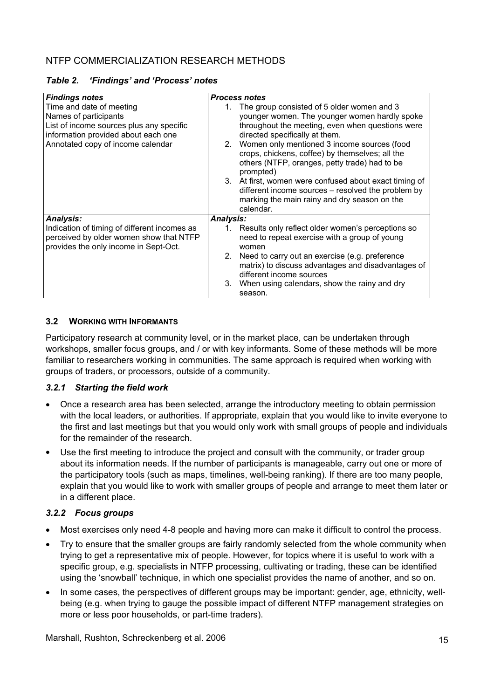|  | Table 2. 'Findings' and 'Process' notes |  |  |  |
|--|-----------------------------------------|--|--|--|
|--|-----------------------------------------|--|--|--|

| <b>Findings notes</b>                                                                                                                                                     | <b>Process notes</b>                                                                                                                                                                                                                                                                                                                                                                                              |
|---------------------------------------------------------------------------------------------------------------------------------------------------------------------------|-------------------------------------------------------------------------------------------------------------------------------------------------------------------------------------------------------------------------------------------------------------------------------------------------------------------------------------------------------------------------------------------------------------------|
| Time and date of meeting<br>Names of participants<br>List of income sources plus any specific<br>information provided about each one<br>Annotated copy of income calendar | The group consisted of 5 older women and 3<br>younger women. The younger women hardly spoke<br>throughout the meeting, even when questions were<br>directed specifically at them.<br>Women only mentioned 3 income sources (food<br>2.<br>crops, chickens, coffee) by themselves; all the<br>others (NTFP, oranges, petty trade) had to be<br>prompted)<br>3. At first, women were confused about exact timing of |
|                                                                                                                                                                           | different income sources – resolved the problem by<br>marking the main rainy and dry season on the<br>calendar.                                                                                                                                                                                                                                                                                                   |
| <b>Analysis:</b>                                                                                                                                                          | Analysis:                                                                                                                                                                                                                                                                                                                                                                                                         |
| Indication of timing of different incomes as<br>perceived by older women show that NTFP<br>provides the only income in Sept-Oct.                                          | 1. Results only reflect older women's perceptions so<br>need to repeat exercise with a group of young<br>women                                                                                                                                                                                                                                                                                                    |
|                                                                                                                                                                           | Need to carry out an exercise (e.g. preference<br>2 <sub>1</sub><br>matrix) to discuss advantages and disadvantages of<br>different income sources                                                                                                                                                                                                                                                                |
|                                                                                                                                                                           | When using calendars, show the rainy and dry<br>3.<br>season.                                                                                                                                                                                                                                                                                                                                                     |

### **3.2 WORKING WITH INFORMANTS**

Participatory research at community level, or in the market place, can be undertaken through workshops, smaller focus groups, and / or with key informants. Some of these methods will be more familiar to researchers working in communities. The same approach is required when working with groups of traders, or processors, outside of a community.

### *3.2.1 Starting the field work*

- Once a research area has been selected, arrange the introductory meeting to obtain permission with the local leaders, or authorities. If appropriate, explain that you would like to invite everyone to the first and last meetings but that you would only work with small groups of people and individuals for the remainder of the research.
- Use the first meeting to introduce the project and consult with the community, or trader group about its information needs. If the number of participants is manageable, carry out one or more of the participatory tools (such as maps, timelines, well-being ranking). If there are too many people, explain that you would like to work with smaller groups of people and arrange to meet them later or in a different place.

### *3.2.2 Focus groups*

- Most exercises only need 4-8 people and having more can make it difficult to control the process.
- Try to ensure that the smaller groups are fairly randomly selected from the whole community when trying to get a representative mix of people. However, for topics where it is useful to work with a specific group, e.g. specialists in NTFP processing, cultivating or trading, these can be identified using the 'snowball' technique, in which one specialist provides the name of another, and so on.
- In some cases, the perspectives of different groups may be important: gender, age, ethnicity, wellbeing (e.g. when trying to gauge the possible impact of different NTFP management strategies on more or less poor households, or part-time traders).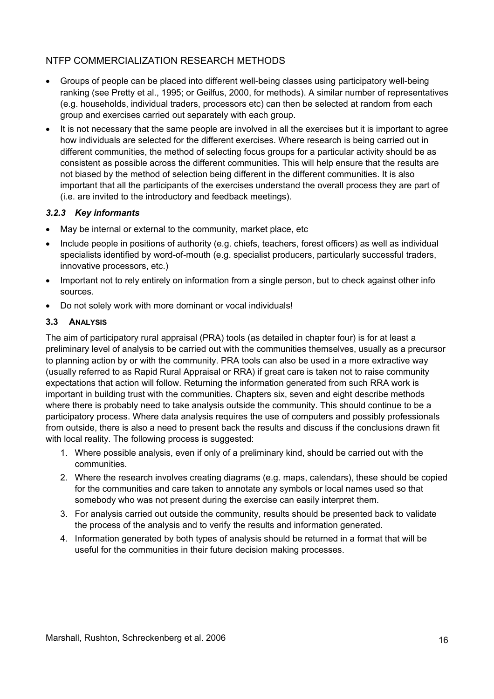- Groups of people can be placed into different well-being classes using participatory well-being ranking (see Pretty et al., 1995; or Geilfus, 2000, for methods). A similar number of representatives (e.g. households, individual traders, processors etc) can then be selected at random from each group and exercises carried out separately with each group.
- It is not necessary that the same people are involved in all the exercises but it is important to agree how individuals are selected for the different exercises. Where research is being carried out in different communities, the method of selecting focus groups for a particular activity should be as consistent as possible across the different communities. This will help ensure that the results are not biased by the method of selection being different in the different communities. It is also important that all the participants of the exercises understand the overall process they are part of (i.e. are invited to the introductory and feedback meetings).

### *3.2.3 Key informants*

- May be internal or external to the community, market place, etc
- Include people in positions of authority (e.g. chiefs, teachers, forest officers) as well as individual specialists identified by word-of-mouth (e.g. specialist producers, particularly successful traders, innovative processors, etc.)
- Important not to rely entirely on information from a single person, but to check against other info sources.
- Do not solely work with more dominant or vocal individuals!

### **3.3 ANALYSIS**

The aim of participatory rural appraisal (PRA) tools (as detailed in chapter four) is for at least a preliminary level of analysis to be carried out with the communities themselves, usually as a precursor to planning action by or with the community. PRA tools can also be used in a more extractive way (usually referred to as Rapid Rural Appraisal or RRA) if great care is taken not to raise community expectations that action will follow. Returning the information generated from such RRA work is important in building trust with the communities. Chapters six, seven and eight describe methods where there is probably need to take analysis outside the community. This should continue to be a participatory process. Where data analysis requires the use of computers and possibly professionals from outside, there is also a need to present back the results and discuss if the conclusions drawn fit with local reality. The following process is suggested:

- 1. Where possible analysis, even if only of a preliminary kind, should be carried out with the communities.
- 2. Where the research involves creating diagrams (e.g. maps, calendars), these should be copied for the communities and care taken to annotate any symbols or local names used so that somebody who was not present during the exercise can easily interpret them.
- 3. For analysis carried out outside the community, results should be presented back to validate the process of the analysis and to verify the results and information generated.
- 4. Information generated by both types of analysis should be returned in a format that will be useful for the communities in their future decision making processes.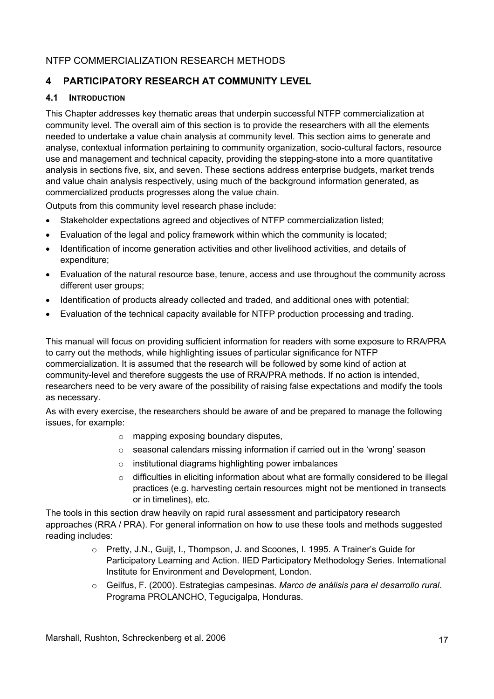## **4 PARTICIPATORY RESEARCH AT COMMUNITY LEVEL**

#### **4.1 INTRODUCTION**

This Chapter addresses key thematic areas that underpin successful NTFP commercialization at community level. The overall aim of this section is to provide the researchers with all the elements needed to undertake a value chain analysis at community level. This section aims to generate and analyse, contextual information pertaining to community organization, socio-cultural factors, resource use and management and technical capacity, providing the stepping-stone into a more quantitative analysis in sections five, six, and seven. These sections address enterprise budgets, market trends and value chain analysis respectively, using much of the background information generated, as commercialized products progresses along the value chain.

Outputs from this community level research phase include:

- Stakeholder expectations agreed and objectives of NTFP commercialization listed;
- Evaluation of the legal and policy framework within which the community is located;
- Identification of income generation activities and other livelihood activities, and details of expenditure;
- Evaluation of the natural resource base, tenure, access and use throughout the community across different user groups;
- Identification of products already collected and traded, and additional ones with potential;
- Evaluation of the technical capacity available for NTFP production processing and trading.

This manual will focus on providing sufficient information for readers with some exposure to RRA/PRA to carry out the methods, while highlighting issues of particular significance for NTFP commercialization. It is assumed that the research will be followed by some kind of action at community-level and therefore suggests the use of RRA/PRA methods. If no action is intended, researchers need to be very aware of the possibility of raising false expectations and modify the tools as necessary.

As with every exercise, the researchers should be aware of and be prepared to manage the following issues, for example:

- o mapping exposing boundary disputes,
- o seasonal calendars missing information if carried out in the 'wrong' season
- o institutional diagrams highlighting power imbalances
- o difficulties in eliciting information about what are formally considered to be illegal practices (e.g. harvesting certain resources might not be mentioned in transects or in timelines), etc.

The tools in this section draw heavily on rapid rural assessment and participatory research approaches (RRA / PRA). For general information on how to use these tools and methods suggested reading includes:

- o Pretty, J.N., Guijt, I., Thompson, J. and Scoones, I. 1995. A Trainer's Guide for Participatory Learning and Action. IIED Participatory Methodology Series. International Institute for Environment and Development, London.
- o Geilfus, F. (2000). Estrategias campesinas. *Marco de análisis para el desarrollo rural*. Programa PROLANCHO, Tegucigalpa, Honduras.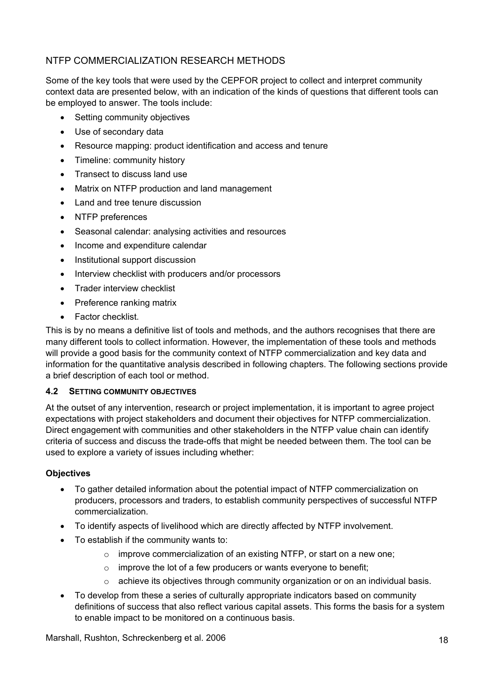Some of the key tools that were used by the CEPFOR project to collect and interpret community context data are presented below, with an indication of the kinds of questions that different tools can be employed to answer. The tools include:

- Setting community objectives
- Use of secondary data
- Resource mapping: product identification and access and tenure
- Timeline: community history
- Transect to discuss land use
- Matrix on NTFP production and land management
- Land and tree tenure discussion
- NTFP preferences
- Seasonal calendar: analysing activities and resources
- Income and expenditure calendar
- Institutional support discussion
- Interview checklist with producers and/or processors
- Trader interview checklist
- Preference ranking matrix
- Factor checklist.

This is by no means a definitive list of tools and methods, and the authors recognises that there are many different tools to collect information. However, the implementation of these tools and methods will provide a good basis for the community context of NTFP commercialization and key data and information for the quantitative analysis described in following chapters. The following sections provide a brief description of each tool or method.

#### **4.2 SETTING COMMUNITY OBJECTIVES**

At the outset of any intervention, research or project implementation, it is important to agree project expectations with project stakeholders and document their objectives for NTFP commercialization. Direct engagement with communities and other stakeholders in the NTFP value chain can identify criteria of success and discuss the trade-offs that might be needed between them. The tool can be used to explore a variety of issues including whether:

#### **Objectives**

- To gather detailed information about the potential impact of NTFP commercialization on producers, processors and traders, to establish community perspectives of successful NTFP commercialization.
- To identify aspects of livelihood which are directly affected by NTFP involvement.
- To establish if the community wants to:
	- $\circ$  improve commercialization of an existing NTFP, or start on a new one;
	- $\circ$  improve the lot of a few producers or wants everyone to benefit;
	- $\circ$  achieve its objectives through community organization or on an individual basis.
- To develop from these a series of culturally appropriate indicators based on community definitions of success that also reflect various capital assets. This forms the basis for a system to enable impact to be monitored on a continuous basis.

Marshall, Rushton, Schreckenberg et al. 2006 18 and 18 and 18 and 18 and 18 and 18 and 18 and 18 and 18 and 18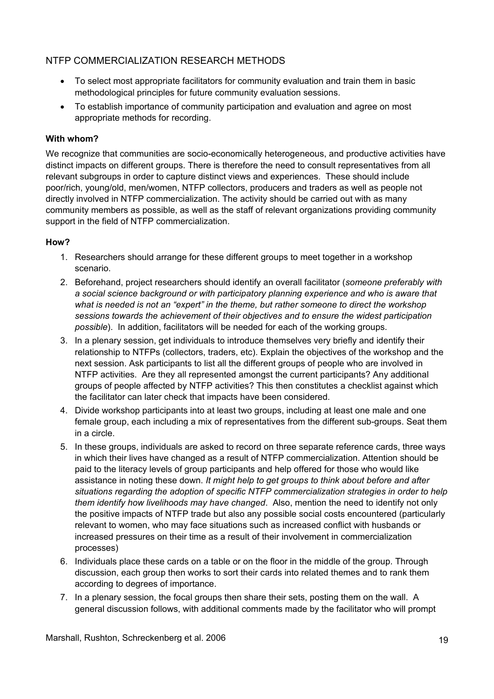- To select most appropriate facilitators for community evaluation and train them in basic methodological principles for future community evaluation sessions.
- To establish importance of community participation and evaluation and agree on most appropriate methods for recording.

### **With whom?**

We recognize that communities are socio-economically heterogeneous, and productive activities have distinct impacts on different groups. There is therefore the need to consult representatives from all relevant subgroups in order to capture distinct views and experiences. These should include poor/rich, young/old, men/women, NTFP collectors, producers and traders as well as people not directly involved in NTFP commercialization. The activity should be carried out with as many community members as possible, as well as the staff of relevant organizations providing community support in the field of NTFP commercialization.

### **How?**

- 1. Researchers should arrange for these different groups to meet together in a workshop scenario.
- 2. Beforehand, project researchers should identify an overall facilitator (*someone preferably with a social science background or with participatory planning experience and who is aware that what is needed is not an "expert" in the theme, but rather someone to direct the workshop sessions towards the achievement of their objectives and to ensure the widest participation possible*). In addition, facilitators will be needed for each of the working groups.
- 3. In a plenary session, get individuals to introduce themselves very briefly and identify their relationship to NTFPs (collectors, traders, etc). Explain the objectives of the workshop and the next session. Ask participants to list all the different groups of people who are involved in NTFP activities. Are they all represented amongst the current participants? Any additional groups of people affected by NTFP activities? This then constitutes a checklist against which the facilitator can later check that impacts have been considered.
- 4. Divide workshop participants into at least two groups, including at least one male and one female group, each including a mix of representatives from the different sub-groups. Seat them in a circle.
- 5. In these groups, individuals are asked to record on three separate reference cards, three ways in which their lives have changed as a result of NTFP commercialization. Attention should be paid to the literacy levels of group participants and help offered for those who would like assistance in noting these down. *It might help to get groups to think about before and after situations regarding the adoption of specific NTFP commercialization strategies in order to help them identify how livelihoods may have changed*. Also, mention the need to identify not only the positive impacts of NTFP trade but also any possible social costs encountered (particularly relevant to women, who may face situations such as increased conflict with husbands or increased pressures on their time as a result of their involvement in commercialization processes)
- 6. Individuals place these cards on a table or on the floor in the middle of the group. Through discussion, each group then works to sort their cards into related themes and to rank them according to degrees of importance.
- 7. In a plenary session, the focal groups then share their sets, posting them on the wall. A general discussion follows, with additional comments made by the facilitator who will prompt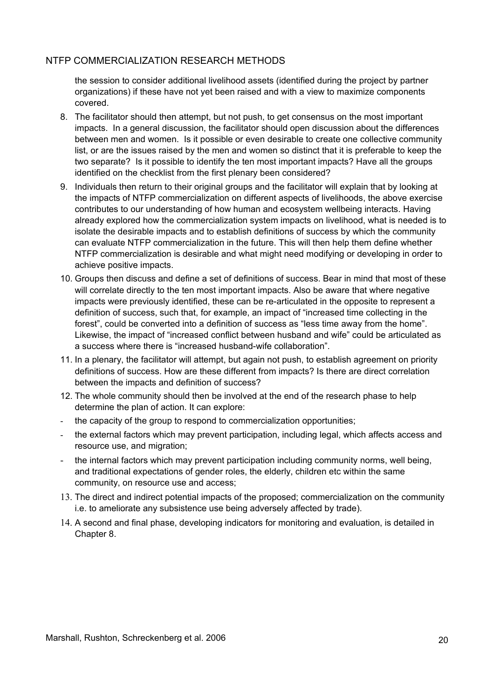the session to consider additional livelihood assets (identified during the project by partner organizations) if these have not yet been raised and with a view to maximize components covered.

- 8. The facilitator should then attempt, but not push, to get consensus on the most important impacts. In a general discussion, the facilitator should open discussion about the differences between men and women. Is it possible or even desirable to create one collective community list, or are the issues raised by the men and women so distinct that it is preferable to keep the two separate? Is it possible to identify the ten most important impacts? Have all the groups identified on the checklist from the first plenary been considered?
- 9. Individuals then return to their original groups and the facilitator will explain that by looking at the impacts of NTFP commercialization on different aspects of livelihoods, the above exercise contributes to our understanding of how human and ecosystem wellbeing interacts. Having already explored how the commercialization system impacts on livelihood, what is needed is to isolate the desirable impacts and to establish definitions of success by which the community can evaluate NTFP commercialization in the future. This will then help them define whether NTFP commercialization is desirable and what might need modifying or developing in order to achieve positive impacts.
- 10. Groups then discuss and define a set of definitions of success. Bear in mind that most of these will correlate directly to the ten most important impacts. Also be aware that where negative impacts were previously identified, these can be re-articulated in the opposite to represent a definition of success, such that, for example, an impact of "increased time collecting in the forest", could be converted into a definition of success as "less time away from the home". Likewise, the impact of "increased conflict between husband and wife" could be articulated as a success where there is "increased husband-wife collaboration".
- 11. In a plenary, the facilitator will attempt, but again not push, to establish agreement on priority definitions of success. How are these different from impacts? Is there are direct correlation between the impacts and definition of success?
- 12. The whole community should then be involved at the end of the research phase to help determine the plan of action. It can explore:
- the capacity of the group to respond to commercialization opportunities;
- the external factors which may prevent participation, including legal, which affects access and resource use, and migration;
- the internal factors which may prevent participation including community norms, well being, and traditional expectations of gender roles, the elderly, children etc within the same community, on resource use and access;
- 13. The direct and indirect potential impacts of the proposed; commercialization on the community i.e. to ameliorate any subsistence use being adversely affected by trade).
- 14. A second and final phase, developing indicators for monitoring and evaluation, is detailed in Chapter 8.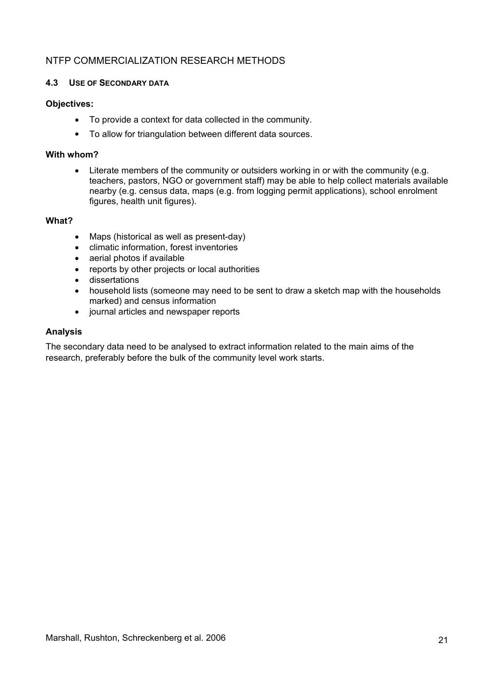#### **4.3 USE OF SECONDARY DATA**

#### **Objectives:**

- To provide a context for data collected in the community.
- To allow for triangulation between different data sources.

#### **With whom?**

• Literate members of the community or outsiders working in or with the community (e.g. teachers, pastors, NGO or government staff) may be able to help collect materials available nearby (e.g. census data, maps (e.g. from logging permit applications), school enrolment figures, health unit figures).

#### **What?**

- Maps (historical as well as present-day)
- climatic information, forest inventories
- aerial photos if available
- reports by other projects or local authorities
- dissertations
- household lists (someone may need to be sent to draw a sketch map with the households marked) and census information
- journal articles and newspaper reports

#### **Analysis**

The secondary data need to be analysed to extract information related to the main aims of the research, preferably before the bulk of the community level work starts.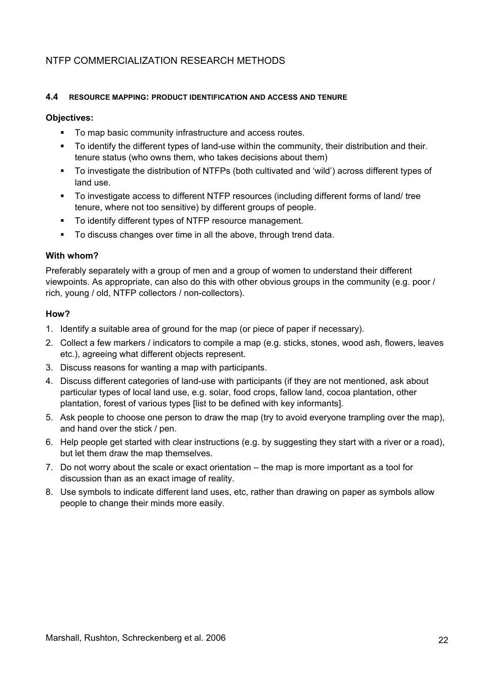#### **4.4 RESOURCE MAPPING: PRODUCT IDENTIFICATION AND ACCESS AND TENURE**

#### **Objectives:**

- To map basic community infrastructure and access routes.
- To identify the different types of land-use within the community, their distribution and their. tenure status (who owns them, who takes decisions about them)
- To investigate the distribution of NTFPs (both cultivated and 'wild') across different types of land use.
- To investigate access to different NTFP resources (including different forms of land/ tree tenure, where not too sensitive) by different groups of people.
- To identify different types of NTFP resource management.
- To discuss changes over time in all the above, through trend data.

#### **With whom?**

Preferably separately with a group of men and a group of women to understand their different viewpoints. As appropriate, can also do this with other obvious groups in the community (e.g. poor / rich, young / old, NTFP collectors / non-collectors).

#### **How?**

- 1. Identify a suitable area of ground for the map (or piece of paper if necessary).
- 2. Collect a few markers / indicators to compile a map (e.g. sticks, stones, wood ash, flowers, leaves etc.), agreeing what different objects represent.
- 3. Discuss reasons for wanting a map with participants.
- 4. Discuss different categories of land-use with participants (if they are not mentioned, ask about particular types of local land use, e.g. solar, food crops, fallow land, cocoa plantation, other plantation, forest of various types [list to be defined with key informants].
- 5. Ask people to choose one person to draw the map (try to avoid everyone trampling over the map), and hand over the stick / pen.
- 6. Help people get started with clear instructions (e.g. by suggesting they start with a river or a road), but let them draw the map themselves.
- 7. Do not worry about the scale or exact orientation the map is more important as a tool for discussion than as an exact image of reality.
- 8. Use symbols to indicate different land uses, etc, rather than drawing on paper as symbols allow people to change their minds more easily.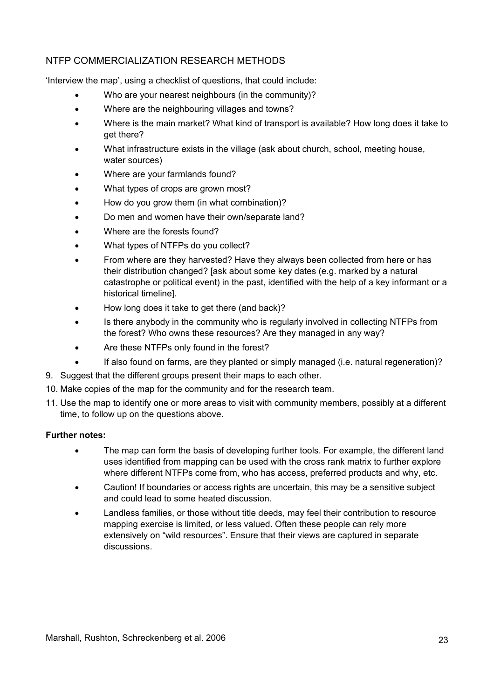'Interview the map', using a checklist of questions, that could include:

- Who are your nearest neighbours (in the community)?
- Where are the neighbouring villages and towns?
- Where is the main market? What kind of transport is available? How long does it take to get there?
- What infrastructure exists in the village (ask about church, school, meeting house, water sources)
- Where are your farmlands found?
- What types of crops are grown most?
- How do you grow them (in what combination)?
- Do men and women have their own/separate land?
- Where are the forests found?
- What types of NTFPs do you collect?
- From where are they harvested? Have they always been collected from here or has their distribution changed? [ask about some key dates (e.g. marked by a natural catastrophe or political event) in the past, identified with the help of a key informant or a historical timeline].
- How long does it take to get there (and back)?
- Is there anybody in the community who is regularly involved in collecting NTFPs from the forest? Who owns these resources? Are they managed in any way?
- Are these NTFPs only found in the forest?
- If also found on farms, are they planted or simply managed (i.e. natural regeneration)?
- 9. Suggest that the different groups present their maps to each other.
- 10. Make copies of the map for the community and for the research team.
- 11. Use the map to identify one or more areas to visit with community members, possibly at a different time, to follow up on the questions above.

#### **Further notes:**

- The map can form the basis of developing further tools. For example, the different land uses identified from mapping can be used with the cross rank matrix to further explore where different NTFPs come from, who has access, preferred products and why, etc.
- Caution! If boundaries or access rights are uncertain, this may be a sensitive subject and could lead to some heated discussion.
- Landless families, or those without title deeds, may feel their contribution to resource mapping exercise is limited, or less valued. Often these people can rely more extensively on "wild resources". Ensure that their views are captured in separate discussions.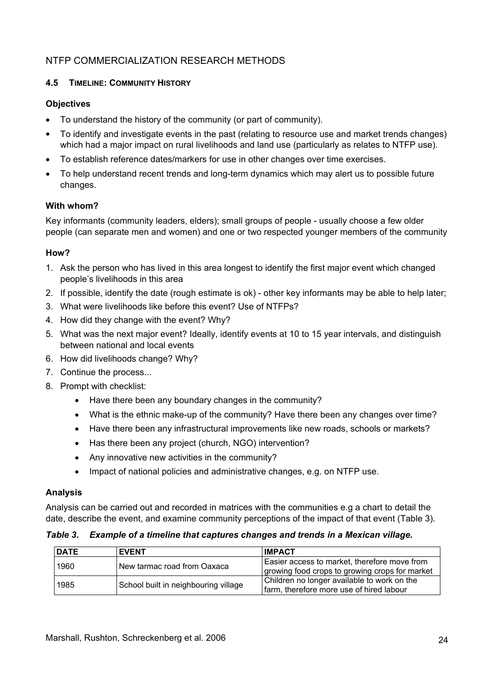### **4.5 TIMELINE: COMMUNITY HISTORY**

#### **Objectives**

- To understand the history of the community (or part of community).
- To identify and investigate events in the past (relating to resource use and market trends changes) which had a major impact on rural livelihoods and land use (particularly as relates to NTFP use).
- To establish reference dates/markers for use in other changes over time exercises.
- To help understand recent trends and long-term dynamics which may alert us to possible future changes.

### **With whom?**

Key informants (community leaders, elders); small groups of people - usually choose a few older people (can separate men and women) and one or two respected younger members of the community

### **How?**

- 1. Ask the person who has lived in this area longest to identify the first major event which changed people's livelihoods in this area
- 2. If possible, identify the date (rough estimate is ok) other key informants may be able to help later;
- 3. What were livelihoods like before this event? Use of NTFPs?
- 4. How did they change with the event? Why?
- 5. What was the next major event? Ideally, identify events at 10 to 15 year intervals, and distinguish between national and local events
- 6. How did livelihoods change? Why?
- 7. Continue the process...
- 8. Prompt with checklist:
	- Have there been any boundary changes in the community?
	- What is the ethnic make-up of the community? Have there been any changes over time?
	- Have there been any infrastructural improvements like new roads, schools or markets?
	- Has there been any project (church, NGO) intervention?
	- Any innovative new activities in the community?
	- Impact of national policies and administrative changes, e.g. on NTFP use.

#### **Analysis**

Analysis can be carried out and recorded in matrices with the communities e.g a chart to detail the date, describe the event, and examine community perceptions of the impact of that event (Table 3).

#### *Table 3. Example of a timeline that captures changes and trends in a Mexican village.*

| <b>DATE</b> | <b>EVENT</b>                         | <b>IMPACT</b>                                                                                  |
|-------------|--------------------------------------|------------------------------------------------------------------------------------------------|
| 1960        | New tarmac road from Oaxaca          | Easier access to market, therefore move from<br>growing food crops to growing crops for market |
| 1985        | School built in neighbouring village | Children no longer available to work on the<br>farm, therefore more use of hired labour        |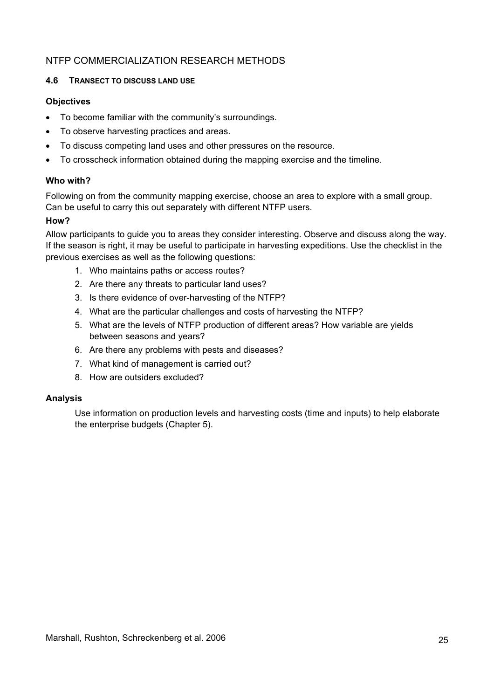#### **4.6 TRANSECT TO DISCUSS LAND USE**

#### **Objectives**

- To become familiar with the community's surroundings.
- To observe harvesting practices and areas.
- To discuss competing land uses and other pressures on the resource.
- To crosscheck information obtained during the mapping exercise and the timeline.

### **Who with?**

Following on from the community mapping exercise, choose an area to explore with a small group. Can be useful to carry this out separately with different NTFP users.

### **How?**

Allow participants to guide you to areas they consider interesting. Observe and discuss along the way. If the season is right, it may be useful to participate in harvesting expeditions. Use the checklist in the previous exercises as well as the following questions:

- 1. Who maintains paths or access routes?
- 2. Are there any threats to particular land uses?
- 3. Is there evidence of over-harvesting of the NTFP?
- 4. What are the particular challenges and costs of harvesting the NTFP?
- 5. What are the levels of NTFP production of different areas? How variable are yields between seasons and years?
- 6. Are there any problems with pests and diseases?
- 7. What kind of management is carried out?
- 8. How are outsiders excluded?

#### **Analysis**

Use information on production levels and harvesting costs (time and inputs) to help elaborate the enterprise budgets (Chapter 5).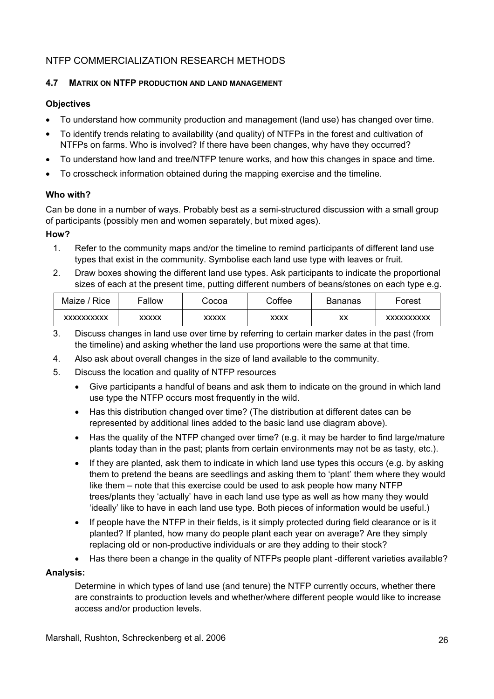### **4.7 MATRIX ON NTFP PRODUCTION AND LAND MANAGEMENT**

### **Objectives**

- To understand how community production and management (land use) has changed over time.
- To identify trends relating to availability (and quality) of NTFPs in the forest and cultivation of NTFPs on farms. Who is involved? If there have been changes, why have they occurred?
- To understand how land and tree/NTFP tenure works, and how this changes in space and time.
- To crosscheck information obtained during the mapping exercise and the timeline.

### **Who with?**

Can be done in a number of ways. Probably best as a semi-structured discussion with a small group of participants (possibly men and women separately, but mixed ages).

#### **How?**

- 1. Refer to the community maps and/or the timeline to remind participants of different land use types that exist in the community. Symbolise each land use type with leaves or fruit.
- 2. Draw boxes showing the different land use types. Ask participants to indicate the proportional sizes of each at the present time, putting different numbers of beans/stones on each type e.g.

| Maize /<br>Rice   | Fallow | Cocoa        | Coffee | <b>Bananas</b> | Forest            |
|-------------------|--------|--------------|--------|----------------|-------------------|
| <b>XXXXXXXXXX</b> | XXXXX  | <b>XXXXX</b> | XXXX   | XХ             | <b>XXXXXXXXXX</b> |

- 3. Discuss changes in land use over time by referring to certain marker dates in the past (from the timeline) and asking whether the land use proportions were the same at that time.
- 4. Also ask about overall changes in the size of land available to the community.
- 5. Discuss the location and quality of NTFP resources
	- Give participants a handful of beans and ask them to indicate on the ground in which land use type the NTFP occurs most frequently in the wild.
	- Has this distribution changed over time? (The distribution at different dates can be represented by additional lines added to the basic land use diagram above).
	- Has the quality of the NTFP changed over time? (e.g. it may be harder to find large/mature plants today than in the past; plants from certain environments may not be as tasty, etc.).
	- If they are planted, ask them to indicate in which land use types this occurs (e.g. by asking them to pretend the beans are seedlings and asking them to 'plant' them where they would like them – note that this exercise could be used to ask people how many NTFP trees/plants they 'actually' have in each land use type as well as how many they would 'ideally' like to have in each land use type. Both pieces of information would be useful.)
	- If people have the NTFP in their fields, is it simply protected during field clearance or is it planted? If planted, how many do people plant each year on average? Are they simply replacing old or non-productive individuals or are they adding to their stock?
	- Has there been a change in the quality of NTFPs people plant -different varieties available?

#### **Analysis:**

Determine in which types of land use (and tenure) the NTFP currently occurs, whether there are constraints to production levels and whether/where different people would like to increase access and/or production levels.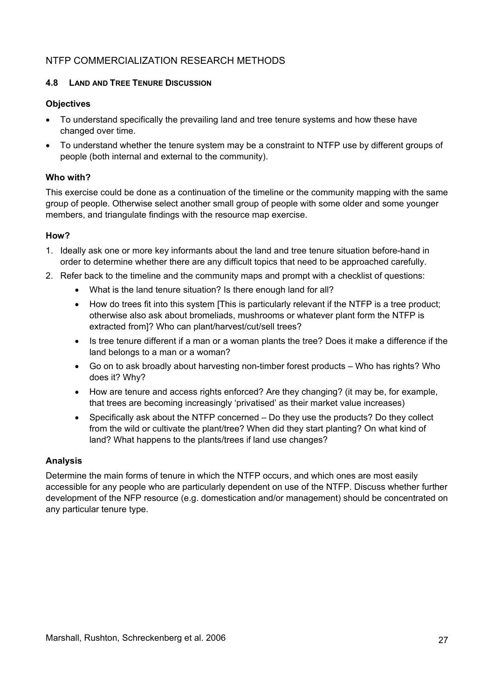### **4.8 LAND AND TREE TENURE DISCUSSION**

#### **Objectives**

- To understand specifically the prevailing land and tree tenure systems and how these have changed over time.
- To understand whether the tenure system may be a constraint to NTFP use by different groups of people (both internal and external to the community).

### **Who with?**

This exercise could be done as a continuation of the timeline or the community mapping with the same group of people. Otherwise select another small group of people with some older and some younger members, and triangulate findings with the resource map exercise.

### **How?**

- 1. Ideally ask one or more key informants about the land and tree tenure situation before-hand in order to determine whether there are any difficult topics that need to be approached carefully.
- 2. Refer back to the timeline and the community maps and prompt with a checklist of questions:
	- What is the land tenure situation? Is there enough land for all?
	- How do trees fit into this system [This is particularly relevant if the NTFP is a tree product; otherwise also ask about bromeliads, mushrooms or whatever plant form the NTFP is extracted from]? Who can plant/harvest/cut/sell trees?
	- Is tree tenure different if a man or a woman plants the tree? Does it make a difference if the land belongs to a man or a woman?
	- Go on to ask broadly about harvesting non-timber forest products Who has rights? Who does it? Why?
	- How are tenure and access rights enforced? Are they changing? (it may be, for example, that trees are becoming increasingly 'privatised' as their market value increases)
	- Specifically ask about the NTFP concerned Do they use the products? Do they collect from the wild or cultivate the plant/tree? When did they start planting? On what kind of land? What happens to the plants/trees if land use changes?

#### **Analysis**

Determine the main forms of tenure in which the NTFP occurs, and which ones are most easily accessible for any people who are particularly dependent on use of the NTFP. Discuss whether further development of the NFP resource (e.g. domestication and/or management) should be concentrated on any particular tenure type.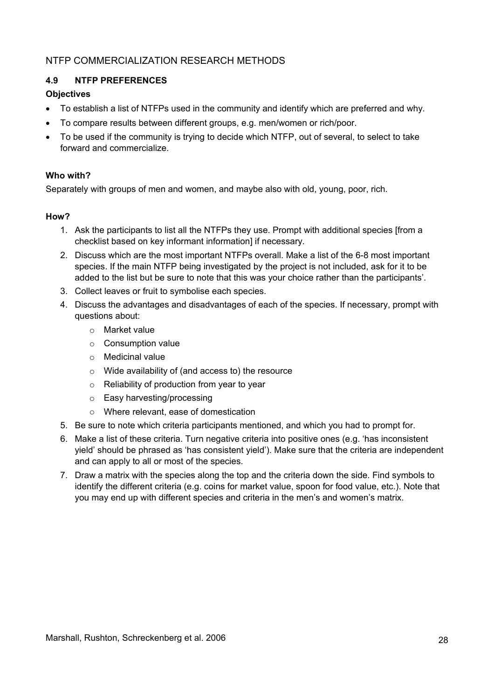## **4.9 NTFP PREFERENCES**

## **Objectives**

- To establish a list of NTFPs used in the community and identify which are preferred and why.
- To compare results between different groups, e.g. men/women or rich/poor.
- To be used if the community is trying to decide which NTFP, out of several, to select to take forward and commercialize.

### **Who with?**

Separately with groups of men and women, and maybe also with old, young, poor, rich.

### **How?**

- 1. Ask the participants to list all the NTFPs they use. Prompt with additional species [from a checklist based on key informant information] if necessary.
- 2. Discuss which are the most important NTFPs overall. Make a list of the 6-8 most important species. If the main NTFP being investigated by the project is not included, ask for it to be added to the list but be sure to note that this was your choice rather than the participants'.
- 3. Collect leaves or fruit to symbolise each species.
- 4. Discuss the advantages and disadvantages of each of the species. If necessary, prompt with questions about:
	- o Market value
	- o Consumption value
	- o Medicinal value
	- o Wide availability of (and access to) the resource
	- o Reliability of production from year to year
	- o Easy harvesting/processing
	- o Where relevant, ease of domestication
- 5. Be sure to note which criteria participants mentioned, and which you had to prompt for.
- 6. Make a list of these criteria. Turn negative criteria into positive ones (e.g. 'has inconsistent yield' should be phrased as 'has consistent yield'). Make sure that the criteria are independent and can apply to all or most of the species.
- 7. Draw a matrix with the species along the top and the criteria down the side. Find symbols to identify the different criteria (e.g. coins for market value, spoon for food value, etc.). Note that you may end up with different species and criteria in the men's and women's matrix.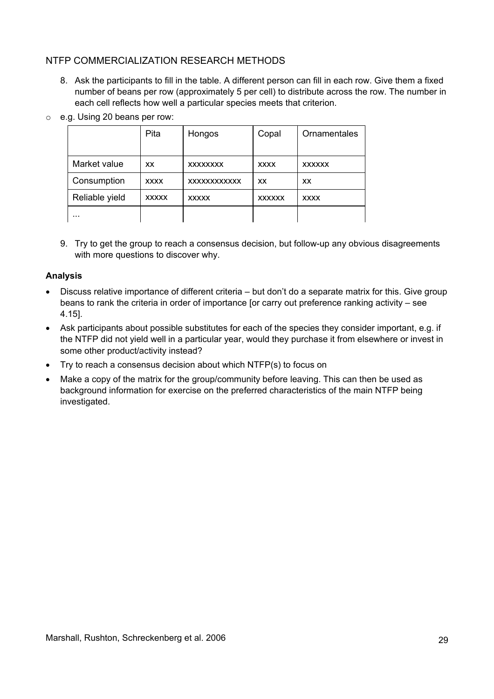8. Ask the participants to fill in the table. A different person can fill in each row. Give them a fixed number of beans per row (approximately 5 per cell) to distribute across the row. The number in each cell reflects how well a particular species meets that criterion.

| $\circ$ |  |  |  |  | e.g. Using 20 beans per row: |  |
|---------|--|--|--|--|------------------------------|--|
|---------|--|--|--|--|------------------------------|--|

|                | Pita         | Hongos              | Copal         | Ornamentales  |
|----------------|--------------|---------------------|---------------|---------------|
| Market value   | XX           | <b>XXXXXXXX</b>     | <b>XXXX</b>   | <b>XXXXXX</b> |
| Consumption    | <b>XXXX</b>  | <b>XXXXXXXXXXXX</b> | XX            | <b>XX</b>     |
| Reliable yield | <b>XXXXX</b> | <b>XXXXX</b>        | <b>XXXXXX</b> | <b>XXXX</b>   |
| .              |              |                     |               |               |

9. Try to get the group to reach a consensus decision, but follow-up any obvious disagreements with more questions to discover why.

### **Analysis**

- Discuss relative importance of different criteria but don't do a separate matrix for this. Give group beans to rank the criteria in order of importance [or carry out preference ranking activity – see 4.15].
- Ask participants about possible substitutes for each of the species they consider important, e.g. if the NTFP did not yield well in a particular year, would they purchase it from elsewhere or invest in some other product/activity instead?
- Try to reach a consensus decision about which NTFP(s) to focus on
- Make a copy of the matrix for the group/community before leaving. This can then be used as background information for exercise on the preferred characteristics of the main NTFP being investigated.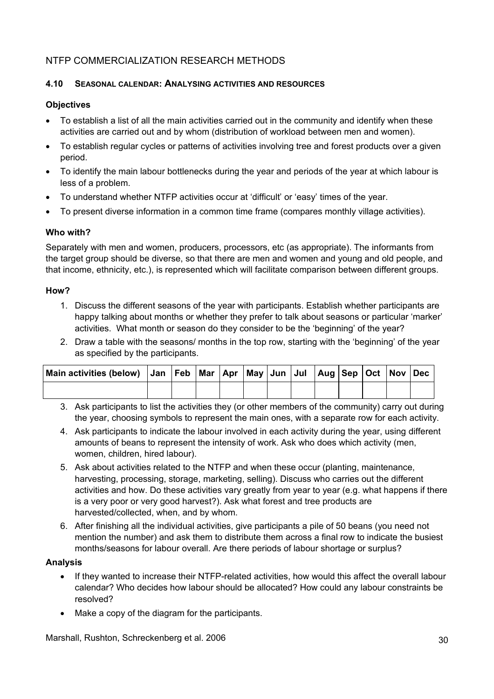### **4.10 SEASONAL CALENDAR: ANALYSING ACTIVITIES AND RESOURCES**

### **Objectives**

- To establish a list of all the main activities carried out in the community and identify when these activities are carried out and by whom (distribution of workload between men and women).
- To establish regular cycles or patterns of activities involving tree and forest products over a given period.
- To identify the main labour bottlenecks during the year and periods of the year at which labour is less of a problem.
- To understand whether NTFP activities occur at 'difficult' or 'easy' times of the year.
- To present diverse information in a common time frame (compares monthly village activities).

### **Who with?**

Separately with men and women, producers, processors, etc (as appropriate). The informants from the target group should be diverse, so that there are men and women and young and old people, and that income, ethnicity, etc.), is represented which will facilitate comparison between different groups.

### **How?**

- 1. Discuss the different seasons of the year with participants. Establish whether participants are happy talking about months or whether they prefer to talk about seasons or particular 'marker' activities. What month or season do they consider to be the 'beginning' of the year?
- 2. Draw a table with the seasons/ months in the top row, starting with the 'beginning' of the year as specified by the participants.

| Main activities (below) $ \text{Jan} $ Feb $ \text{Mar} $ Apr $ \text{May} $ Jun $ \text{Jul} $ Aug $ \text{Sep} $ Oct $ \text{Nov} $ Dec |  |  |  |  |  |  |
|-------------------------------------------------------------------------------------------------------------------------------------------|--|--|--|--|--|--|
|                                                                                                                                           |  |  |  |  |  |  |

- 3. Ask participants to list the activities they (or other members of the community) carry out during the year, choosing symbols to represent the main ones, with a separate row for each activity.
- 4. Ask participants to indicate the labour involved in each activity during the year, using different amounts of beans to represent the intensity of work. Ask who does which activity (men, women, children, hired labour).
- 5. Ask about activities related to the NTFP and when these occur (planting, maintenance, harvesting, processing, storage, marketing, selling). Discuss who carries out the different activities and how. Do these activities vary greatly from year to year (e.g. what happens if there is a very poor or very good harvest?). Ask what forest and tree products are harvested/collected, when, and by whom.
- 6. After finishing all the individual activities, give participants a pile of 50 beans (you need not mention the number) and ask them to distribute them across a final row to indicate the busiest months/seasons for labour overall. Are there periods of labour shortage or surplus?

#### **Analysis**

- If they wanted to increase their NTFP-related activities, how would this affect the overall labour calendar? Who decides how labour should be allocated? How could any labour constraints be resolved?
- Make a copy of the diagram for the participants.

Marshall, Rushton, Schreckenberg et al. 2006 30 30 30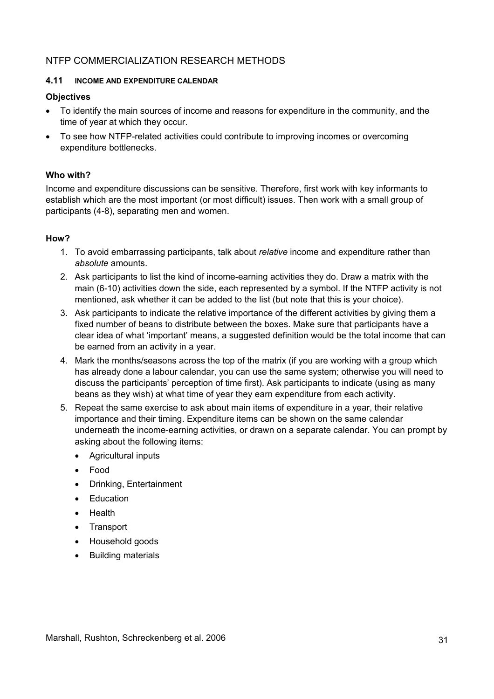#### **4.11 INCOME AND EXPENDITURE CALENDAR**

#### **Objectives**

- To identify the main sources of income and reasons for expenditure in the community, and the time of year at which they occur.
- To see how NTFP-related activities could contribute to improving incomes or overcoming expenditure bottlenecks.

#### **Who with?**

Income and expenditure discussions can be sensitive. Therefore, first work with key informants to establish which are the most important (or most difficult) issues. Then work with a small group of participants (4-8), separating men and women.

#### **How?**

- 1. To avoid embarrassing participants, talk about *relative* income and expenditure rather than *absolute* amounts.
- 2. Ask participants to list the kind of income-earning activities they do. Draw a matrix with the main (6-10) activities down the side, each represented by a symbol. If the NTFP activity is not mentioned, ask whether it can be added to the list (but note that this is your choice).
- 3. Ask participants to indicate the relative importance of the different activities by giving them a fixed number of beans to distribute between the boxes. Make sure that participants have a clear idea of what 'important' means, a suggested definition would be the total income that can be earned from an activity in a year.
- 4. Mark the months/seasons across the top of the matrix (if you are working with a group which has already done a labour calendar, you can use the same system; otherwise you will need to discuss the participants' perception of time first). Ask participants to indicate (using as many beans as they wish) at what time of year they earn expenditure from each activity.
- 5. Repeat the same exercise to ask about main items of expenditure in a year, their relative importance and their timing. Expenditure items can be shown on the same calendar underneath the income-earning activities, or drawn on a separate calendar. You can prompt by asking about the following items:
	- Agricultural inputs
	- Food
	- Drinking, Entertainment
	- Education
	- Health
	- Transport
	- Household goods
	- Building materials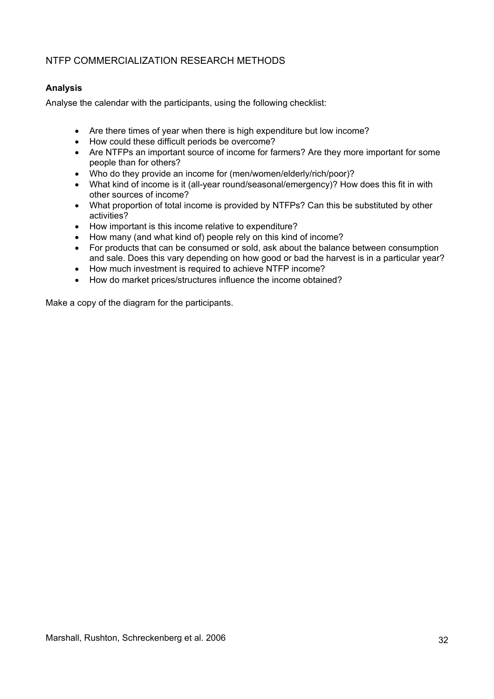### **Analysis**

Analyse the calendar with the participants, using the following checklist:

- Are there times of year when there is high expenditure but low income?
- How could these difficult periods be overcome?
- Are NTFPs an important source of income for farmers? Are they more important for some people than for others?
- Who do they provide an income for (men/women/elderly/rich/poor)?
- What kind of income is it (all-year round/seasonal/emergency)? How does this fit in with other sources of income?
- What proportion of total income is provided by NTFPs? Can this be substituted by other activities?
- How important is this income relative to expenditure?
- How many (and what kind of) people rely on this kind of income?
- For products that can be consumed or sold, ask about the balance between consumption and sale. Does this vary depending on how good or bad the harvest is in a particular year?
- How much investment is required to achieve NTFP income?
- How do market prices/structures influence the income obtained?

Make a copy of the diagram for the participants.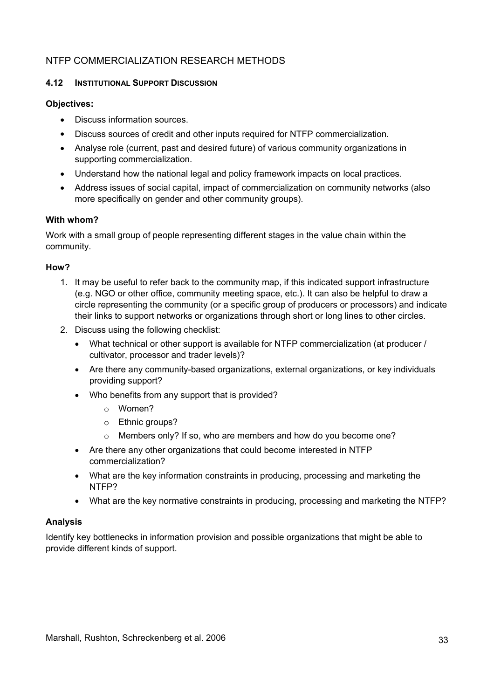### **4.12 INSTITUTIONAL SUPPORT DISCUSSION**

### **Objectives:**

- Discuss information sources.
- Discuss sources of credit and other inputs required for NTFP commercialization.
- Analyse role (current, past and desired future) of various community organizations in supporting commercialization.
- Understand how the national legal and policy framework impacts on local practices.
- Address issues of social capital, impact of commercialization on community networks (also more specifically on gender and other community groups).

### **With whom?**

Work with a small group of people representing different stages in the value chain within the community.

### **How?**

- 1. It may be useful to refer back to the community map, if this indicated support infrastructure (e.g. NGO or other office, community meeting space, etc.). It can also be helpful to draw a circle representing the community (or a specific group of producers or processors) and indicate their links to support networks or organizations through short or long lines to other circles.
- 2. Discuss using the following checklist:
	- What technical or other support is available for NTFP commercialization (at producer / cultivator, processor and trader levels)?
	- Are there any community-based organizations, external organizations, or key individuals providing support?
	- Who benefits from any support that is provided?
		- o Women?
		- o Ethnic groups?
		- $\circ$  Members only? If so, who are members and how do you become one?
	- Are there any other organizations that could become interested in NTFP commercialization?
	- What are the key information constraints in producing, processing and marketing the NTFP?
	- What are the key normative constraints in producing, processing and marketing the NTFP?

### **Analysis**

Identify key bottlenecks in information provision and possible organizations that might be able to provide different kinds of support.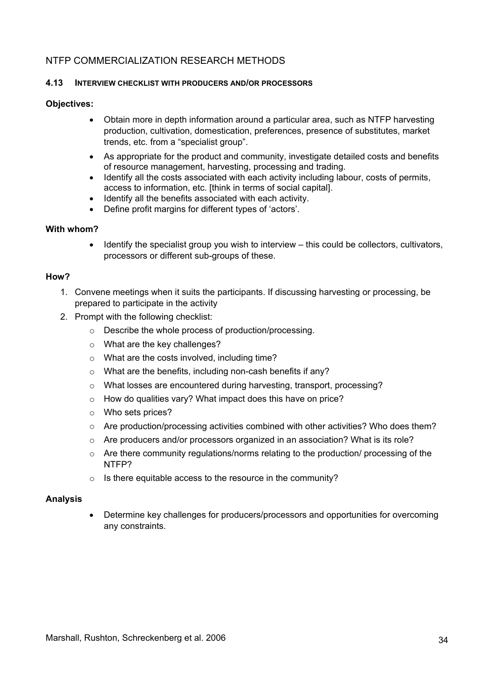#### **4.13 INTERVIEW CHECKLIST WITH PRODUCERS AND/OR PROCESSORS**

#### **Objectives:**

- Obtain more in depth information around a particular area, such as NTFP harvesting production, cultivation, domestication, preferences, presence of substitutes, market trends, etc. from a "specialist group".
- As appropriate for the product and community, investigate detailed costs and benefits of resource management, harvesting, processing and trading.
- Identify all the costs associated with each activity including labour, costs of permits, access to information, etc. [think in terms of social capital].
- Identify all the benefits associated with each activity.
- Define profit margins for different types of 'actors'.

#### **With whom?**

• Identify the specialist group you wish to interview – this could be collectors, cultivators, processors or different sub-groups of these.

#### **How?**

- 1. Convene meetings when it suits the participants. If discussing harvesting or processing, be prepared to participate in the activity
- 2. Prompt with the following checklist:
	- o Describe the whole process of production/processing.
	- o What are the key challenges?
	- o What are the costs involved, including time?
	- o What are the benefits, including non-cash benefits if any?
	- o What losses are encountered during harvesting, transport, processing?
	- o How do qualities vary? What impact does this have on price?
	- o Who sets prices?
	- $\circ$  Are production/processing activities combined with other activities? Who does them?
	- o Are producers and/or processors organized in an association? What is its role?
	- o Are there community regulations/norms relating to the production/ processing of the NTFP?
	- $\circ$  Is there equitable access to the resource in the community?

#### **Analysis**

• Determine key challenges for producers/processors and opportunities for overcoming any constraints.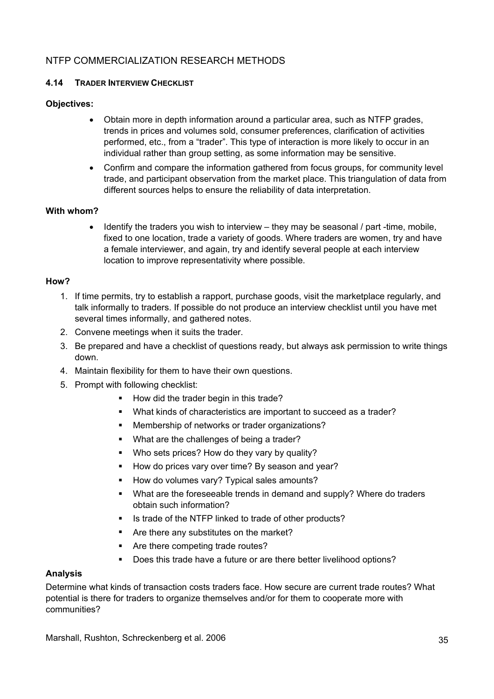#### **4.14 TRADER INTERVIEW CHECKLIST**

#### **Objectives:**

- Obtain more in depth information around a particular area, such as NTFP grades, trends in prices and volumes sold, consumer preferences, clarification of activities performed, etc., from a "trader". This type of interaction is more likely to occur in an individual rather than group setting, as some information may be sensitive.
- Confirm and compare the information gathered from focus groups, for community level trade, and participant observation from the market place. This triangulation of data from different sources helps to ensure the reliability of data interpretation.

#### **With whom?**

• Identify the traders you wish to interview – they may be seasonal / part -time, mobile, fixed to one location, trade a variety of goods. Where traders are women, try and have a female interviewer, and again, try and identify several people at each interview location to improve representativity where possible.

#### **How?**

- 1. If time permits, try to establish a rapport, purchase goods, visit the marketplace regularly, and talk informally to traders. If possible do not produce an interview checklist until you have met several times informally, and gathered notes.
- 2. Convene meetings when it suits the trader.
- 3. Be prepared and have a checklist of questions ready, but always ask permission to write things down.
- 4. Maintain flexibility for them to have their own questions.
- 5. Prompt with following checklist:
	- How did the trader begin in this trade?
	- What kinds of characteristics are important to succeed as a trader?
	- **Membership of networks or trader organizations?**
	- What are the challenges of being a trader?
	- **Who sets prices? How do they vary by quality?**
	- How do prices vary over time? By season and year?
	- How do volumes vary? Typical sales amounts?
	- What are the foreseeable trends in demand and supply? Where do traders obtain such information?
	- Is trade of the NTFP linked to trade of other products?
	- Are there any substitutes on the market?
	- Are there competing trade routes?
	- Does this trade have a future or are there better livelihood options?

#### **Analysis**

Determine what kinds of transaction costs traders face. How secure are current trade routes? What potential is there for traders to organize themselves and/or for them to cooperate more with communities?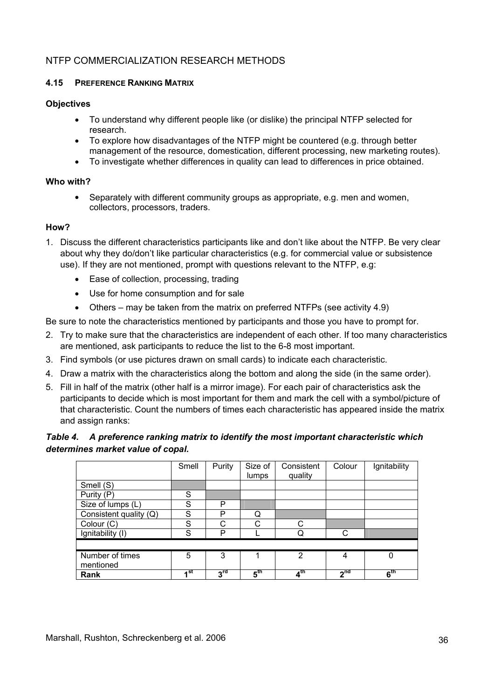### **4.15 PREFERENCE RANKING MATRIX**

#### **Objectives**

- To understand why different people like (or dislike) the principal NTFP selected for research.
- To explore how disadvantages of the NTFP might be countered (e.g. through better management of the resource, domestication, different processing, new marketing routes).
- To investigate whether differences in quality can lead to differences in price obtained.

#### **Who with?**

• Separately with different community groups as appropriate, e.g. men and women, collectors, processors, traders.

#### **How?**

- 1. Discuss the different characteristics participants like and don't like about the NTFP. Be very clear about why they do/don't like particular characteristics (e.g. for commercial value or subsistence use). If they are not mentioned, prompt with questions relevant to the NTFP, e.g:
	- Ease of collection, processing, trading
	- Use for home consumption and for sale
	- Others may be taken from the matrix on preferred NTFPs (see activity 4.9)

Be sure to note the characteristics mentioned by participants and those you have to prompt for.

- 2. Try to make sure that the characteristics are independent of each other. If too many characteristics are mentioned, ask participants to reduce the list to the 6-8 most important.
- 3. Find symbols (or use pictures drawn on small cards) to indicate each characteristic.
- 4. Draw a matrix with the characteristics along the bottom and along the side (in the same order).
- 5. Fill in half of the matrix (other half is a mirror image). For each pair of characteristics ask the participants to decide which is most important for them and mark the cell with a symbol/picture of that characteristic. Count the numbers of times each characteristic has appeared inside the matrix and assign ranks:

### *Table 4. A preference ranking matrix to identify the most important characteristic which determines market value of copal.*

|                              | Smell | Purity          | Size of<br>lumps       | Consistent<br>quality | Colour          | Ignitability    |
|------------------------------|-------|-----------------|------------------------|-----------------------|-----------------|-----------------|
| Smell (S)                    |       |                 |                        |                       |                 |                 |
| Purity (P)                   | S     |                 |                        |                       |                 |                 |
| Size of lumps (L)            | S     | P               |                        |                       |                 |                 |
| Consistent quality (Q)       | S     | P               | Q                      |                       |                 |                 |
| Colour (C)                   | S     | С               | C                      | C                     |                 |                 |
| Ignitability (I)             | S     | P               |                        |                       | C               |                 |
|                              |       |                 |                        |                       |                 |                 |
| Number of times<br>mentioned | 5     | 3               | 1                      | $\overline{2}$        | 4               | 0               |
| Rank                         | ⊿st   | $3^{\text{rd}}$ | $\mathbf{5}^\text{th}$ | $4^{\text{th}}$       | 2 <sup>nd</sup> | 6 <sup>th</sup> |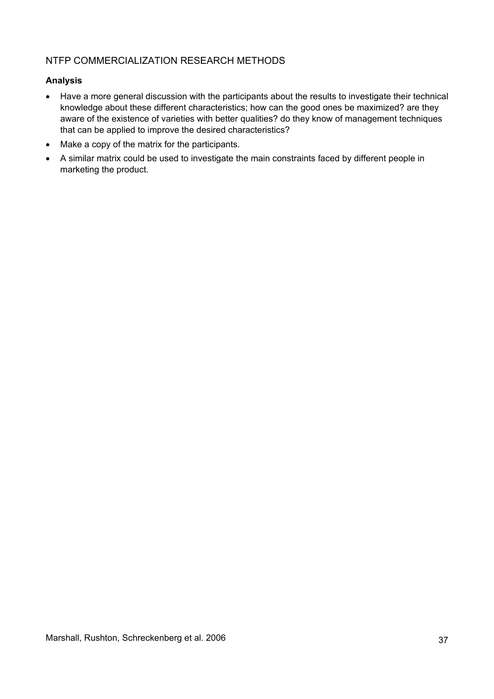### **Analysis**

- Have a more general discussion with the participants about the results to investigate their technical knowledge about these different characteristics; how can the good ones be maximized? are they aware of the existence of varieties with better qualities? do they know of management techniques that can be applied to improve the desired characteristics?
- Make a copy of the matrix for the participants.
- A similar matrix could be used to investigate the main constraints faced by different people in marketing the product.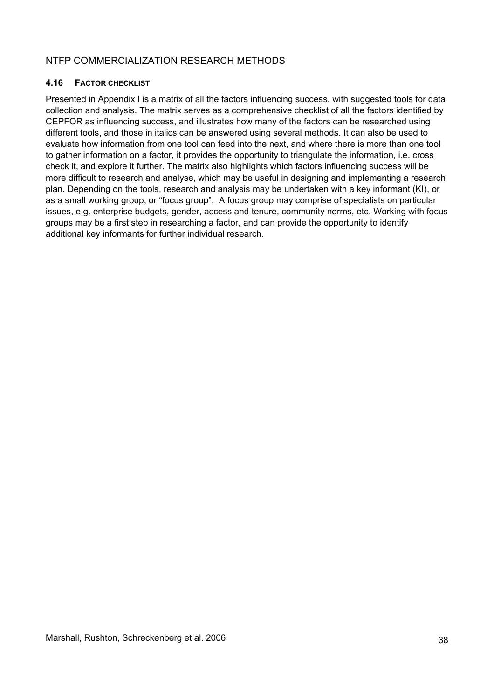#### **4.16 FACTOR CHECKLIST**

Presented in Appendix I is a matrix of all the factors influencing success, with suggested tools for data collection and analysis. The matrix serves as a comprehensive checklist of all the factors identified by CEPFOR as influencing success, and illustrates how many of the factors can be researched using different tools, and those in italics can be answered using several methods*.* It can also be used to evaluate how information from one tool can feed into the next, and where there is more than one tool to gather information on a factor, it provides the opportunity to triangulate the information, i.e. cross check it, and explore it further. The matrix also highlights which factors influencing success will be more difficult to research and analyse, which may be useful in designing and implementing a research plan. Depending on the tools, research and analysis may be undertaken with a key informant (KI), or as a small working group, or "focus group". A focus group may comprise of specialists on particular issues, e.g. enterprise budgets, gender, access and tenure, community norms, etc. Working with focus groups may be a first step in researching a factor, and can provide the opportunity to identify additional key informants for further individual research.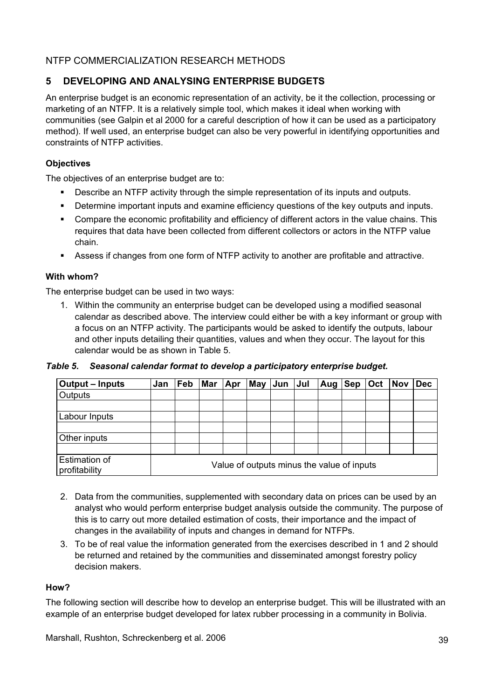# **5 DEVELOPING AND ANALYSING ENTERPRISE BUDGETS**

An enterprise budget is an economic representation of an activity, be it the collection, processing or marketing of an NTFP. It is a relatively simple tool, which makes it ideal when working with communities (see Galpin et al 2000 for a careful description of how it can be used as a participatory method). If well used, an enterprise budget can also be very powerful in identifying opportunities and constraints of NTFP activities.

## **Objectives**

The objectives of an enterprise budget are to:

- **•** Describe an NTFP activity through the simple representation of its inputs and outputs.
- Determine important inputs and examine efficiency questions of the key outputs and inputs.
- Compare the economic profitability and efficiency of different actors in the value chains. This requires that data have been collected from different collectors or actors in the NTFP value chain.
- Assess if changes from one form of NTFP activity to another are profitable and attractive.

#### **With whom?**

The enterprise budget can be used in two ways:

1. Within the community an enterprise budget can be developed using a modified seasonal calendar as described above. The interview could either be with a key informant or group with a focus on an NTFP activity. The participants would be asked to identify the outputs, labour and other inputs detailing their quantities, values and when they occur. The layout for this calendar would be as shown in Table 5.

*Table 5. Seasonal calendar format to develop a participatory enterprise budget.* 

| Output – Inputs                       | Jan | Feb                                        | Mar | Apr | May | Jun | Jul | Aug Sep | Oct | <b>Nov</b> | <b>Dec</b> |
|---------------------------------------|-----|--------------------------------------------|-----|-----|-----|-----|-----|---------|-----|------------|------------|
| <b>Outputs</b>                        |     |                                            |     |     |     |     |     |         |     |            |            |
|                                       |     |                                            |     |     |     |     |     |         |     |            |            |
| Labour Inputs                         |     |                                            |     |     |     |     |     |         |     |            |            |
|                                       |     |                                            |     |     |     |     |     |         |     |            |            |
| Other inputs                          |     |                                            |     |     |     |     |     |         |     |            |            |
|                                       |     |                                            |     |     |     |     |     |         |     |            |            |
| <b>Estimation of</b><br>profitability |     | Value of outputs minus the value of inputs |     |     |     |     |     |         |     |            |            |

- 2. Data from the communities, supplemented with secondary data on prices can be used by an analyst who would perform enterprise budget analysis outside the community. The purpose of this is to carry out more detailed estimation of costs, their importance and the impact of changes in the availability of inputs and changes in demand for NTFPs.
- 3. To be of real value the information generated from the exercises described in 1 and 2 should be returned and retained by the communities and disseminated amongst forestry policy decision makers.

#### **How?**

The following section will describe how to develop an enterprise budget. This will be illustrated with an example of an enterprise budget developed for latex rubber processing in a community in Bolivia.

Marshall, Rushton, Schreckenberg et al. 2006 39 39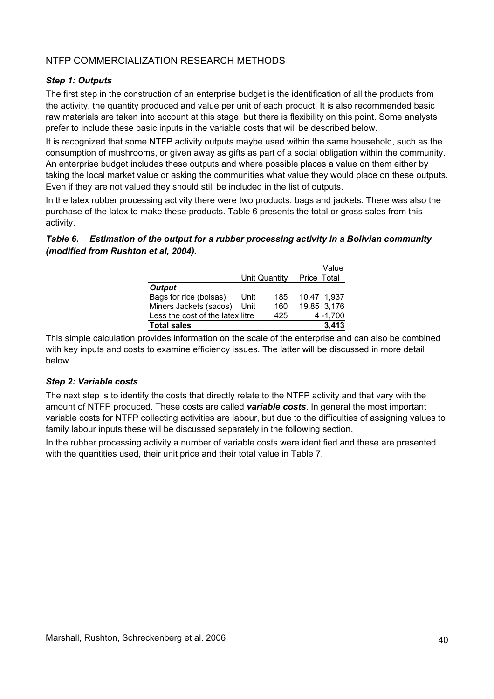#### *Step 1: Outputs*

The first step in the construction of an enterprise budget is the identification of all the products from the activity, the quantity produced and value per unit of each product. It is also recommended basic raw materials are taken into account at this stage, but there is flexibility on this point. Some analysts prefer to include these basic inputs in the variable costs that will be described below.

It is recognized that some NTFP activity outputs maybe used within the same household, such as the consumption of mushrooms, or given away as gifts as part of a social obligation within the community. An enterprise budget includes these outputs and where possible places a value on them either by taking the local market value or asking the communities what value they would place on these outputs. Even if they are not valued they should still be included in the list of outputs.

In the latex rubber processing activity there were two products: bags and jackets. There was also the purchase of the latex to make these products. Table 6 presents the total or gross sales from this activity.

#### *Table 6. Estimation of the output for a rubber processing activity in a Bolivian community (modified from Rushton et al, 2004).*

|                                  |      |                      |             | Value       |
|----------------------------------|------|----------------------|-------------|-------------|
|                                  |      | <b>Unit Quantity</b> | Price Total |             |
| <b>Output</b>                    |      |                      |             |             |
| Bags for rice (bolsas)           | Unit | 185                  |             | 10.47 1.937 |
| Miners Jackets (sacos)           | Unit | 160                  |             | 19.85 3,176 |
| Less the cost of the latex litre |      | 425                  |             | $4 - 1,700$ |
| <b>Total sales</b>               |      |                      |             | 3,413       |

This simple calculation provides information on the scale of the enterprise and can also be combined with key inputs and costs to examine efficiency issues. The latter will be discussed in more detail below.

#### *Step 2: Variable costs*

The next step is to identify the costs that directly relate to the NTFP activity and that vary with the amount of NTFP produced. These costs are called *variable costs*. In general the most important variable costs for NTFP collecting activities are labour, but due to the difficulties of assigning values to family labour inputs these will be discussed separately in the following section.

In the rubber processing activity a number of variable costs were identified and these are presented with the quantities used, their unit price and their total value in Table 7.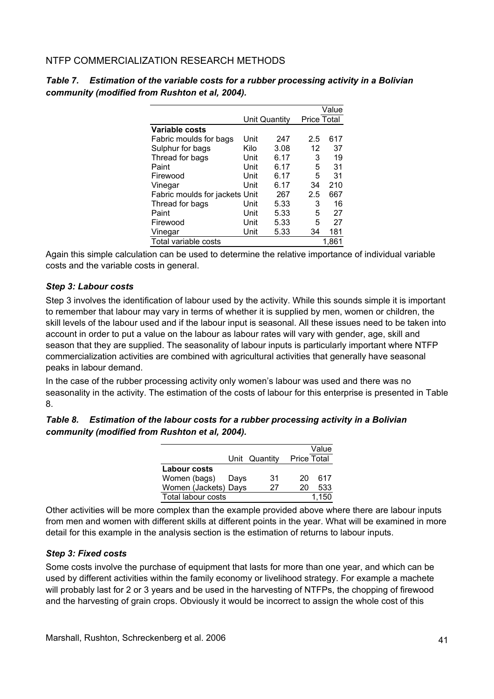|                                |      |               |                    | Value |
|--------------------------------|------|---------------|--------------------|-------|
|                                |      | Unit Quantity | <b>Price Total</b> |       |
| <b>Variable costs</b>          |      |               |                    |       |
| Fabric moulds for bags         | Unit | 247           | 2.5                | 617   |
| Sulphur for bags               | Kilo | 3.08          | 12                 | 37    |
| Thread for bags                | Unit | 6.17          | 3                  | 19    |
| Paint                          | Unit | 6.17          | 5                  | 31    |
| Firewood                       | Unit | 6.17          | 5                  | 31    |
| Vinegar                        | Unit | 6.17          | 34                 | 210   |
| Fabric moulds for jackets Unit |      | 267           | 2.5                | 667   |
| Thread for bags                | Unit | 5.33          | 3                  | 16    |
| Paint                          | Unit | 5.33          | 5                  | 27    |
| Firewood                       | Unit | 5.33          | 5                  | 27    |
| Vinegar                        | Unit | 5.33          | 34                 | 181   |
| Total variable costs           |      |               |                    | 1.861 |

*Table 7. Estimation of the variable costs for a rubber processing activity in a Bolivian community (modified from Rushton et al, 2004).* 

Again this simple calculation can be used to determine the relative importance of individual variable costs and the variable costs in general.

#### *Step 3: Labour costs*

Step 3 involves the identification of labour used by the activity. While this sounds simple it is important to remember that labour may vary in terms of whether it is supplied by men, women or children, the skill levels of the labour used and if the labour input is seasonal. All these issues need to be taken into account in order to put a value on the labour as labour rates will vary with gender, age, skill and season that they are supplied. The seasonality of labour inputs is particularly important where NTFP commercialization activities are combined with agricultural activities that generally have seasonal peaks in labour demand.

In the case of the rubber processing activity only women's labour was used and there was no seasonality in the activity. The estimation of the costs of labour for this enterprise is presented in Table 8.

#### *Table 8. Estimation of the labour costs for a rubber processing activity in a Bolivian community (modified from Rushton et al, 2004).*

|                      |      |               |                    | Value |
|----------------------|------|---------------|--------------------|-------|
|                      |      | Unit Quantity | <b>Price Total</b> |       |
| <b>Labour costs</b>  |      |               |                    |       |
| Women (bags)         | Days | 31            | 20                 | 617   |
| Women (Jackets) Days |      | 27            | 20                 | 533   |
| Total labour costs   |      |               |                    | 1.150 |

Other activities will be more complex than the example provided above where there are labour inputs from men and women with different skills at different points in the year. What will be examined in more detail for this example in the analysis section is the estimation of returns to labour inputs.

#### *Step 3: Fixed costs*

Some costs involve the purchase of equipment that lasts for more than one year, and which can be used by different activities within the family economy or livelihood strategy. For example a machete will probably last for 2 or 3 years and be used in the harvesting of NTFPs, the chopping of firewood and the harvesting of grain crops. Obviously it would be incorrect to assign the whole cost of this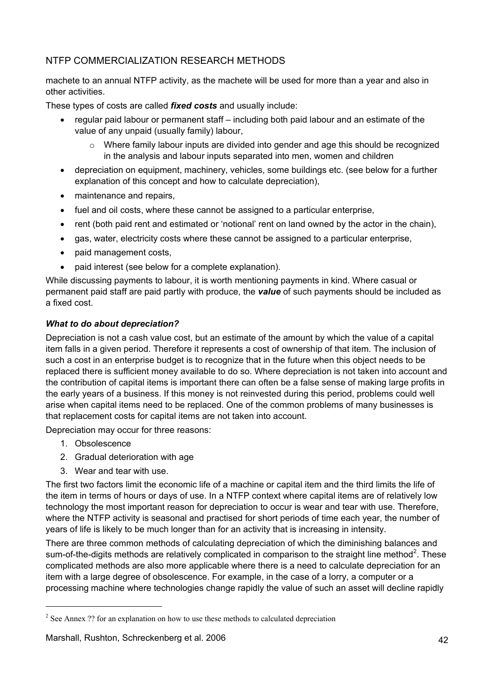machete to an annual NTFP activity, as the machete will be used for more than a year and also in other activities.

These types of costs are called *fixed costs* and usually include:

- regular paid labour or permanent staff including both paid labour and an estimate of the value of any unpaid (usually family) labour,
	- $\circ$  Where family labour inputs are divided into gender and age this should be recognized in the analysis and labour inputs separated into men, women and children
- depreciation on equipment, machinery, vehicles, some buildings etc. (see below for a further explanation of this concept and how to calculate depreciation),
- maintenance and repairs.
- fuel and oil costs, where these cannot be assigned to a particular enterprise,
- rent (both paid rent and estimated or 'notional' rent on land owned by the actor in the chain),
- gas, water, electricity costs where these cannot be assigned to a particular enterprise,
- paid management costs,
- paid interest (see below for a complete explanation).

While discussing payments to labour, it is worth mentioning payments in kind. Where casual or permanent paid staff are paid partly with produce, the *value* of such payments should be included as a fixed cost.

## *What to do about depreciation?*

Depreciation is not a cash value cost, but an estimate of the amount by which the value of a capital item falls in a given period. Therefore it represents a cost of ownership of that item. The inclusion of such a cost in an enterprise budget is to recognize that in the future when this object needs to be replaced there is sufficient money available to do so. Where depreciation is not taken into account and the contribution of capital items is important there can often be a false sense of making large profits in the early years of a business. If this money is not reinvested during this period, problems could well arise when capital items need to be replaced. One of the common problems of many businesses is that replacement costs for capital items are not taken into account.

Depreciation may occur for three reasons:

1. Obsolescence

l

- 2. Gradual deterioration with age
- 3. Wear and tear with use.

The first two factors limit the economic life of a machine or capital item and the third limits the life of the item in terms of hours or days of use. In a NTFP context where capital items are of relatively low technology the most important reason for depreciation to occur is wear and tear with use. Therefore, where the NTFP activity is seasonal and practised for short periods of time each year, the number of years of life is likely to be much longer than for an activity that is increasing in intensity.

There are three common methods of calculating depreciation of which the diminishing balances and sum-of-the-digits methods are relatively complicated in comparison to the straight line method<sup>2</sup>. These complicated methods are also more applicable where there is a need to calculate depreciation for an item with a large degree of obsolescence. For example, in the case of a lorry, a computer or a processing machine where technologies change rapidly the value of such an asset will decline rapidly

 $2^2$  See Annex ?? for an explanation on how to use these methods to calculated depreciation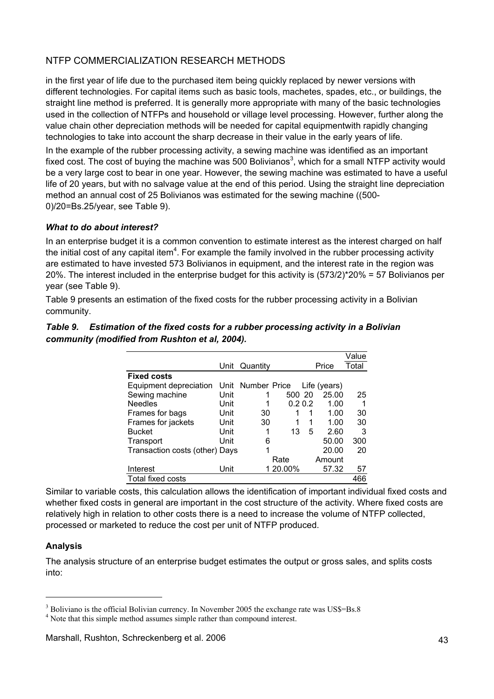in the first year of life due to the purchased item being quickly replaced by newer versions with different technologies. For capital items such as basic tools, machetes, spades, etc., or buildings, the straight line method is preferred. It is generally more appropriate with many of the basic technologies used in the collection of NTFPs and household or village level processing. However, further along the value chain other depreciation methods will be needed for capital equipmentwith rapidly changing technologies to take into account the sharp decrease in their value in the early years of life.

In the example of the rubber processing activity, a sewing machine was identified as an important fixed cost. The cost of buying the machine was 500 Bolivianos<sup>3</sup>, which for a small NTFP activity would be a very large cost to bear in one year. However, the sewing machine was estimated to have a useful life of 20 years, but with no salvage value at the end of this period. Using the straight line depreciation method an annual cost of 25 Bolivianos was estimated for the sewing machine ((500- 0)/20=Bs.25/year, see Table 9).

#### *What to do about interest?*

In an enterprise budget it is a common convention to estimate interest as the interest charged on half the initial cost of any capital item<sup>4</sup>. For example the family involved in the rubber processing activity are estimated to have invested 573 Bolivianos in equipment, and the interest rate in the region was 20%. The interest included in the enterprise budget for this activity is (573/2)\*20% = 57 Bolivianos per year (see Table 9).

Table 9 presents an estimation of the fixed costs for the rubber processing activity in a Bolivian community.

|                                |      |                   |          |         |              | Value |
|--------------------------------|------|-------------------|----------|---------|--------------|-------|
|                                | Unit | Quantity          |          |         | Price        | Total |
| <b>Fixed costs</b>             |      |                   |          |         |              |       |
| Equipment depreciation         |      | Unit Number Price |          |         | Life (years) |       |
| Sewing machine                 | Unit |                   | 500 20   |         | 25.00        | 25    |
| <b>Needles</b>                 | Unit |                   |          | 0.2 0.2 | 1.00         | 1     |
| Frames for bags                | Unit | 30                | 1        | 1       | 1.00         | 30    |
| Frames for jackets             | Unit | 30                | 1        | 1       | 1.00         | 30    |
| <b>Bucket</b>                  | Unit |                   | 13       | 5       | 2.60         | 3     |
| Transport                      | Unit | 6                 |          |         | 50.00        | 300   |
| Transaction costs (other) Days |      | 1                 |          |         | 20.00        | 20    |
|                                |      |                   | Rate     |         | Amount       |       |
| Interest                       | Unit |                   | 1 20.00% |         | 57.32        | 57    |
| <b>Total fixed costs</b>       |      |                   |          |         |              | 466   |

## *Table 9. Estimation of the fixed costs for a rubber processing activity in a Bolivian community (modified from Rushton et al, 2004).*

Similar to variable costs, this calculation allows the identification of important individual fixed costs and whether fixed costs in general are important in the cost structure of the activity. Where fixed costs are relatively high in relation to other costs there is a need to increase the volume of NTFP collected, processed or marketed to reduce the cost per unit of NTFP produced.

#### **Analysis**

l

The analysis structure of an enterprise budget estimates the output or gross sales, and splits costs into:

 $3$  Boliviano is the official Bolivian currency. In November 2005 the exchange rate was US\$=Bs.8

<sup>&</sup>lt;sup>4</sup> Note that this simple method assumes simple rather than compound interest.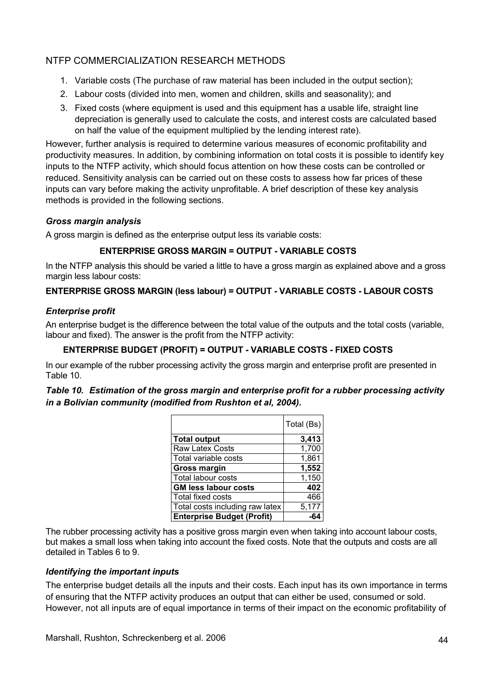- 1. Variable costs (The purchase of raw material has been included in the output section);
- 2. Labour costs (divided into men, women and children, skills and seasonality); and
- 3. Fixed costs (where equipment is used and this equipment has a usable life, straight line depreciation is generally used to calculate the costs, and interest costs are calculated based on half the value of the equipment multiplied by the lending interest rate).

However, further analysis is required to determine various measures of economic profitability and productivity measures. In addition, by combining information on total costs it is possible to identify key inputs to the NTFP activity, which should focus attention on how these costs can be controlled or reduced. Sensitivity analysis can be carried out on these costs to assess how far prices of these inputs can vary before making the activity unprofitable. A brief description of these key analysis methods is provided in the following sections.

#### *Gross margin analysis*

A gross margin is defined as the enterprise output less its variable costs:

#### **ENTERPRISE GROSS MARGIN = OUTPUT - VARIABLE COSTS**

In the NTFP analysis this should be varied a little to have a gross margin as explained above and a gross margin less labour costs:

#### **ENTERPRISE GROSS MARGIN (less labour) = OUTPUT - VARIABLE COSTS - LABOUR COSTS**

#### *Enterprise profit*

An enterprise budget is the difference between the total value of the outputs and the total costs (variable, labour and fixed). The answer is the profit from the NTFP activity:

## **ENTERPRISE BUDGET (PROFIT) = OUTPUT - VARIABLE COSTS - FIXED COSTS**

In our example of the rubber processing activity the gross margin and enterprise profit are presented in Table 10.

#### *Table 10. Estimation of the gross margin and enterprise profit for a rubber processing activity in a Bolivian community (modified from Rushton et al, 2004).*

|                                   | Total (Bs) |
|-----------------------------------|------------|
| <b>Total output</b>               | 3,413      |
| Raw Latex Costs                   | 1,700      |
| Total variable costs              | 1,861      |
| Gross margin                      | 1,552      |
| Total labour costs                | 1,150      |
| <b>GM less labour costs</b>       | 402        |
| Total fixed costs                 | 466        |
| Total costs including raw latex   | 5,177      |
| <b>Enterprise Budget (Profit)</b> |            |

The rubber processing activity has a positive gross margin even when taking into account labour costs, but makes a small loss when taking into account the fixed costs. Note that the outputs and costs are all detailed in Tables 6 to 9.

#### *Identifying the important inputs*

The enterprise budget details all the inputs and their costs. Each input has its own importance in terms of ensuring that the NTFP activity produces an output that can either be used, consumed or sold. However, not all inputs are of equal importance in terms of their impact on the economic profitability of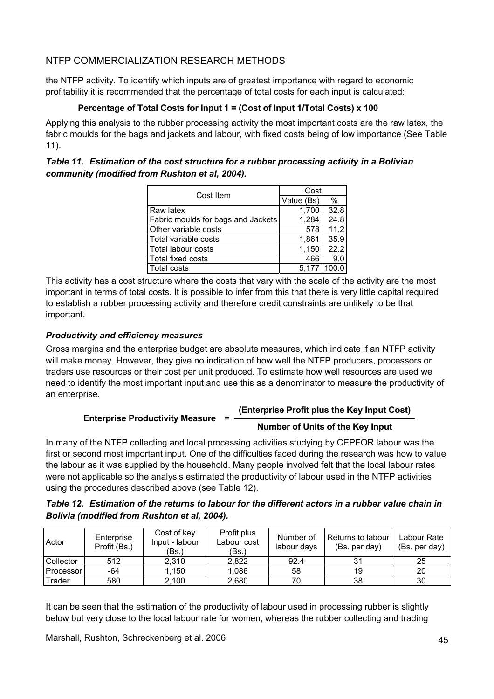the NTFP activity. To identify which inputs are of greatest importance with regard to economic profitability it is recommended that the percentage of total costs for each input is calculated:

## **Percentage of Total Costs for Input 1 = (Cost of Input 1/Total Costs) x 100**

Applying this analysis to the rubber processing activity the most important costs are the raw latex, the fabric moulds for the bags and jackets and labour, with fixed costs being of low importance (See Table 11).

## *Table 11. Estimation of the cost structure for a rubber processing activity in a Bolivian community (modified from Rushton et al, 2004).*

| Cost Item                          | Cost       |      |
|------------------------------------|------------|------|
|                                    | Value (Bs) | $\%$ |
| Raw latex                          | 1,700      | 32.8 |
| Fabric moulds for bags and Jackets | 1,284      | 24.8 |
| Other variable costs               | 578        | 11.2 |
| Total variable costs               | 1,861      | 35.9 |
| Total labour costs                 | 1,150      | 22.2 |
| Total fixed costs                  | 466        | 9.0  |
| Total costs                        | 5.177      |      |

This activity has a cost structure where the costs that vary with the scale of the activity are the most important in terms of total costs. It is possible to infer from this that there is very little capital required to establish a rubber processing activity and therefore credit constraints are unlikely to be that important.

## *Productivity and efficiency measures*

Gross margins and the enterprise budget are absolute measures, which indicate if an NTFP activity will make money. However, they give no indication of how well the NTFP producers, processors or traders use resources or their cost per unit produced. To estimate how well resources are used we need to identify the most important input and use this as a denominator to measure the productivity of an enterprise.

# **(Enterprise Profit plus the Key Input Cost) Enterprise Productivity Measure** <sup>=</sup> **Number of Units of the Key Input**

In many of the NTFP collecting and local processing activities studying by CEPFOR labour was the first or second most important input. One of the difficulties faced during the research was how to value the labour as it was supplied by the household. Many people involved felt that the local labour rates were not applicable so the analysis estimated the productivity of labour used in the NTFP activities using the procedures described above (see Table 12).

| Table 12. Estimation of the returns to labour for the different actors in a rubber value chain in |
|---------------------------------------------------------------------------------------------------|
| <b>Bolivia (modified from Rushton et al, 2004).</b>                                               |

| Actor            | Enterprise<br>Profit (Bs.) | Cost of key<br>Input - labour<br>(Bs.) | Profit plus<br>Labour cost<br>(Bs.) | Number of<br>labour days | Returns to labour<br>(Bs. per day) | Labour Rate<br>(Bs. per day) |
|------------------|----------------------------|----------------------------------------|-------------------------------------|--------------------------|------------------------------------|------------------------------|
| Collector        | 512                        | 2,310                                  | 2,822                               | 92.4                     |                                    | 25                           |
| <b>Processor</b> | -64                        | .150                                   | 1,086                               | 58                       | 19                                 | 20                           |
| Trader           | 580                        | 2,100                                  | 2,680                               | 70                       | 38                                 | 30                           |

It can be seen that the estimation of the productivity of labour used in processing rubber is slightly below but very close to the local labour rate for women, whereas the rubber collecting and trading

Marshall, Rushton, Schreckenberg et al. 2006 45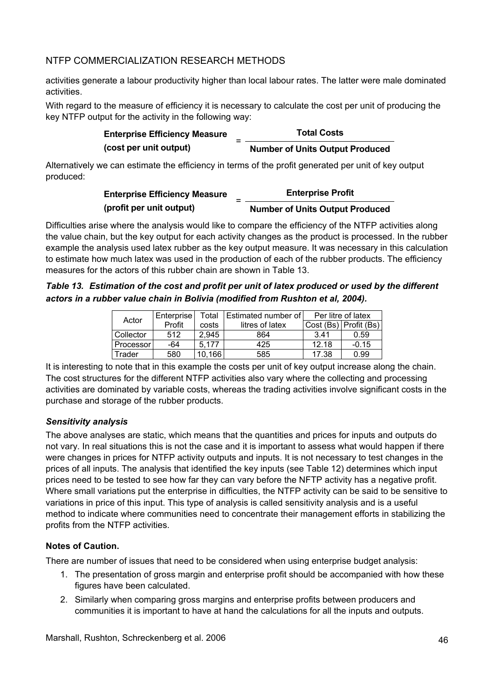activities generate a labour productivity higher than local labour rates. The latter were male dominated activities.

With regard to the measure of efficiency it is necessary to calculate the cost per unit of producing the key NTFP output for the activity in the following way:

| <b>Enterprise Efficiency Measure</b> |  | <b>Total Costs</b>                     |
|--------------------------------------|--|----------------------------------------|
| (cost per unit output)               |  | <b>Number of Units Output Produced</b> |

Alternatively we can estimate the efficiency in terms of the profit generated per unit of key output produced:

| <b>Enterprise Efficiency Measure</b> | <b>Enterprise Profit</b>               |  |  |
|--------------------------------------|----------------------------------------|--|--|
| (profit per unit output)             | <b>Number of Units Output Produced</b> |  |  |

Difficulties arise where the analysis would like to compare the efficiency of the NTFP activities along the value chain, but the key output for each activity changes as the product is processed. In the rubber example the analysis used latex rubber as the key output measure. It was necessary in this calculation to estimate how much latex was used in the production of each of the rubber products. The efficiency measures for the actors of this rubber chain are shown in Table 13.

*Table 13. Estimation of the cost and profit per unit of latex produced or used by the different actors in a rubber value chain in Bolivia (modified from Rushton et al, 2004).* 

| Actor     | Enterprise | Total  | <b>Estimated number of  </b> | Per litre of latex |                       |  |
|-----------|------------|--------|------------------------------|--------------------|-----------------------|--|
|           | Profit     | costs  | litres of latex              |                    | Cost (Bs) Profit (Bs) |  |
| Collector | 512        | 2,945  | 864                          | 3.41               | 0.59                  |  |
| Processor | -64        | 5.177  | 425                          | 12.18              | $-0.15$               |  |
| Trader    | 580        | 10,166 | 585                          | 17.38              | 0.99                  |  |

It is interesting to note that in this example the costs per unit of key output increase along the chain. The cost structures for the different NTFP activities also vary where the collecting and processing activities are dominated by variable costs, whereas the trading activities involve significant costs in the purchase and storage of the rubber products.

## *Sensitivity analysis*

The above analyses are static, which means that the quantities and prices for inputs and outputs do not vary. In real situations this is not the case and it is important to assess what would happen if there were changes in prices for NTFP activity outputs and inputs. It is not necessary to test changes in the prices of all inputs. The analysis that identified the key inputs (see Table 12) determines which input prices need to be tested to see how far they can vary before the NFTP activity has a negative profit. Where small variations put the enterprise in difficulties, the NTFP activity can be said to be sensitive to variations in price of this input. This type of analysis is called sensitivity analysis and is a useful method to indicate where communities need to concentrate their management efforts in stabilizing the profits from the NTFP activities.

## **Notes of Caution.**

There are number of issues that need to be considered when using enterprise budget analysis:

- 1. The presentation of gross margin and enterprise profit should be accompanied with how these figures have been calculated.
- 2. Similarly when comparing gross margins and enterprise profits between producers and communities it is important to have at hand the calculations for all the inputs and outputs.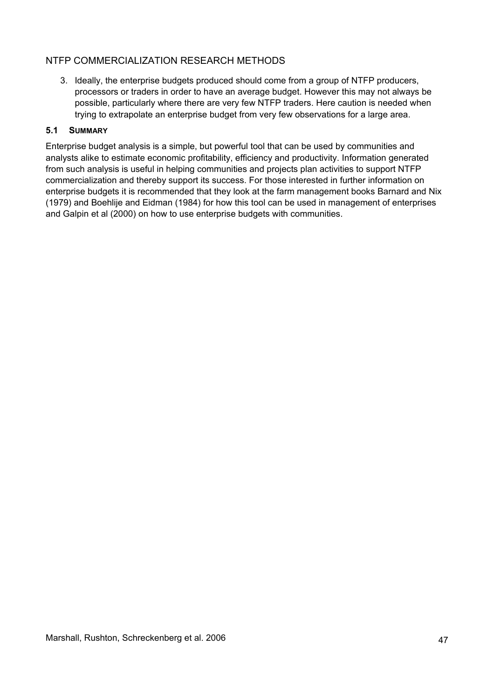3. Ideally, the enterprise budgets produced should come from a group of NTFP producers, processors or traders in order to have an average budget. However this may not always be possible, particularly where there are very few NTFP traders. Here caution is needed when trying to extrapolate an enterprise budget from very few observations for a large area.

#### **5.1 SUMMARY**

Enterprise budget analysis is a simple, but powerful tool that can be used by communities and analysts alike to estimate economic profitability, efficiency and productivity. Information generated from such analysis is useful in helping communities and projects plan activities to support NTFP commercialization and thereby support its success. For those interested in further information on enterprise budgets it is recommended that they look at the farm management books Barnard and Nix (1979) and Boehlije and Eidman (1984) for how this tool can be used in management of enterprises and Galpin et al (2000) on how to use enterprise budgets with communities.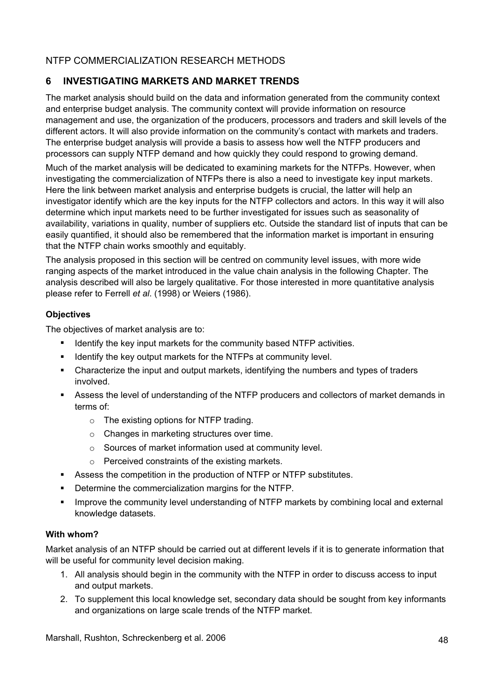# **6 INVESTIGATING MARKETS AND MARKET TRENDS**

The market analysis should build on the data and information generated from the community context and enterprise budget analysis. The community context will provide information on resource management and use, the organization of the producers, processors and traders and skill levels of the different actors. It will also provide information on the community's contact with markets and traders. The enterprise budget analysis will provide a basis to assess how well the NTFP producers and processors can supply NTFP demand and how quickly they could respond to growing demand.

Much of the market analysis will be dedicated to examining markets for the NTFPs. However, when investigating the commercialization of NTFPs there is also a need to investigate key input markets. Here the link between market analysis and enterprise budgets is crucial, the latter will help an investigator identify which are the key inputs for the NTFP collectors and actors. In this way it will also determine which input markets need to be further investigated for issues such as seasonality of availability, variations in quality, number of suppliers etc. Outside the standard list of inputs that can be easily quantified, it should also be remembered that the information market is important in ensuring that the NTFP chain works smoothly and equitably.

The analysis proposed in this section will be centred on community level issues, with more wide ranging aspects of the market introduced in the value chain analysis in the following Chapter. The analysis described will also be largely qualitative. For those interested in more quantitative analysis please refer to Ferrell *et al*. (1998) or Weiers (1986).

## **Objectives**

The objectives of market analysis are to:

- **IDENTIFY IDENT IS NOT THE VIOLET IS NOT THE VIOLET IS A LIGAT THE VIOLET IS NOT THE ISL I**
- **If identify the key output markets for the NTFPs at community level.**
- Characterize the input and output markets, identifying the numbers and types of traders involved.
- Assess the level of understanding of the NTFP producers and collectors of market demands in terms of:
	- o The existing options for NTFP trading.
	- o Changes in marketing structures over time.
	- o Sources of market information used at community level.
	- o Perceived constraints of the existing markets.
- Assess the competition in the production of NTFP or NTFP substitutes.
- Determine the commercialization margins for the NTFP.
- Improve the community level understanding of NTFP markets by combining local and external knowledge datasets.

## **With whom?**

Market analysis of an NTFP should be carried out at different levels if it is to generate information that will be useful for community level decision making.

- 1. All analysis should begin in the community with the NTFP in order to discuss access to input and output markets.
- 2. To supplement this local knowledge set, secondary data should be sought from key informants and organizations on large scale trends of the NTFP market.

Marshall, Rushton, Schreckenberg et al. 2006 **Arrival Controllery and Arrival Controllery** 48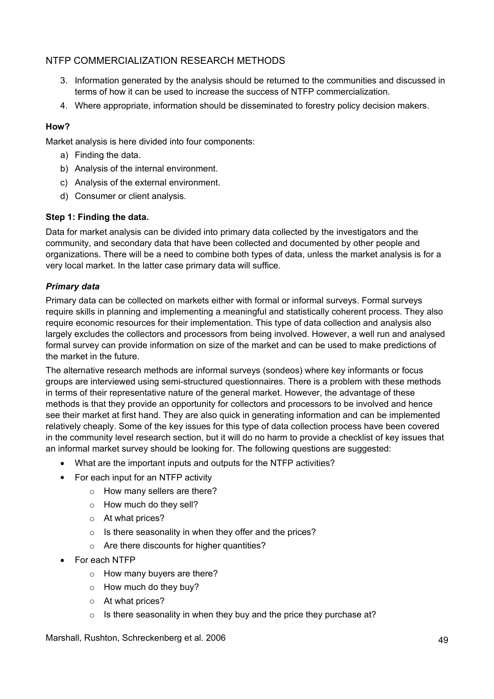- 3. Information generated by the analysis should be returned to the communities and discussed in terms of how it can be used to increase the success of NTFP commercialization.
- 4. Where appropriate, information should be disseminated to forestry policy decision makers.

### **How?**

Market analysis is here divided into four components:

- a) Finding the data.
- b) Analysis of the internal environment.
- c) Analysis of the external environment.
- d) Consumer or client analysis.

#### **Step 1: Finding the data.**

Data for market analysis can be divided into primary data collected by the investigators and the community, and secondary data that have been collected and documented by other people and organizations. There will be a need to combine both types of data, unless the market analysis is for a very local market. In the latter case primary data will suffice.

#### *Primary data*

Primary data can be collected on markets either with formal or informal surveys. Formal surveys require skills in planning and implementing a meaningful and statistically coherent process. They also require economic resources for their implementation. This type of data collection and analysis also largely excludes the collectors and processors from being involved. However, a well run and analysed formal survey can provide information on size of the market and can be used to make predictions of the market in the future.

The alternative research methods are informal surveys (sondeos) where key informants or focus groups are interviewed using semi-structured questionnaires. There is a problem with these methods in terms of their representative nature of the general market. However, the advantage of these methods is that they provide an opportunity for collectors and processors to be involved and hence see their market at first hand. They are also quick in generating information and can be implemented relatively cheaply. Some of the key issues for this type of data collection process have been covered in the community level research section, but it will do no harm to provide a checklist of key issues that an informal market survey should be looking for. The following questions are suggested:

- What are the important inputs and outputs for the NTFP activities?
- For each input for an NTFP activity
	- o How many sellers are there?
	- o How much do they sell?
	- o At what prices?
	- o Is there seasonality in when they offer and the prices?
	- o Are there discounts for higher quantities?
- For each NTFP
	- o How many buyers are there?
	- o How much do they buy?
	- o At what prices?
	- $\circ$  Is there seasonality in when they buy and the price they purchase at?

Marshall, Rushton, Schreckenberg et al. 2006 49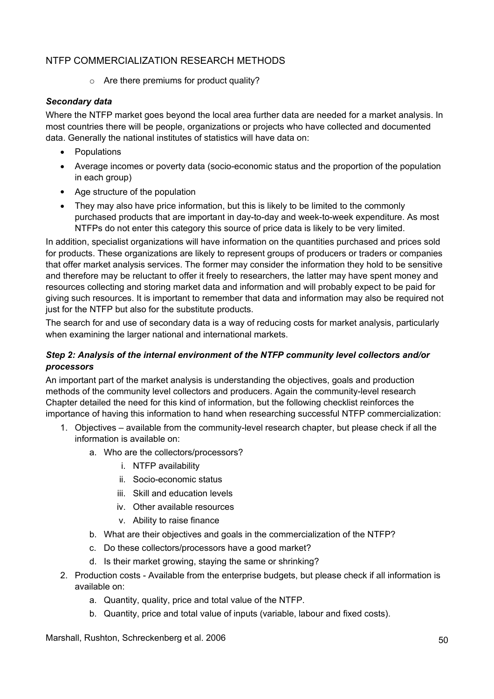$\circ$  Are there premiums for product quality?

#### *Secondary data*

Where the NTFP market goes beyond the local area further data are needed for a market analysis. In most countries there will be people, organizations or projects who have collected and documented data. Generally the national institutes of statistics will have data on:

- Populations
- Average incomes or poverty data (socio-economic status and the proportion of the population in each group)
- Age structure of the population
- They may also have price information, but this is likely to be limited to the commonly purchased products that are important in day-to-day and week-to-week expenditure. As most NTFPs do not enter this category this source of price data is likely to be very limited.

In addition, specialist organizations will have information on the quantities purchased and prices sold for products. These organizations are likely to represent groups of producers or traders or companies that offer market analysis services. The former may consider the information they hold to be sensitive and therefore may be reluctant to offer it freely to researchers, the latter may have spent money and resources collecting and storing market data and information and will probably expect to be paid for giving such resources. It is important to remember that data and information may also be required not just for the NTFP but also for the substitute products.

The search for and use of secondary data is a way of reducing costs for market analysis, particularly when examining the larger national and international markets.

#### *Step 2: Analysis of the internal environment of the NTFP community level collectors and/or processors*

An important part of the market analysis is understanding the objectives, goals and production methods of the community level collectors and producers. Again the community-level research Chapter detailed the need for this kind of information, but the following checklist reinforces the importance of having this information to hand when researching successful NTFP commercialization:

- 1. Objectives available from the community-level research chapter, but please check if all the information is available on:
	- a. Who are the collectors/processors?
		- i. NTFP availability
		- ii. Socio-economic status
		- iii. Skill and education levels
		- iv. Other available resources
		- v. Ability to raise finance
	- b. What are their objectives and goals in the commercialization of the NTFP?
	- c. Do these collectors/processors have a good market?
	- d. Is their market growing, staying the same or shrinking?
- 2. Production costs Available from the enterprise budgets, but please check if all information is available on:
	- a. Quantity, quality, price and total value of the NTFP.
	- b. Quantity, price and total value of inputs (variable, labour and fixed costs).

Marshall, Rushton, Schreckenberg et al. 2006 **500 Servers 1986** 50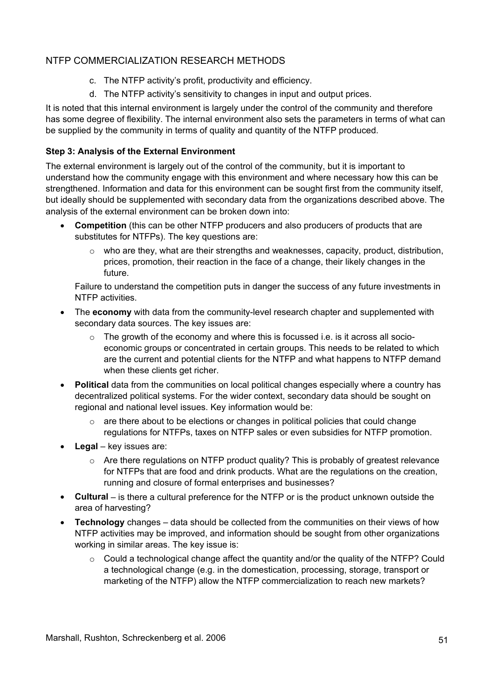- c. The NTFP activity's profit, productivity and efficiency.
- d. The NTFP activity's sensitivity to changes in input and output prices.

It is noted that this internal environment is largely under the control of the community and therefore has some degree of flexibility. The internal environment also sets the parameters in terms of what can be supplied by the community in terms of quality and quantity of the NTFP produced.

### **Step 3: Analysis of the External Environment**

The external environment is largely out of the control of the community, but it is important to understand how the community engage with this environment and where necessary how this can be strengthened. Information and data for this environment can be sought first from the community itself, but ideally should be supplemented with secondary data from the organizations described above. The analysis of the external environment can be broken down into:

- **Competition** (this can be other NTFP producers and also producers of products that are substitutes for NTFPs). The key questions are:
	- o who are they, what are their strengths and weaknesses, capacity, product, distribution, prices, promotion, their reaction in the face of a change, their likely changes in the future.

Failure to understand the competition puts in danger the success of any future investments in NTFP activities.

- The **economy** with data from the community-level research chapter and supplemented with secondary data sources. The key issues are:
	- o The growth of the economy and where this is focussed i.e. is it across all socioeconomic groups or concentrated in certain groups. This needs to be related to which are the current and potential clients for the NTFP and what happens to NTFP demand when these clients get richer.
- **Political** data from the communities on local political changes especially where a country has decentralized political systems. For the wider context, secondary data should be sought on regional and national level issues. Key information would be:
	- $\circ$  are there about to be elections or changes in political policies that could change regulations for NTFPs, taxes on NTFP sales or even subsidies for NTFP promotion.
- **Legal** key issues are:
	- $\circ$  Are there regulations on NTFP product quality? This is probably of greatest relevance for NTFPs that are food and drink products. What are the regulations on the creation, running and closure of formal enterprises and businesses?
- **Cultural** is there a cultural preference for the NTFP or is the product unknown outside the area of harvesting?
- **Technology** changes data should be collected from the communities on their views of how NTFP activities may be improved, and information should be sought from other organizations working in similar areas. The key issue is:
	- o Could a technological change affect the quantity and/or the quality of the NTFP? Could a technological change (e.g. in the domestication, processing, storage, transport or marketing of the NTFP) allow the NTFP commercialization to reach new markets?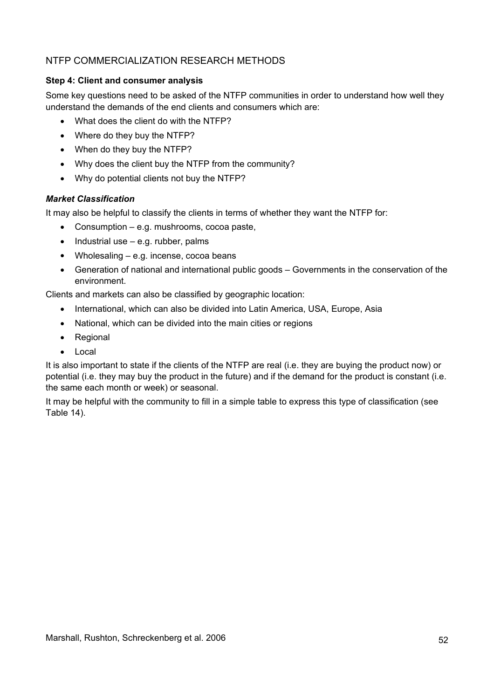#### **Step 4: Client and consumer analysis**

Some key questions need to be asked of the NTFP communities in order to understand how well they understand the demands of the end clients and consumers which are:

- What does the client do with the NTFP?
- Where do they buy the NTFP?
- When do they buy the NTFP?
- Why does the client buy the NTFP from the community?
- Why do potential clients not buy the NTFP?

#### *Market Classification*

It may also be helpful to classify the clients in terms of whether they want the NTFP for:

- Consumption e.g. mushrooms, cocoa paste,
- $\bullet$  Industrial use e.g. rubber, palms
- Wholesaling e.g. incense, cocoa beans
- Generation of national and international public goods Governments in the conservation of the environment.

Clients and markets can also be classified by geographic location:

- International, which can also be divided into Latin America, USA, Europe, Asia
- National, which can be divided into the main cities or regions
- Regional
- Local

It is also important to state if the clients of the NTFP are real (i.e. they are buying the product now) or potential (i.e. they may buy the product in the future) and if the demand for the product is constant (i.e. the same each month or week) or seasonal.

It may be helpful with the community to fill in a simple table to express this type of classification (see Table 14).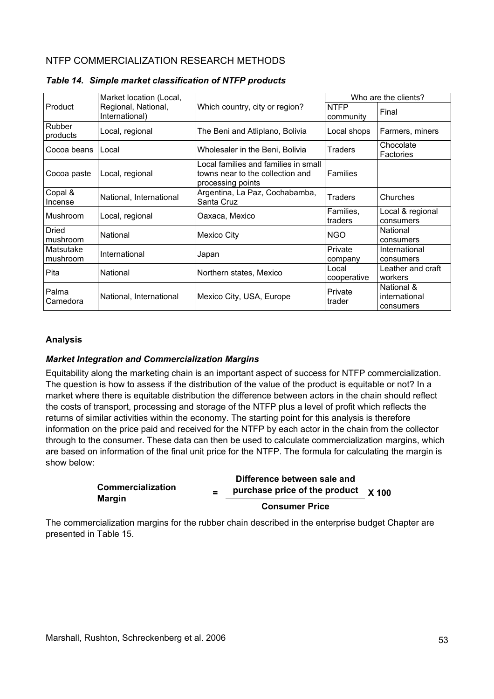|                       | Market location (Local,               |                                                                                               |                          | Who are the clients?                     |
|-----------------------|---------------------------------------|-----------------------------------------------------------------------------------------------|--------------------------|------------------------------------------|
| Product               | Regional, National,<br>International) | Which country, city or region?                                                                | <b>NTFP</b><br>community | Final                                    |
| Rubber<br>products    | Local, regional                       | The Beni and Atliplano, Bolivia                                                               | Local shops              | Farmers, miners                          |
| Cocoa beans           | Local                                 | Wholesaler in the Beni, Bolivia                                                               | <b>Traders</b>           | Chocolate<br>Factories                   |
| Cocoa paste           | Local, regional                       | Local families and families in small<br>towns near to the collection and<br>processing points | <b>Families</b>          |                                          |
| Copal &<br>Incense    | National, International               | Argentina, La Paz, Cochabamba,<br>Santa Cruz                                                  | <b>Traders</b>           | Churches                                 |
| Mushroom              | Local, regional                       | Oaxaca, Mexico                                                                                | Families.<br>traders     | Local & regional<br>consumers            |
| Dried<br>mushroom     | National                              | <b>Mexico City</b>                                                                            | <b>NGO</b>               | National<br>consumers                    |
| Matsutake<br>mushroom | International                         | Japan                                                                                         | Private<br>company       | International<br>consumers               |
| Pita                  | National                              | Northern states, Mexico                                                                       | Local<br>cooperative     | Leather and craft<br>workers             |
| Palma<br>Camedora     | National, International               | Mexico City, USA, Europe                                                                      | Private<br>trader        | National &<br>international<br>consumers |

*Table 14. Simple market classification of NTFP products* 

#### **Analysis**

#### *Market Integration and Commercialization Margins*

Equitability along the marketing chain is an important aspect of success for NTFP commercialization. The question is how to assess if the distribution of the value of the product is equitable or not? In a market where there is equitable distribution the difference between actors in the chain should reflect the costs of transport, processing and storage of the NTFP plus a level of profit which reflects the returns of similar activities within the economy. The starting point for this analysis is therefore information on the price paid and received for the NTFP by each actor in the chain from the collector through to the consumer. These data can then be used to calculate commercialization margins, which are based on information of the final unit price for the NTFP. The formula for calculating the margin is show below:

| <b>Commercialization</b> | Difference between sale and              |  |
|--------------------------|------------------------------------------|--|
| <b>Margin</b>            | purchase price of the product $\chi$ 100 |  |
|                          | <b>Consumer Price</b>                    |  |

The commercialization margins for the rubber chain described in the enterprise budget Chapter are presented in Table 15.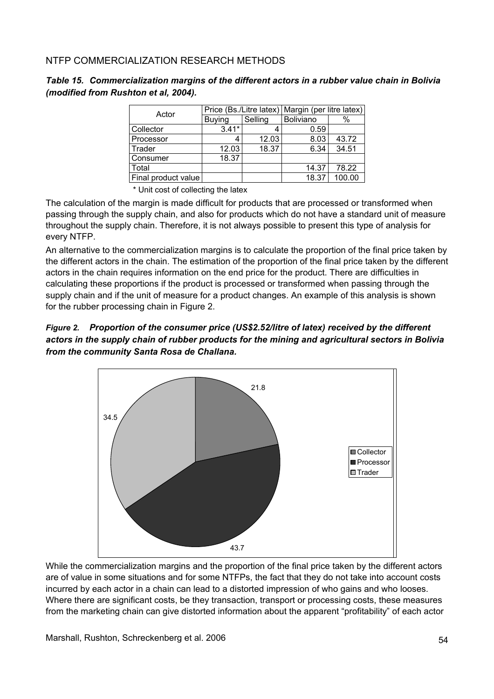| Actor               |               |         | Price (Bs./Litre latex)   Margin (per litre latex) |        |  |
|---------------------|---------------|---------|----------------------------------------------------|--------|--|
|                     | <b>Buying</b> | Selling | Boliviano                                          | $\%$   |  |
| Collector           | $3.41*$       |         | 0.59                                               |        |  |
| Processor           | 4             | 12.03   | 8.03                                               | 43.72  |  |
| Trader              | 12.03         | 18.37   | 6.34                                               | 34.51  |  |
| Consumer            | 18.37         |         |                                                    |        |  |
| Total               |               |         | 14.37                                              | 78.22  |  |
| Final product value |               |         | 18.37                                              | 100.00 |  |

*Table 15. Commercialization margins of the different actors in a rubber value chain in Bolivia (modified from Rushton et al, 2004).* 

\* Unit cost of collecting the latex

The calculation of the margin is made difficult for products that are processed or transformed when passing through the supply chain, and also for products which do not have a standard unit of measure throughout the supply chain. Therefore, it is not always possible to present this type of analysis for every NTFP.

An alternative to the commercialization margins is to calculate the proportion of the final price taken by the different actors in the chain. The estimation of the proportion of the final price taken by the different actors in the chain requires information on the end price for the product. There are difficulties in calculating these proportions if the product is processed or transformed when passing through the supply chain and if the unit of measure for a product changes. An example of this analysis is shown for the rubber processing chain in Figure 2.

## *Figure 2. Proportion of the consumer price (US\$2.52/litre of latex) received by the different actors in the supply chain of rubber products for the mining and agricultural sectors in Bolivia from the community Santa Rosa de Challana.*



While the commercialization margins and the proportion of the final price taken by the different actors are of value in some situations and for some NTFPs, the fact that they do not take into account costs incurred by each actor in a chain can lead to a distorted impression of who gains and who looses. Where there are significant costs, be they transaction, transport or processing costs, these measures from the marketing chain can give distorted information about the apparent "profitability" of each actor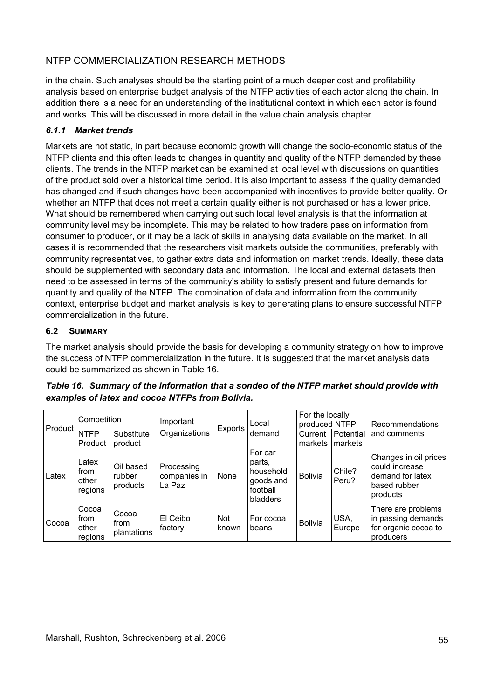in the chain. Such analyses should be the starting point of a much deeper cost and profitability analysis based on enterprise budget analysis of the NTFP activities of each actor along the chain. In addition there is a need for an understanding of the institutional context in which each actor is found and works. This will be discussed in more detail in the value chain analysis chapter.

## *6.1.1 Market trends*

Markets are not static, in part because economic growth will change the socio-economic status of the NTFP clients and this often leads to changes in quantity and quality of the NTFP demanded by these clients. The trends in the NTFP market can be examined at local level with discussions on quantities of the product sold over a historical time period. It is also important to assess if the quality demanded has changed and if such changes have been accompanied with incentives to provide better quality. Or whether an NTFP that does not meet a certain quality either is not purchased or has a lower price. What should be remembered when carrying out such local level analysis is that the information at community level may be incomplete. This may be related to how traders pass on information from consumer to producer, or it may be a lack of skills in analysing data available on the market. In all cases it is recommended that the researchers visit markets outside the communities, preferably with community representatives, to gather extra data and information on market trends. Ideally, these data should be supplemented with secondary data and information. The local and external datasets then need to be assessed in terms of the community's ability to satisfy present and future demands for quantity and quality of the NTFP. The combination of data and information from the community context, enterprise budget and market analysis is key to generating plans to ensure successful NTFP commercialization in the future.

## **6.2 SUMMARY**

The market analysis should provide the basis for developing a community strategy on how to improve the success of NTFP commercialization in the future. It is suggested that the market analysis data could be summarized as shown in Table 16.

| Table 16. Summary of the information that a sondeo of the NTFP market should provide with |
|-------------------------------------------------------------------------------------------|
| examples of latex and cocoa NTFPs from Bolivia.                                           |

|                      | Competition                       |                                 | Important                            |                     | Local                                                               | For the locally<br>produced NTFP |                      | Recommendations                                                                         |  |
|----------------------|-----------------------------------|---------------------------------|--------------------------------------|---------------------|---------------------------------------------------------------------|----------------------------------|----------------------|-----------------------------------------------------------------------------------------|--|
| Product <sup>1</sup> | <b>NTFP</b><br>Product            | Substitute<br>product           | Organizations                        | Exports             | demand                                                              | Current<br>markets               | Potential<br>markets | and comments                                                                            |  |
| Latex                | Latex<br>from<br>other<br>regions | Oil based<br>rubber<br>products | Processing<br>companies in<br>La Paz | None                | For car<br>parts.<br>household<br>goods and<br>football<br>bladders | <b>Bolivia</b>                   | Chile?<br>Peru?      | Changes in oil prices<br>could increase<br>demand for latex<br>based rubber<br>products |  |
| Cocoa                | Cocoa<br>from<br>other<br>regions | Cocoa<br>from<br>plantations    | El Ceibo<br>factory                  | <b>Not</b><br>known | For cocoa<br>beans                                                  | <b>Bolivia</b>                   | USA,<br>Europe       | There are problems<br>in passing demands<br>for organic cocoa to<br>producers           |  |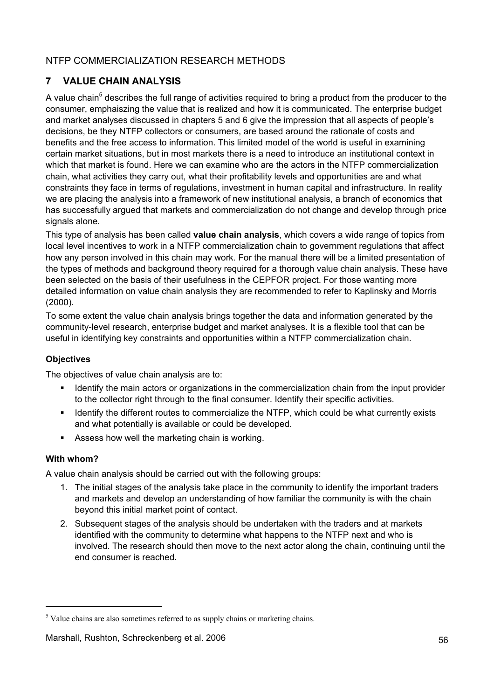# **7 VALUE CHAIN ANALYSIS**

A value chain<sup>5</sup> describes the full range of activities required to bring a product from the producer to the consumer, emphaiszing the value that is realized and how it is communicated. The enterprise budget and market analyses discussed in chapters 5 and 6 give the impression that all aspects of people's decisions, be they NTFP collectors or consumers, are based around the rationale of costs and benefits and the free access to information. This limited model of the world is useful in examining certain market situations, but in most markets there is a need to introduce an institutional context in which that market is found. Here we can examine who are the actors in the NTFP commercialization chain, what activities they carry out, what their profitability levels and opportunities are and what constraints they face in terms of regulations, investment in human capital and infrastructure. In reality we are placing the analysis into a framework of new institutional analysis, a branch of economics that has successfully argued that markets and commercialization do not change and develop through price signals alone.

This type of analysis has been called **value chain analysis**, which covers a wide range of topics from local level incentives to work in a NTFP commercialization chain to government regulations that affect how any person involved in this chain may work. For the manual there will be a limited presentation of the types of methods and background theory required for a thorough value chain analysis. These have been selected on the basis of their usefulness in the CEPFOR project. For those wanting more detailed information on value chain analysis they are recommended to refer to Kaplinsky and Morris (2000).

To some extent the value chain analysis brings together the data and information generated by the community-level research, enterprise budget and market analyses. It is a flexible tool that can be useful in identifying key constraints and opportunities within a NTFP commercialization chain.

## **Objectives**

The objectives of value chain analysis are to:

- Identify the main actors or organizations in the commercialization chain from the input provider to the collector right through to the final consumer. Identify their specific activities.
- **IDENTIFY 11 Identify the different routes to commercialize the NTFP, which could be what currently exists** and what potentially is available or could be developed.
- Assess how well the marketing chain is working.

## **With whom?**

 $\overline{a}$ 

A value chain analysis should be carried out with the following groups:

- 1. The initial stages of the analysis take place in the community to identify the important traders and markets and develop an understanding of how familiar the community is with the chain beyond this initial market point of contact.
- 2. Subsequent stages of the analysis should be undertaken with the traders and at markets identified with the community to determine what happens to the NTFP next and who is involved. The research should then move to the next actor along the chain, continuing until the end consumer is reached.

 $<sup>5</sup>$  Value chains are also sometimes referred to as supply chains or marketing chains.</sup>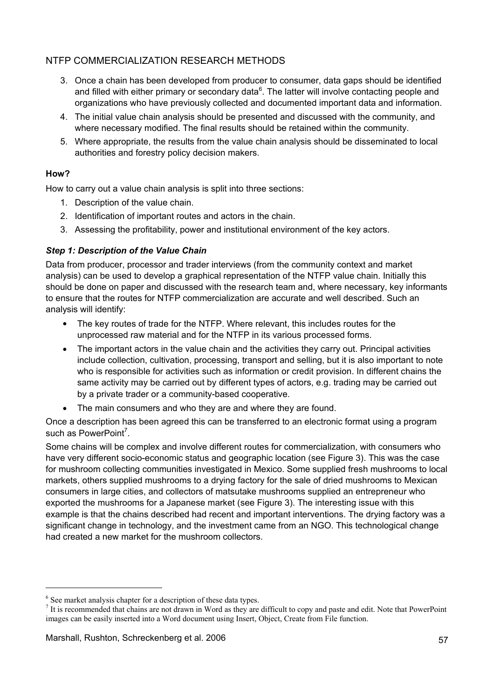- 3. Once a chain has been developed from producer to consumer, data gaps should be identified and filled with either primary or secondary data $6$ . The latter will involve contacting people and organizations who have previously collected and documented important data and information.
- 4. The initial value chain analysis should be presented and discussed with the community, and where necessary modified. The final results should be retained within the community.
- 5. Where appropriate, the results from the value chain analysis should be disseminated to local authorities and forestry policy decision makers.

## **How?**

l

How to carry out a value chain analysis is split into three sections:

- 1. Description of the value chain.
- 2. Identification of important routes and actors in the chain.
- 3. Assessing the profitability, power and institutional environment of the key actors.

## *Step 1: Description of the Value Chain*

Data from producer, processor and trader interviews (from the community context and market analysis) can be used to develop a graphical representation of the NTFP value chain. Initially this should be done on paper and discussed with the research team and, where necessary, key informants to ensure that the routes for NTFP commercialization are accurate and well described. Such an analysis will identify:

- The key routes of trade for the NTFP. Where relevant, this includes routes for the unprocessed raw material and for the NTFP in its various processed forms.
- The important actors in the value chain and the activities they carry out. Principal activities include collection, cultivation, processing, transport and selling, but it is also important to note who is responsible for activities such as information or credit provision. In different chains the same activity may be carried out by different types of actors, e.g. trading may be carried out by a private trader or a community-based cooperative.
- The main consumers and who they are and where they are found.

Once a description has been agreed this can be transferred to an electronic format using a program such as PowerPoint<sup>7</sup>.

Some chains will be complex and involve different routes for commercialization, with consumers who have very different socio-economic status and geographic location (see Figure 3). This was the case for mushroom collecting communities investigated in Mexico. Some supplied fresh mushrooms to local markets, others supplied mushrooms to a drying factory for the sale of dried mushrooms to Mexican consumers in large cities, and collectors of matsutake mushrooms supplied an entrepreneur who exported the mushrooms for a Japanese market (see Figure 3). The interesting issue with this example is that the chains described had recent and important interventions. The drying factory was a significant change in technology, and the investment came from an NGO. This technological change had created a new market for the mushroom collectors.

<sup>&</sup>lt;sup>6</sup> See market analysis chapter for a description of these data types.

 $<sup>7</sup>$  It is recommended that chains are not drawn in Word as they are difficult to copy and paste and edit. Note that PowerPoint</sup> images can be easily inserted into a Word document using Insert, Object, Create from File function.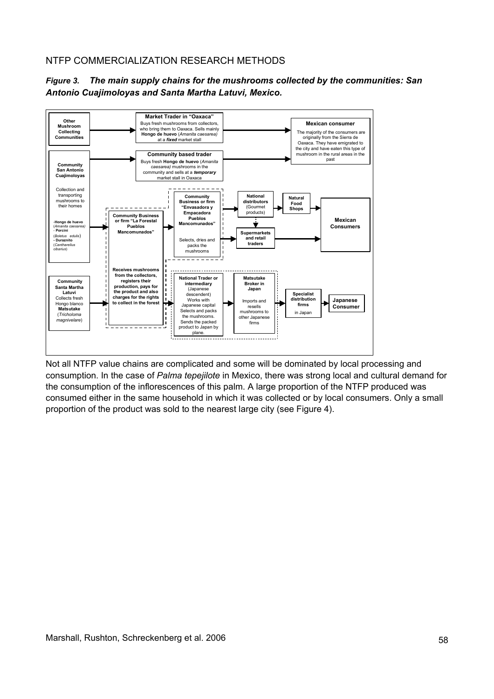



Not all NTFP value chains are complicated and some will be dominated by local processing and consumption. In the case of *Palma tepejilote* in Mexico, there was strong local and cultural demand for the consumption of the inflorescences of this palm. A large proportion of the NTFP produced was consumed either in the same household in which it was collected or by local consumers. Only a small proportion of the product was sold to the nearest large city (see Figure 4).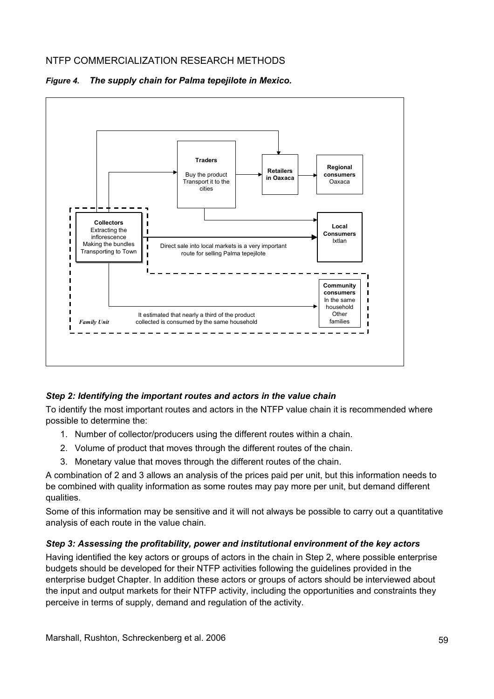

*Figure 4. The supply chain for Palma tepejilote in Mexico.* 

## *Step 2: Identifying the important routes and actors in the value chain*

To identify the most important routes and actors in the NTFP value chain it is recommended where possible to determine the:

- 1. Number of collector/producers using the different routes within a chain.
- 2. Volume of product that moves through the different routes of the chain.
- 3. Monetary value that moves through the different routes of the chain.

A combination of 2 and 3 allows an analysis of the prices paid per unit, but this information needs to be combined with quality information as some routes may pay more per unit, but demand different qualities.

Some of this information may be sensitive and it will not always be possible to carry out a quantitative analysis of each route in the value chain.

#### *Step 3: Assessing the profitability, power and institutional environment of the key actors*

Having identified the key actors or groups of actors in the chain in Step 2, where possible enterprise budgets should be developed for their NTFP activities following the guidelines provided in the enterprise budget Chapter. In addition these actors or groups of actors should be interviewed about the input and output markets for their NTFP activity, including the opportunities and constraints they perceive in terms of supply, demand and regulation of the activity.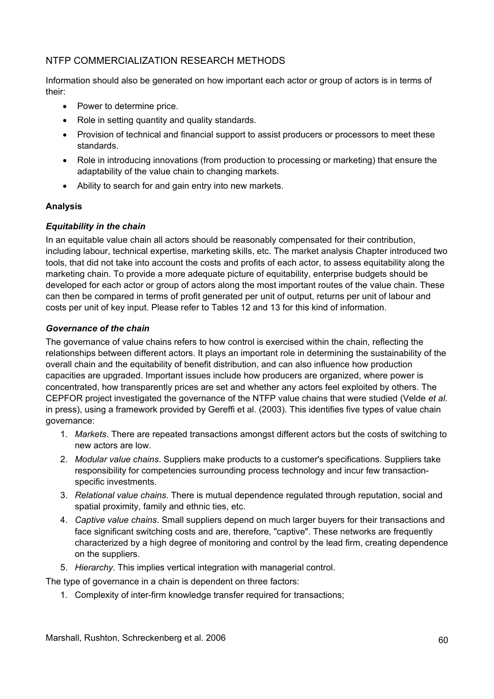Information should also be generated on how important each actor or group of actors is in terms of their:

- Power to determine price.
- Role in setting quantity and quality standards.
- Provision of technical and financial support to assist producers or processors to meet these standards.
- Role in introducing innovations (from production to processing or marketing) that ensure the adaptability of the value chain to changing markets.
- Ability to search for and gain entry into new markets.

#### **Analysis**

#### *Equitability in the chain*

In an equitable value chain all actors should be reasonably compensated for their contribution, including labour, technical expertise, marketing skills, etc. The market analysis Chapter introduced two tools, that did not take into account the costs and profits of each actor, to assess equitability along the marketing chain. To provide a more adequate picture of equitability, enterprise budgets should be developed for each actor or group of actors along the most important routes of the value chain. These can then be compared in terms of profit generated per unit of output, returns per unit of labour and costs per unit of key input. Please refer to Tables 12 and 13 for this kind of information.

#### *Governance of the chain*

The governance of value chains refers to how control is exercised within the chain, reflecting the relationships between different actors. It plays an important role in determining the sustainability of the overall chain and the equitability of benefit distribution, and can also influence how production capacities are upgraded. Important issues include how producers are organized, where power is concentrated, how transparently prices are set and whether any actors feel exploited by others. The CEPFOR project investigated the governance of the NTFP value chains that were studied (Velde *et al.* in press), using a framework provided by Gereffi et al. (2003). This identifies five types of value chain governance:

- 1. *Markets*. There are repeated transactions amongst different actors but the costs of switching to new actors are low.
- 2. *Modular value chains*. Suppliers make products to a customer's specifications. Suppliers take responsibility for competencies surrounding process technology and incur few transactionspecific investments.
- 3. *Relational value chains*. There is mutual dependence regulated through reputation, social and spatial proximity, family and ethnic ties, etc.
- 4. *Captive value chains*. Small suppliers depend on much larger buyers for their transactions and face significant switching costs and are, therefore, "captive". These networks are frequently characterized by a high degree of monitoring and control by the lead firm, creating dependence on the suppliers.
- 5. *Hierarchy*. This implies vertical integration with managerial control.

The type of governance in a chain is dependent on three factors:

1. Complexity of inter-firm knowledge transfer required for transactions;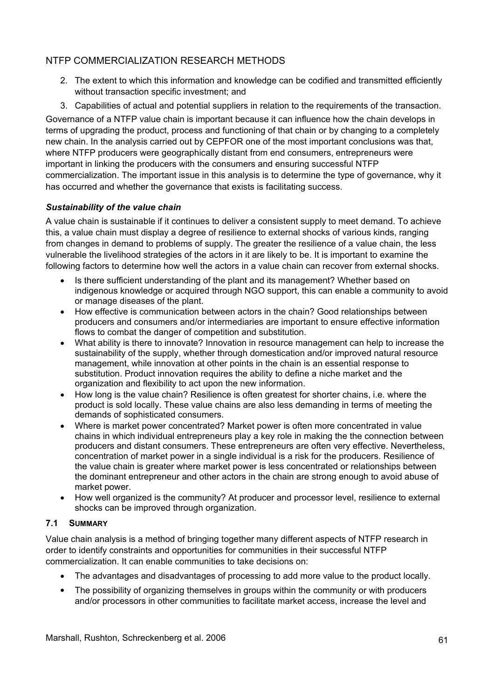- 2. The extent to which this information and knowledge can be codified and transmitted efficiently without transaction specific investment; and
- 3. Capabilities of actual and potential suppliers in relation to the requirements of the transaction.

Governance of a NTFP value chain is important because it can influence how the chain develops in terms of upgrading the product, process and functioning of that chain or by changing to a completely new chain. In the analysis carried out by CEPFOR one of the most important conclusions was that, where NTFP producers were geographically distant from end consumers, entrepreneurs were important in linking the producers with the consumers and ensuring successful NTFP commercialization. The important issue in this analysis is to determine the type of governance, why it has occurred and whether the governance that exists is facilitating success.

#### *Sustainability of the value chain*

A value chain is sustainable if it continues to deliver a consistent supply to meet demand. To achieve this, a value chain must display a degree of resilience to external shocks of various kinds, ranging from changes in demand to problems of supply. The greater the resilience of a value chain, the less vulnerable the livelihood strategies of the actors in it are likely to be. It is important to examine the following factors to determine how well the actors in a value chain can recover from external shocks.

- Is there sufficient understanding of the plant and its management? Whether based on indigenous knowledge or acquired through NGO support, this can enable a community to avoid or manage diseases of the plant.
- How effective is communication between actors in the chain? Good relationships between producers and consumers and/or intermediaries are important to ensure effective information flows to combat the danger of competition and substitution.
- What ability is there to innovate? Innovation in resource management can help to increase the sustainability of the supply, whether through domestication and/or improved natural resource management, while innovation at other points in the chain is an essential response to substitution. Product innovation requires the ability to define a niche market and the organization and flexibility to act upon the new information.
- How long is the value chain? Resilience is often greatest for shorter chains, i.e. where the product is sold locally. These value chains are also less demanding in terms of meeting the demands of sophisticated consumers.
- Where is market power concentrated? Market power is often more concentrated in value chains in which individual entrepreneurs play a key role in making the the connection between producers and distant consumers. These entrepreneurs are often very effective. Nevertheless, concentration of market power in a single individual is a risk for the producers. Resilience of the value chain is greater where market power is less concentrated or relationships between the dominant entrepreneur and other actors in the chain are strong enough to avoid abuse of market power.
- How well organized is the community? At producer and processor level, resilience to external shocks can be improved through organization.

#### **7.1 SUMMARY**

Value chain analysis is a method of bringing together many different aspects of NTFP research in order to identify constraints and opportunities for communities in their successful NTFP commercialization. It can enable communities to take decisions on:

- The advantages and disadvantages of processing to add more value to the product locally.
- The possibility of organizing themselves in groups within the community or with producers and/or processors in other communities to facilitate market access, increase the level and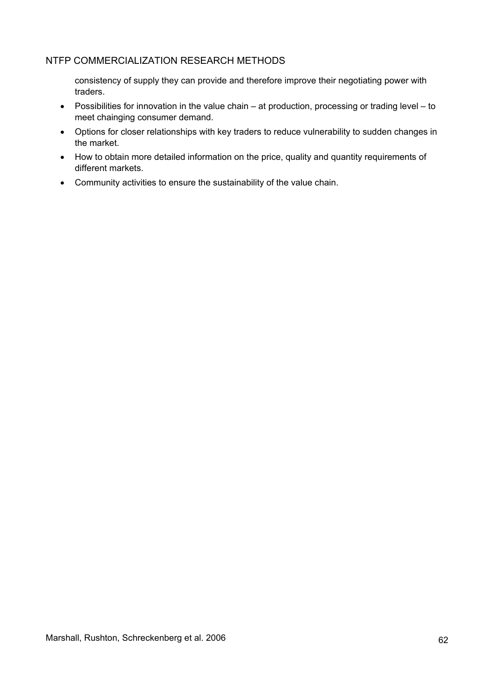consistency of supply they can provide and therefore improve their negotiating power with traders.

- Possibilities for innovation in the value chain at production, processing or trading level to meet chainging consumer demand.
- Options for closer relationships with key traders to reduce vulnerability to sudden changes in the market.
- How to obtain more detailed information on the price, quality and quantity requirements of different markets.
- Community activities to ensure the sustainability of the value chain.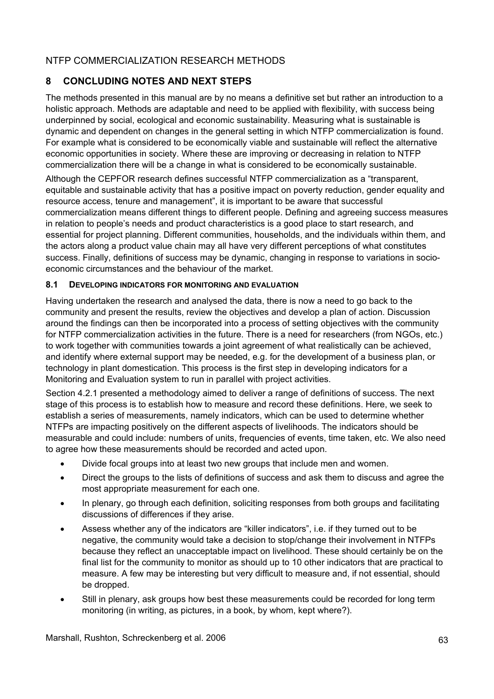# **8 CONCLUDING NOTES AND NEXT STEPS**

The methods presented in this manual are by no means a definitive set but rather an introduction to a holistic approach. Methods are adaptable and need to be applied with flexibility, with success being underpinned by social, ecological and economic sustainability. Measuring what is sustainable is dynamic and dependent on changes in the general setting in which NTFP commercialization is found. For example what is considered to be economically viable and sustainable will reflect the alternative economic opportunities in society. Where these are improving or decreasing in relation to NTFP commercialization there will be a change in what is considered to be economically sustainable.

Although the CEPFOR research defines successful NTFP commercialization as a "transparent, equitable and sustainable activity that has a positive impact on poverty reduction, gender equality and resource access, tenure and management", it is important to be aware that successful commercialization means different things to different people. Defining and agreeing success measures in relation to people's needs and product characteristics is a good place to start research, and essential for project planning. Different communities, households, and the individuals within them, and the actors along a product value chain may all have very different perceptions of what constitutes success. Finally, definitions of success may be dynamic, changing in response to variations in socioeconomic circumstances and the behaviour of the market.

#### **8.1 DEVELOPING INDICATORS FOR MONITORING AND EVALUATION**

Having undertaken the research and analysed the data, there is now a need to go back to the community and present the results, review the objectives and develop a plan of action. Discussion around the findings can then be incorporated into a process of setting objectives with the community for NTFP commercialization activities in the future. There is a need for researchers (from NGOs, etc.) to work together with communities towards a joint agreement of what realistically can be achieved, and identify where external support may be needed, e.g. for the development of a business plan, or technology in plant domestication. This process is the first step in developing indicators for a Monitoring and Evaluation system to run in parallel with project activities.

Section 4.2.1 presented a methodology aimed to deliver a range of definitions of success. The next stage of this process is to establish how to measure and record these definitions. Here, we seek to establish a series of measurements, namely indicators, which can be used to determine whether NTFPs are impacting positively on the different aspects of livelihoods. The indicators should be measurable and could include: numbers of units, frequencies of events, time taken, etc. We also need to agree how these measurements should be recorded and acted upon.

- Divide focal groups into at least two new groups that include men and women.
- Direct the groups to the lists of definitions of success and ask them to discuss and agree the most appropriate measurement for each one.
- In plenary, go through each definition, soliciting responses from both groups and facilitating discussions of differences if they arise.
- Assess whether any of the indicators are "killer indicators", i.e. if they turned out to be negative, the community would take a decision to stop/change their involvement in NTFPs because they reflect an unacceptable impact on livelihood. These should certainly be on the final list for the community to monitor as should up to 10 other indicators that are practical to measure. A few may be interesting but very difficult to measure and, if not essential, should be dropped.
- Still in plenary, ask groups how best these measurements could be recorded for long term monitoring (in writing, as pictures, in a book, by whom, kept where?).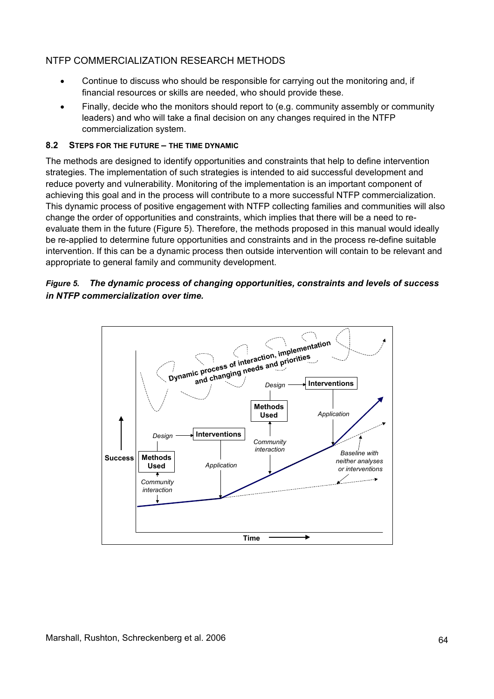- Continue to discuss who should be responsible for carrying out the monitoring and, if financial resources or skills are needed, who should provide these.
- Finally, decide who the monitors should report to (e.g. community assembly or community leaders) and who will take a final decision on any changes required in the NTFP commercialization system.

#### **8.2 STEPS FOR THE FUTURE – THE TIME DYNAMIC**

The methods are designed to identify opportunities and constraints that help to define intervention strategies. The implementation of such strategies is intended to aid successful development and reduce poverty and vulnerability. Monitoring of the implementation is an important component of achieving this goal and in the process will contribute to a more successful NTFP commercialization. This dynamic process of positive engagement with NTFP collecting families and communities will also change the order of opportunities and constraints, which implies that there will be a need to reevaluate them in the future (Figure 5). Therefore, the methods proposed in this manual would ideally be re-applied to determine future opportunities and constraints and in the process re-define suitable intervention. If this can be a dynamic process then outside intervention will contain to be relevant and appropriate to general family and community development.

### *Figure 5. The dynamic process of changing opportunities, constraints and levels of success in NTFP commercialization over time.*

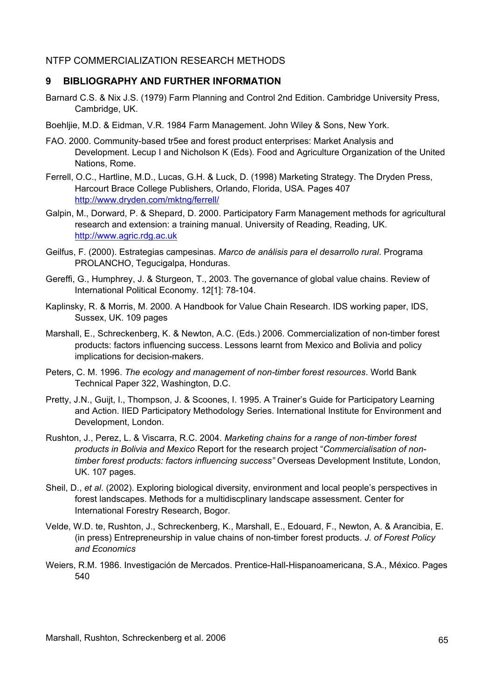#### **9 BIBLIOGRAPHY AND FURTHER INFORMATION**

- Barnard C.S. & Nix J.S. (1979) Farm Planning and Control 2nd Edition. Cambridge University Press, Cambridge, UK.
- Boehljie, M.D. & Eidman, V.R. 1984 Farm Management. John Wiley & Sons, New York.
- FAO. 2000. Community-based tr5ee and forest product enterprises: Market Analysis and Development. Lecup I and Nicholson K (Eds). Food and Agriculture Organization of the United Nations, Rome.
- Ferrell, O.C., Hartline, M.D., Lucas, G.H. & Luck, D. (1998) Marketing Strategy. The Dryden Press, Harcourt Brace College Publishers, Orlando, Florida, USA. Pages 407 http://www.dryden.com/mktng/ferrell/
- Galpin, M., Dorward, P. & Shepard, D. 2000. Participatory Farm Management methods for agricultural research and extension: a training manual. University of Reading, Reading, UK. http://www.agric.rdg.ac.uk
- Geilfus, F. (2000). Estrategias campesinas. *Marco de análisis para el desarrollo rural*. Programa PROLANCHO, Tegucigalpa, Honduras.
- Gereffi, G., Humphrey, J. & Sturgeon, T., 2003. The governance of global value chains. Review of International Political Economy. 12[1]: 78-104.
- Kaplinsky, R. & Morris, M. 2000. A Handbook for Value Chain Research. IDS working paper, IDS, Sussex, UK. 109 pages
- Marshall, E., Schreckenberg, K. & Newton, A.C. (Eds.) 2006. Commercialization of non-timber forest products: factors influencing success. Lessons learnt from Mexico and Bolivia and policy implications for decision-makers.
- Peters, C. M. 1996. *The ecology and management of non-timber forest resources*. World Bank Technical Paper 322, Washington, D.C.
- Pretty, J.N., Guijt, I., Thompson, J. & Scoones, I. 1995. A Trainer's Guide for Participatory Learning and Action. IIED Participatory Methodology Series. International Institute for Environment and Development, London.
- Rushton, J., Perez, L. & Viscarra, R.C. 2004. *Marketing chains for a range of non-timber forest products in Bolivia and Mexico* Report for the research project "*Commercialisation of nontimber forest products: factors influencing success"* Overseas Development Institute, London, UK. 107 pages.
- Sheil, D., *et al*. (2002). Exploring biological diversity, environment and local people's perspectives in forest landscapes. Methods for a multidiscplinary landscape assessment. Center for International Forestry Research, Bogor.
- Velde, W.D. te, Rushton, J., Schreckenberg, K., Marshall, E., Edouard, F., Newton, A. & Arancibia, E. (in press) Entrepreneurship in value chains of non-timber forest products. *J. of Forest Policy and Economics*
- Weiers, R.M. 1986. Investigación de Mercados. Prentice-Hall-Hispanoamericana, S.A., México. Pages 540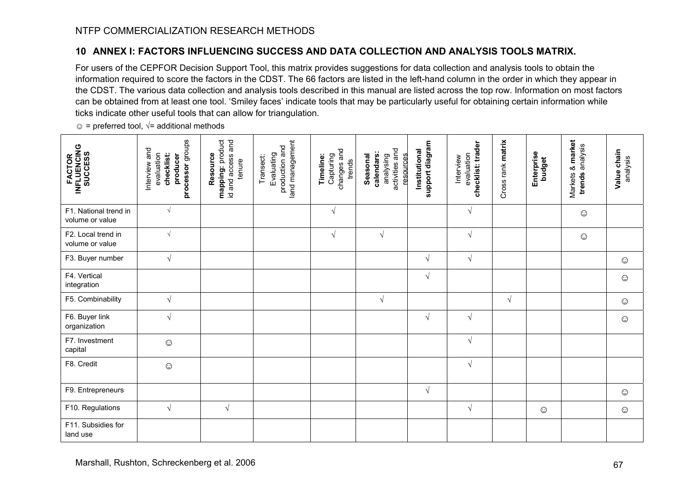## **10 ANNEX I: FACTORS INFLUENCING SUCCESS AND DATA COLLECTION AND ANALYSIS TOOLS MATRIX.**

For users of the CEPFOR Decision Support Tool, this matrix provides suggestions for data collection and analysis tools to obtain the information required to score the factors in the CDST. The 66 factors are listed in the left-hand column in the order in which they appear in the CDST. The various data collection and analysis tools described in this manual are listed across the top row. Information on most factors can be obtained from at least one tool. 'Smiley faces' indicate tools that may be particularly useful for obtaining certain information while ticks indicate other useful tools that can allow for triangulation.

 $\circledcirc$  = preferred tool,  $\sqrt{=}$  additional methods

| <b>FACTOR<br/>INFLUENCING<br/>SUCCESS</b> | processor groups<br>Interview and<br>evaluation<br>checklist:<br>producer | mapping: product<br>id and access and<br>Resource<br>tenure | land management<br>production and<br>Evaluating<br>Transect: | changes and<br>Timeline:<br>Capturing<br>trends | activities and<br>calendars:<br>resources<br>analysing<br>Seasonal | support diagram<br>Institutional | checklist: trader<br>evaluation<br>Interview | Cross rank matrix | Enterprise<br>budget | Markets & market<br>trends analysis | Value chain<br>analysis |
|-------------------------------------------|---------------------------------------------------------------------------|-------------------------------------------------------------|--------------------------------------------------------------|-------------------------------------------------|--------------------------------------------------------------------|----------------------------------|----------------------------------------------|-------------------|----------------------|-------------------------------------|-------------------------|
| F1. National trend in<br>volume or value  | $\sqrt{2}$                                                                |                                                             |                                                              | $\sqrt{}$                                       |                                                                    |                                  | $\sqrt{}$                                    |                   |                      | $_{\odot}$                          |                         |
| F2. Local trend in<br>volume or value     | $\sqrt{2}$                                                                |                                                             |                                                              | $\sqrt{ }$                                      | $\sqrt{ }$                                                         |                                  | $\sqrt{}$                                    |                   |                      | $\odot$                             |                         |
| F3. Buyer number                          | $\sqrt{ }$                                                                |                                                             |                                                              |                                                 |                                                                    | $\sqrt{ }$                       | $\sqrt{}$                                    |                   |                      |                                     | $\odot$                 |
| F4. Vertical<br>integration               |                                                                           |                                                             |                                                              |                                                 |                                                                    | $\sqrt{ }$                       |                                              |                   |                      |                                     | $\odot$                 |
| F5. Combinability                         | $\sqrt{ }$                                                                |                                                             |                                                              |                                                 | $\sqrt{ }$                                                         |                                  |                                              | $\sqrt{ }$        |                      |                                     | $\odot$                 |
| F6. Buyer link<br>organization            | $\sqrt{ }$                                                                |                                                             |                                                              |                                                 |                                                                    | $\sqrt{}$                        | $\sqrt{ }$                                   |                   |                      |                                     | $\odot$                 |
| F7. Investment<br>capital                 | $\odot$                                                                   |                                                             |                                                              |                                                 |                                                                    |                                  | $\sqrt{2}$                                   |                   |                      |                                     |                         |
| F8. Credit                                | $\odot$                                                                   |                                                             |                                                              |                                                 |                                                                    |                                  | $\sqrt{ }$                                   |                   |                      |                                     |                         |
| F9. Entrepreneurs                         |                                                                           |                                                             |                                                              |                                                 |                                                                    | $\sqrt{ }$                       |                                              |                   |                      |                                     | $\odot$                 |
| F10. Regulations                          | $\sqrt{}$                                                                 | $\sqrt{ }$                                                  |                                                              |                                                 |                                                                    |                                  | $\sqrt{2}$                                   |                   | $\odot$              |                                     | $\odot$                 |
| F11. Subsidies for<br>land use            |                                                                           |                                                             |                                                              |                                                 |                                                                    |                                  |                                              |                   |                      |                                     |                         |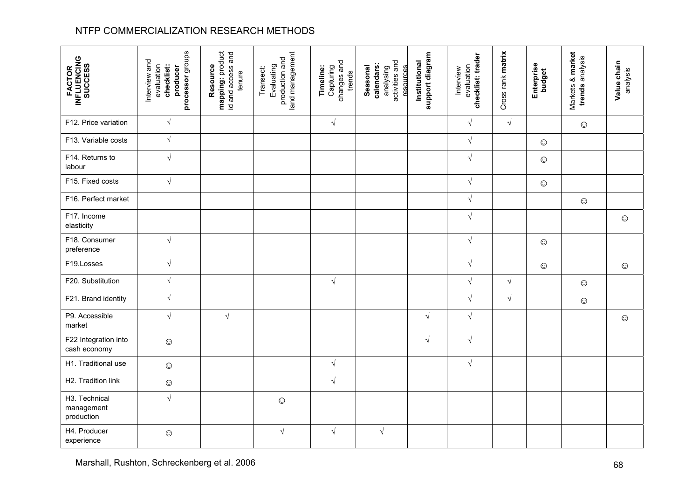| <b>INFLUENCING</b><br>SUCCESS<br><b>FACTOR</b> | processor groups<br>Interview and<br>evaluation<br>checklist:<br>producer | mapping: product<br>id and access and<br>Resource<br>tenure | land management<br>production and<br>Evaluating<br><b>Transect:</b> | changes and<br>Timeline:<br>Capturing<br>trends | activities and<br>calendars:<br>resources<br>Seasonal<br>analysing | support diagram<br>Institutional | checklist: trader<br>evaluation<br>Interview | Cross rank matrix | Enterprise<br>budget | Markets & market<br>trends analysis | Value chain<br>analysis |
|------------------------------------------------|---------------------------------------------------------------------------|-------------------------------------------------------------|---------------------------------------------------------------------|-------------------------------------------------|--------------------------------------------------------------------|----------------------------------|----------------------------------------------|-------------------|----------------------|-------------------------------------|-------------------------|
| F12. Price variation                           | $\sqrt{ }$                                                                |                                                             |                                                                     | $\sqrt{ }$                                      |                                                                    |                                  | $\sqrt{ }$                                   | $\sqrt{ }$        |                      | $\odot$                             |                         |
| F13. Variable costs                            | $\sqrt{ }$                                                                |                                                             |                                                                     |                                                 |                                                                    |                                  | $\sqrt{ }$                                   |                   | $\odot$              |                                     |                         |
| F14. Returns to<br>labour                      | $\sqrt{ }$                                                                |                                                             |                                                                     |                                                 |                                                                    |                                  | $\sqrt{ }$                                   |                   | $\odot$              |                                     |                         |
| F15. Fixed costs                               | $\sqrt{ }$                                                                |                                                             |                                                                     |                                                 |                                                                    |                                  | $\sqrt{ }$                                   |                   | $\odot$              |                                     |                         |
| F16. Perfect market                            |                                                                           |                                                             |                                                                     |                                                 |                                                                    |                                  | $\sqrt{}$                                    |                   |                      | $\odot$                             |                         |
| F17. Income<br>elasticity                      |                                                                           |                                                             |                                                                     |                                                 |                                                                    |                                  | $\sqrt{ }$                                   |                   |                      |                                     | $\odot$                 |
| F18. Consumer<br>preference                    | $\sqrt{ }$                                                                |                                                             |                                                                     |                                                 |                                                                    |                                  | $\sqrt{ }$                                   |                   | $\odot$              |                                     |                         |
| F19.Losses                                     | $\sqrt{ }$                                                                |                                                             |                                                                     |                                                 |                                                                    |                                  | $\sqrt{}$                                    |                   | $\odot$              |                                     | $\odot$                 |
| F20. Substitution                              | $\sqrt{ }$                                                                |                                                             |                                                                     | $\sqrt{ }$                                      |                                                                    |                                  | $\sqrt{ }$                                   | $\sqrt{}$         |                      | $\odot$                             |                         |
| F21. Brand identity                            | $\sqrt{\phantom{a}}$                                                      |                                                             |                                                                     |                                                 |                                                                    |                                  | $\sqrt{ }$                                   | $\sqrt{}$         |                      | $\odot$                             |                         |
| P9. Accessible<br>market                       | $\sqrt{2}$                                                                | $\sqrt{}$                                                   |                                                                     |                                                 |                                                                    | $\sqrt{}$                        | $\sqrt{ }$                                   |                   |                      |                                     | $\odot$                 |
| F22 Integration into<br>cash economy           | $\odot$                                                                   |                                                             |                                                                     |                                                 |                                                                    | $\sqrt{ }$                       | $\sqrt{ }$                                   |                   |                      |                                     |                         |
| H1. Traditional use                            | $\odot$                                                                   |                                                             |                                                                     | $\sqrt{ }$                                      |                                                                    |                                  | $\sqrt{}$                                    |                   |                      |                                     |                         |
| H2. Tradition link                             | $\odot$                                                                   |                                                             |                                                                     | $\sqrt{ }$                                      |                                                                    |                                  |                                              |                   |                      |                                     |                         |
| H3. Technical<br>management<br>production      | $\sqrt{ }$                                                                |                                                             | $\odot$                                                             |                                                 |                                                                    |                                  |                                              |                   |                      |                                     |                         |
| H4. Producer<br>experience                     | $\odot$                                                                   |                                                             | $\sqrt{}$                                                           | $\sqrt{ }$                                      | $\sqrt{}$                                                          |                                  |                                              |                   |                      |                                     |                         |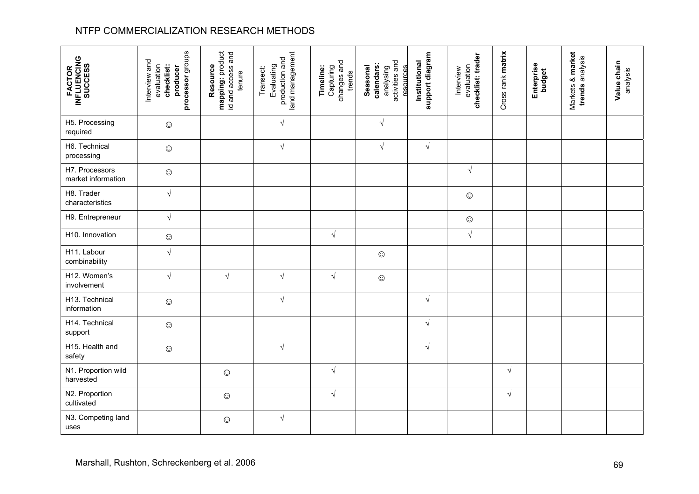| <b>FACTOR<br/>INFLUENCING<br/>SUCCESS</b> | processor groups<br>Interview and<br>evaluation<br>checklist:<br>producer | mapping: product<br>id and access and<br>Resource<br>tenure | land management<br>production and<br>Evaluating<br>Transect: | changes and<br>Timeline:<br>Capturing<br>trends | activities and<br>calendars:<br>Seasonal<br>resources<br>analysing | support diagram<br>Institutional | checklist: trader<br>evaluation<br>Interview | Cross rank matrix | Enterprise<br>budget | Markets & market<br>trends analysis | Value chain<br>analysis |
|-------------------------------------------|---------------------------------------------------------------------------|-------------------------------------------------------------|--------------------------------------------------------------|-------------------------------------------------|--------------------------------------------------------------------|----------------------------------|----------------------------------------------|-------------------|----------------------|-------------------------------------|-------------------------|
| H5. Processing<br>required                | $\odot$                                                                   |                                                             | $\sqrt{ }$                                                   |                                                 | $\sqrt{ }$                                                         |                                  |                                              |                   |                      |                                     |                         |
| H6. Technical<br>processing               | $\odot$                                                                   |                                                             | $\sqrt{ }$                                                   |                                                 | $\sqrt{ }$                                                         | $\sqrt{}$                        |                                              |                   |                      |                                     |                         |
| H7. Processors<br>market information      | $\odot$                                                                   |                                                             |                                                              |                                                 |                                                                    |                                  | $\sqrt{ }$                                   |                   |                      |                                     |                         |
| H8. Trader<br>characteristics             | $\sqrt{}$                                                                 |                                                             |                                                              |                                                 |                                                                    |                                  | $\odot$                                      |                   |                      |                                     |                         |
| H9. Entrepreneur                          | $\sqrt{}$                                                                 |                                                             |                                                              |                                                 |                                                                    |                                  | $\odot$                                      |                   |                      |                                     |                         |
| H10. Innovation                           | $\odot$                                                                   |                                                             |                                                              | $\sqrt{}$                                       |                                                                    |                                  | $\sqrt{ }$                                   |                   |                      |                                     |                         |
| H11. Labour<br>combinability              | $\sqrt{\phantom{a}}$                                                      |                                                             |                                                              |                                                 | $\odot$                                                            |                                  |                                              |                   |                      |                                     |                         |
| H12. Women's<br>involvement               | $\sqrt{}$                                                                 | $\sqrt{ }$                                                  | $\sqrt{ }$                                                   | $\sqrt{}$                                       | $\odot$                                                            |                                  |                                              |                   |                      |                                     |                         |
| H13. Technical<br>information             | $\odot$                                                                   |                                                             | $\sqrt{}$                                                    |                                                 |                                                                    | $\sqrt{2}$                       |                                              |                   |                      |                                     |                         |
| H14. Technical<br>support                 | $\odot$                                                                   |                                                             |                                                              |                                                 |                                                                    | $\sqrt{}$                        |                                              |                   |                      |                                     |                         |
| H15. Health and<br>safety                 | $\odot$                                                                   |                                                             | $\sqrt{ }$                                                   |                                                 |                                                                    | $\sqrt{2}$                       |                                              |                   |                      |                                     |                         |
| N1. Proportion wild<br>harvested          |                                                                           | $\odot$                                                     |                                                              | $\sqrt{}$                                       |                                                                    |                                  |                                              | $\sqrt{ }$        |                      |                                     |                         |
| N2. Proportion<br>cultivated              |                                                                           | $\odot$                                                     |                                                              | $\sqrt{}$                                       |                                                                    |                                  |                                              | $\sqrt{ }$        |                      |                                     |                         |
| N3. Competing land<br>uses                |                                                                           | $\odot$                                                     | $\sqrt{}$                                                    |                                                 |                                                                    |                                  |                                              |                   |                      |                                     |                         |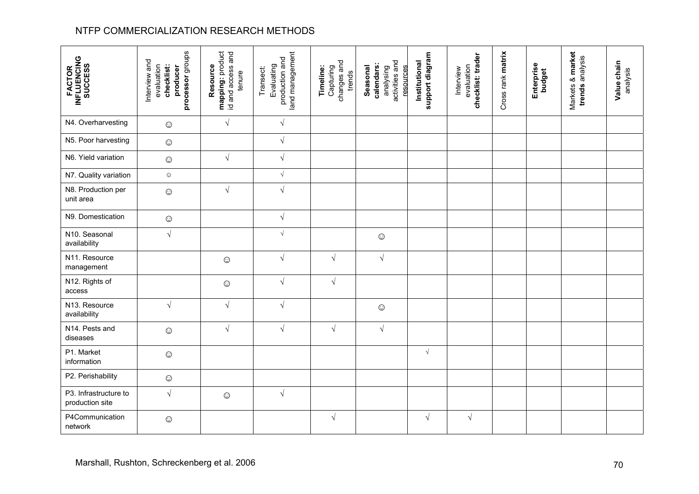| <b>FACTOR<br/>INFLUENCING<br/>SUCCESS</b> | processor groups<br>Interview and<br>evaluation<br>checklist:<br>producer | mapping: product<br>id and access and<br>Resource<br>tenure | land management<br>production and<br>Evaluating<br>Transect: | changes and<br>Timeline:<br>Capturing<br>trends | activities and<br>calendars:<br>Seasonal<br>resources<br>analysing | support diagram<br>Institutional | checklist: trader<br>evaluation<br>Interview | Cross rank matrix | Enterprise<br>budget | Markets & market<br>trends analysis | Value chain<br>analysis |
|-------------------------------------------|---------------------------------------------------------------------------|-------------------------------------------------------------|--------------------------------------------------------------|-------------------------------------------------|--------------------------------------------------------------------|----------------------------------|----------------------------------------------|-------------------|----------------------|-------------------------------------|-------------------------|
| N4. Overharvesting                        | $\odot$                                                                   | $\sqrt{ }$                                                  | $\sqrt{ }$                                                   |                                                 |                                                                    |                                  |                                              |                   |                      |                                     |                         |
| N5. Poor harvesting                       | $\odot$                                                                   |                                                             | $\sqrt{ }$                                                   |                                                 |                                                                    |                                  |                                              |                   |                      |                                     |                         |
| N6. Yield variation                       | $\odot$                                                                   | $\sqrt{}$                                                   | $\sqrt{}$                                                    |                                                 |                                                                    |                                  |                                              |                   |                      |                                     |                         |
| N7. Quality variation                     | $\odot$                                                                   |                                                             | $\sqrt{}$                                                    |                                                 |                                                                    |                                  |                                              |                   |                      |                                     |                         |
| N8. Production per<br>unit area           | $\odot$                                                                   | $\sqrt{}$                                                   | $\sqrt{}$                                                    |                                                 |                                                                    |                                  |                                              |                   |                      |                                     |                         |
| N9. Domestication                         | $\odot$                                                                   |                                                             | $\sqrt{ }$                                                   |                                                 |                                                                    |                                  |                                              |                   |                      |                                     |                         |
| N10. Seasonal<br>availability             | $\sqrt{2}$                                                                |                                                             | $\sqrt{}$                                                    |                                                 | $\odot$                                                            |                                  |                                              |                   |                      |                                     |                         |
| N11. Resource<br>management               |                                                                           | $\odot$                                                     | $\sqrt{ }$                                                   | $\sqrt{ }$                                      | $\sqrt{}$                                                          |                                  |                                              |                   |                      |                                     |                         |
| N12. Rights of<br>access                  |                                                                           | $\odot$                                                     | $\sqrt{ }$                                                   | $\sqrt{ }$                                      |                                                                    |                                  |                                              |                   |                      |                                     |                         |
| N13. Resource<br>availability             | $\sqrt{}$                                                                 | $\sqrt{}$                                                   | $\sqrt{}$                                                    |                                                 | $\odot$                                                            |                                  |                                              |                   |                      |                                     |                         |
| N14. Pests and<br>diseases                | $\odot$                                                                   | $\sqrt{ }$                                                  | $\sqrt{ }$                                                   | $\sqrt{ }$                                      | $\sqrt{ }$                                                         |                                  |                                              |                   |                      |                                     |                         |
| P1. Market<br>information                 | $\odot$                                                                   |                                                             |                                                              |                                                 |                                                                    | $\sqrt{}$                        |                                              |                   |                      |                                     |                         |
| P2. Perishability                         | $\odot$                                                                   |                                                             |                                                              |                                                 |                                                                    |                                  |                                              |                   |                      |                                     |                         |
| P3. Infrastructure to<br>production site  | $\sqrt{2}$                                                                | $\odot$                                                     | $\sqrt{ }$                                                   |                                                 |                                                                    |                                  |                                              |                   |                      |                                     |                         |
| P4Communication<br>network                | $\odot$                                                                   |                                                             |                                                              | $\sqrt{}$                                       |                                                                    | $\sqrt{ }$                       | $\sqrt{}$                                    |                   |                      |                                     |                         |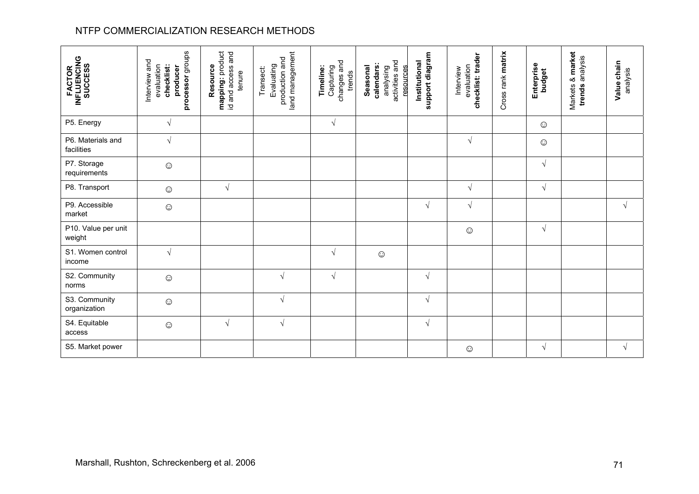| <b>FACTOR<br/>INFLUENCING<br/>SUCCESS</b> | processor groups<br>Interview and<br>evaluation<br>checklist:<br>producer | mapping: product<br>id and access and<br>Resource<br>tenure | land management<br>production and<br>Evaluating<br>Transect: | changes and<br>Timeline:<br>Capturing<br>trends | activities and<br>calendars:<br>Seasonal<br>resources<br>analysing | support diagram<br>Institutional | checklist: trader<br>evaluation<br>Interview | Cross rank matrix | Enterprise<br>budget | Markets & market<br>analysis<br>trends | Value chain<br>analysis |
|-------------------------------------------|---------------------------------------------------------------------------|-------------------------------------------------------------|--------------------------------------------------------------|-------------------------------------------------|--------------------------------------------------------------------|----------------------------------|----------------------------------------------|-------------------|----------------------|----------------------------------------|-------------------------|
| P5. Energy                                | $\sqrt{ }$                                                                |                                                             |                                                              | $\sqrt{ }$                                      |                                                                    |                                  |                                              |                   | $\odot$              |                                        |                         |
| P6. Materials and<br>facilities           | $\sqrt{}$                                                                 |                                                             |                                                              |                                                 |                                                                    |                                  | $\sqrt{ }$                                   |                   | $\odot$              |                                        |                         |
| P7. Storage<br>requirements               | $\odot$                                                                   |                                                             |                                                              |                                                 |                                                                    |                                  |                                              |                   | $\sqrt{ }$           |                                        |                         |
| P8. Transport                             | $\odot$                                                                   | $\sqrt{}$                                                   |                                                              |                                                 |                                                                    |                                  | $\sqrt{ }$                                   |                   | $\sqrt{ }$           |                                        |                         |
| P9. Accessible<br>market                  | $\odot$                                                                   |                                                             |                                                              |                                                 |                                                                    | $\sqrt{}$                        | $\sqrt{ }$                                   |                   |                      |                                        | $\sqrt{ }$              |
| P10. Value per unit<br>weight             |                                                                           |                                                             |                                                              |                                                 |                                                                    |                                  | $\odot$                                      |                   | $\sqrt{ }$           |                                        |                         |
| S1. Women control<br>income               | $\sqrt{}$                                                                 |                                                             |                                                              | $\sqrt{}$                                       | $\odot$                                                            |                                  |                                              |                   |                      |                                        |                         |
| S2. Community<br>norms                    | $\odot$                                                                   |                                                             | $\sqrt{ }$                                                   | $\sqrt{ }$                                      |                                                                    | $\sqrt{}$                        |                                              |                   |                      |                                        |                         |
| S3. Community<br>organization             | $\odot$                                                                   |                                                             | $\sqrt{ }$                                                   |                                                 |                                                                    | $\sqrt{}$                        |                                              |                   |                      |                                        |                         |
| S4. Equitable<br>access                   | $\odot$                                                                   | $\sqrt{ }$                                                  | $\sqrt{ }$                                                   |                                                 |                                                                    | $\sqrt{}$                        |                                              |                   |                      |                                        |                         |
| S5. Market power                          |                                                                           |                                                             |                                                              |                                                 |                                                                    |                                  | $\odot$                                      |                   | $\sqrt{ }$           |                                        | $\sqrt{2}$              |